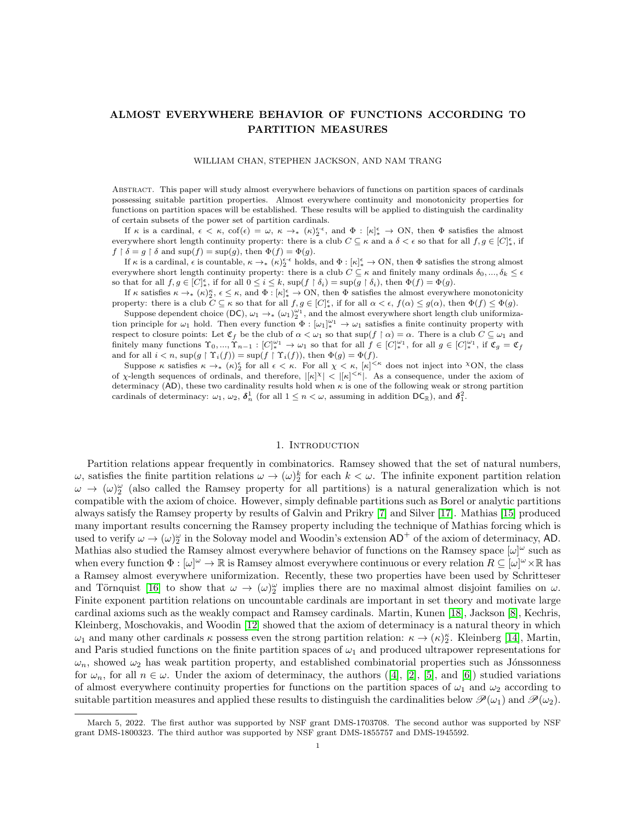# ALMOST EVERYWHERE BEHAVIOR OF FUNCTIONS ACCORDING TO PARTITION MEASURES

#### WILLIAM CHAN, STEPHEN JACKSON, AND NAM TRANG

Abstract. This paper will study almost everywhere behaviors of functions on partition spaces of cardinals possessing suitable partition properties. Almost everywhere continuity and monotonicity properties for functions on partition spaces will be established. These results will be applied to distinguish the cardinality of certain subsets of the power set of partition cardinals.

If  $\kappa$  is a cardinal,  $\epsilon < \kappa$ ,  $\cot(\epsilon) = \omega$ ,  $\kappa \to_{*} (\kappa)_{2}^{\epsilon \cdot \epsilon}$ , and  $\Phi : [\kappa]_{*}^{\epsilon} \to ON$ , then  $\Phi$  satisfies the almost everywhere short length continuity property: there is a club  $C \subseteq \kappa$  and a  $\delta < \epsilon$  so that for all  $f, g \in [C]_{*}^{\epsilon}$ , if  $f \restriction \delta = g \restriction \delta$  and  $\sup(f) = \sup(g)$ , then  $\Phi(f) = \Phi(g)$ .

If  $\kappa$  is a cardinal,  $\epsilon$  is countable,  $\kappa \to_{*} (\kappa)_{2}^{\epsilon \cdot \epsilon}$  holds, and  $\Phi : [\kappa]_{*}^{\epsilon} \to \text{ON}$ , then  $\Phi$  satisfies the strong almost everywhere short length continuity property: there is a club  $C \subseteq \kappa$  and finitely many ordinals  $\delta_0, ..., \delta_k \leq \epsilon$ so that for all  $f, g \in [C]_*^{\epsilon}$ , if for all  $0 \leq i \leq k$ ,  $\sup(f \restriction \delta_i) = \sup(g \restriction \delta_i)$ , then  $\Phi(f) = \Phi(g)$ .

If  $\kappa$  satisfies  $\kappa \to_* (\kappa)^\kappa_2$ ,  $\epsilon \leq \kappa$ , and  $\Phi : [\kappa]_*^{\epsilon} \to \text{ON}$ , then  $\Phi$  satisfies the almost everywhere monotonicity property: there is a club  $C \subseteq \kappa$  so that for all  $f, g \in [C]_{*}^{\epsilon}$ , if for all  $\alpha < \epsilon$ ,  $f(\alpha) \leq g(\alpha)$ , then  $\Phi(f) \leq \Phi(g)$ .

Suppose dependent choice (DC),  $\omega_1 \rightarrow_{\ast} (\omega_1)_2^{\omega_1}$ , and the almost everywhere short length club uniformization principle for  $\omega_1$  hold. Then every function  $\Phi : [\omega_1]_*^{\omega_1} \to \omega_1$  satisfies a finite continuity property with respect to closure points: Let  $\mathfrak{C}_f$  be the club of  $\alpha < \omega_1$  so that  $\sup(f \upharpoonright \alpha) = \alpha$ . There is a club  $C \subseteq \omega_1$  and finitely many functions  $\Upsilon_0, ..., \Upsilon_{n-1} : [C]_*^{\omega_1} \to \omega_1$  so that for all  $f \in [C]_*^{\omega_1}$ , for all  $g \in [C]_*^{\omega_1}$ , if  $\mathfrak{C}_g = \mathfrak{C}_f$ and for all  $i < n$ ,  $\sup(g \restriction \Upsilon_i(f)) = \sup(f \restriction \Upsilon_i(f))$ , then  $\Phi(g) = \Phi(f)$ .

Suppose  $\kappa$  satisfies  $\kappa \to_{*} (\kappa)_{2}^{\epsilon}$  for all  $\epsilon < \kappa$ . For all  $\chi < \kappa$ ,  $[\kappa]^{<\kappa}$  does not inject into ×ON, the class of  $\chi$ -length sequences of ordinals, and therefore,  $|[\kappa]^{\chi}| < |[\kappa]^{\leq \kappa}|$ . As a consequence, under the axiom of determinacy (AD), these two cardinality results hold when  $\kappa$  is one of the following weak or strong partition cardinals of determinacy:  $\omega_1, \omega_2, \delta_n^1$  (for all  $1 \leq n < \omega$ , assuming in addition  $DC_{\mathbb{R}}$ ), and  $\delta_1^2$ .

#### 1. INTRODUCTION

Partition relations appear frequently in combinatorics. Ramsey showed that the set of natural numbers,  $ω$ , satisfies the finite partition relations  $ω → (ω)<sup>k</sup>$  for each  $k < ω$ . The infinite exponent partition relation  $\omega \to (\omega)_2^{\omega}$  (also called the Ramsey property for all partitions) is a natural generalization which is not compatible with the axiom of choice. However, simply definable partitions such as Borel or analytic partitions always satisfy the Ramsey property by results of Galvin and Prikry [\[7\]](#page-31-0) and Silver [\[17\]](#page-31-1). Mathias [\[15\]](#page-31-2) produced many important results concerning the Ramsey property including the technique of Mathias forcing which is used to verify  $\omega \to (\omega)_2^{\omega}$  in the Solovay model and Woodin's extension  $AD^+$  of the axiom of determinacy, AD. Mathias also studied the Ramsey almost everywhere behavior of functions on the Ramsey space  $[\omega]^\omega$  such as when every function  $\Phi : [\omega]^\omega \to \mathbb{R}$  is Ramsey almost everywhere continuous or every relation  $R \subseteq [\omega]^\omega \times \mathbb{R}$  has a Ramsey almost everywhere uniformization. Recently, these two properties have been used by Schritteser and Törnquist [\[16\]](#page-31-3) to show that  $\omega \to (\omega)_2^{\omega}$  implies there are no maximal almost disjoint families on  $\omega$ . Finite exponent partition relations on uncountable cardinals are important in set theory and motivate large cardinal axioms such as the weakly compact and Ramsey cardinals. Martin, Kunen [\[18\]](#page-31-4), Jackson [\[8\]](#page-31-5), Kechris, Kleinberg, Moschovakis, and Woodin [\[12\]](#page-31-6) showed that the axiom of determinacy is a natural theory in which  $\omega_1$  and many other cardinals  $\kappa$  possess even the strong partition relation:  $\kappa \to (\kappa)_2^{\kappa}$ . Kleinberg [\[14\]](#page-31-7), Martin, and Paris studied functions on the finite partition spaces of  $\omega_1$  and produced ultrapower representations for  $\omega_n$ , showed  $\omega_2$  has weak partition property, and established combinatorial properties such as Jónssonness for $\omega_n$ , for all  $n \in \omega$ . Under the axiom of determinacy, the authors ([\[4\]](#page-31-8), [\[2\]](#page-31-9), [\[5\]](#page-31-10), and [\[6\]](#page-31-11)) studied variations of almost everywhere continuity properties for functions on the partition spaces of  $\omega_1$  and  $\omega_2$  according to suitable partition measures and applied these results to distinguish the cardinalities below  $\mathcal{P}(\omega_1)$  and  $\mathcal{P}(\omega_2)$ .

March 5, 2022. The first author was supported by NSF grant DMS-1703708. The second author was supported by NSF grant DMS-1800323. The third author was supported by NSF grant DMS-1855757 and DMS-1945592.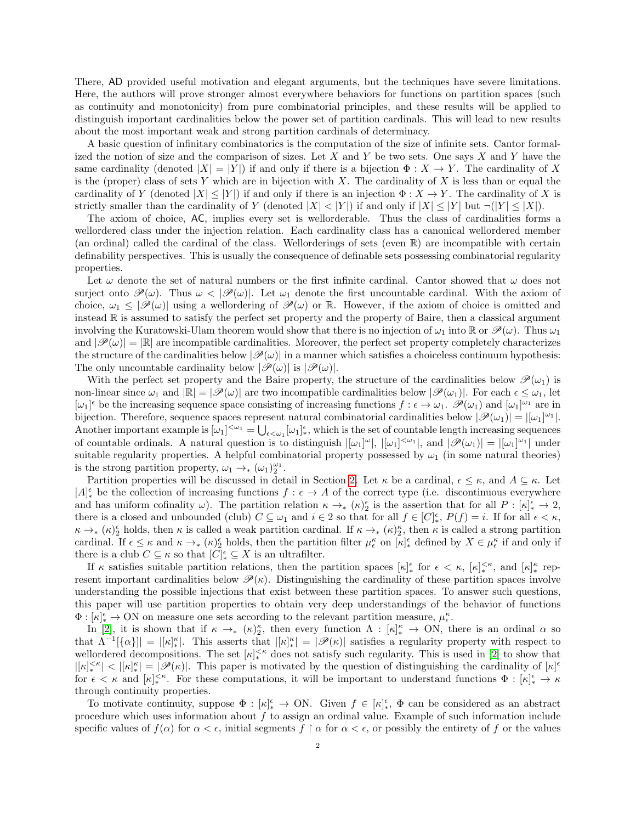There, AD provided useful motivation and elegant arguments, but the techniques have severe limitations. Here, the authors will prove stronger almost everywhere behaviors for functions on partition spaces (such as continuity and monotonicity) from pure combinatorial principles, and these results will be applied to distinguish important cardinalities below the power set of partition cardinals. This will lead to new results about the most important weak and strong partition cardinals of determinacy.

A basic question of infinitary combinatorics is the computation of the size of infinite sets. Cantor formalized the notion of size and the comparison of sizes. Let X and Y be two sets. One says X and Y have the same cardinality (denoted  $|X| = |Y|$ ) if and only if there is a bijection  $\Phi : X \to Y$ . The cardinality of X is the (proper) class of sets Y which are in bijection with X. The cardinality of X is less than or equal the cardinality of Y (denoted  $|X| \leq |Y|$ ) if and only if there is an injection  $\Phi: X \to Y$ . The cardinality of X is strictly smaller than the cardinality of Y (denoted  $|X| < |Y|$ ) if and only if  $|X| \leq |Y|$  but  $\neg(|Y| \leq |X|)$ .

The axiom of choice, AC, implies every set is wellorderable. Thus the class of cardinalities forms a wellordered class under the injection relation. Each cardinality class has a canonical wellordered member (an ordinal) called the cardinal of the class. Wellorderings of sets (even  $\mathbb{R}$ ) are incompatible with certain definability perspectives. This is usually the consequence of definable sets possessing combinatorial regularity properties.

Let  $\omega$  denote the set of natural numbers or the first infinite cardinal. Cantor showed that  $\omega$  does not surject onto  $\mathscr{P}(\omega)$ . Thus  $\omega < |\mathscr{P}(\omega)|$ . Let  $\omega_1$  denote the first uncountable cardinal. With the axiom of choice,  $\omega_1 \leq |\mathcal{P}(\omega)|$  using a wellordering of  $\mathcal{P}(\omega)$  or R. However, if the axiom of choice is omitted and instead R is assumed to satisfy the perfect set property and the property of Baire, then a classical argument involving the Kuratowski-Ulam theorem would show that there is no injection of  $\omega_1$  into  $\mathbb R$  or  $\mathscr{P}(\omega)$ . Thus  $\omega_1$ and  $|\mathscr{P}(\omega)| = |\mathbb{R}|$  are incompatible cardinalities. Moreover, the perfect set property completely characterizes the structure of the cardinalities below  $|\mathscr{P}(\omega)|$  in a manner which satisfies a choiceless continuum hypothesis: The only uncountable cardinality below  $|\mathscr{P}(\omega)|$  is  $|\mathscr{P}(\omega)|$ .

With the perfect set property and the Baire property, the structure of the cardinalities below  $\mathcal{P}(\omega_1)$  is non-linear since  $\omega_1$  and  $|\mathbb{R}| = |\mathscr{P}(\omega)|$  are two incompatible cardinalities below  $|\mathscr{P}(\omega_1)|$ . For each  $\epsilon \leq \omega_1$ , let  $[\omega_1]^\epsilon$  be the increasing sequence space consisting of increasing functions  $f : \epsilon \to \omega_1$ .  $\mathscr{P}(\omega_1)$  and  $[\omega_1]^{\omega_1}$  are in bijection. Therefore, sequence spaces represent natural combinatorial cardinalities below  $|\mathscr{P}(\omega_1)| = |[\omega_1]^{\omega_1}|$ . Another important example is  $[\omega_1]^{<\omega_1} = \bigcup_{\epsilon<\omega_1} [\omega_1]_{*}^{\epsilon}$ , which is the set of countable length increasing sequences of countable ordinals. A natural question is to distinguish  $|[\omega_1]^{\omega}$ ,  $|[\omega_1]^{<\omega_1}$ , and  $|\mathscr{P}(\omega_1)| = |[\omega_1]^{\omega_1}|$  under suitable regularity properties. A helpful combinatorial property possessed by  $\omega_1$  (in some natural theories) is the strong partition property,  $\omega_1 \rightarrow_{\ast} (\omega_1)_2^{\omega_1}$ .

Partition properties will be discussed in detail in Section [2.](#page-5-0) Let  $\kappa$  be a cardinal,  $\epsilon \leq \kappa$ , and  $A \subseteq \kappa$ . Let  $[A]_{*}^{\epsilon}$  be the collection of increasing functions  $f : \epsilon \to A$  of the correct type (i.e. discontinuous everywhere and has uniform cofinality  $\omega$ ). The partition relation  $\kappa \to_* (\kappa)_{2}^{\epsilon}$  is the assertion that for all  $P : [\kappa]_{*}^{\epsilon} \to 2$ , there is a closed and unbounded (club)  $C \subseteq \omega_1$  and  $i \in 2$  so that for all  $f \in [C]_*^{\epsilon}$ ,  $P(f) = i$ . If for all  $\epsilon < \kappa$ ,  $\kappa \to_{\ast} (\kappa)_{2}^{\epsilon}$  holds, then  $\kappa$  is called a weak partition cardinal. If  $\kappa \to_{\ast} (\kappa)_{2}^{\kappa}$ , then  $\kappa$  is called a strong partition cardinal. If  $\epsilon \leq \kappa$  and  $\kappa \to_{*} (\kappa)_{2}^{\epsilon}$  holds, then the partition filter  $\mu_{\epsilon}^{\kappa}$  on  $[\kappa]_{*}^{\epsilon}$  defined by  $X \in \mu_{\epsilon}^{\kappa}$  if and only if there is a club  $C \subseteq \kappa$  so that  $[C]_{*}^{\epsilon} \subseteq X$  is an ultrafilter.

If  $\kappa$  satisfies suitable partition relations, then the partition spaces  $[\kappa]_{*}^{\epsilon}$  for  $\epsilon < \kappa$ ,  $[\kappa]_{*}^{<\kappa}$ , and  $[\kappa]_{*}^{\kappa}$  represent important cardinalities below  $\mathscr{P}(\kappa)$ . Distinguishing the cardinality of these partition spaces involve understanding the possible injections that exist between these partition spaces. To answer such questions, this paper will use partition properties to obtain very deep understandings of the behavior of functions  $\Phi: [\kappa]_*^\epsilon \to \text{ON}$  on measure one sets according to the relevant partition measure,  $\mu_\epsilon^\kappa$ .

In [\[2\]](#page-31-9), it is shown that if  $\kappa \to_{*} (\kappa)_{2}^{\kappa}$ , then every function  $\Lambda : [\kappa]_{*}^{\kappa} \to ON$ , there is an ordinal  $\alpha$  so that  $\Lambda^{-1}[\{\alpha\}] = |[\kappa]_*^{\kappa}|$ . This asserts that  $|[\kappa]_*^{\kappa}| = |\mathscr{P}(\kappa)|$  satisfies a regularity property with respect to wellordered decompositions. The set  $\kappa$ <sup>{''</sup>\* does not satisfy such regularity. This is used in [\[2\]](#page-31-9) to show that  $|[\kappa]_*^{<\kappa}| < |[\kappa]_*^*| = |\mathscr{P}(\kappa)|$ . This paper is motivated by the question of distinguishing the cardinality of  $[\kappa]_{\kappa}$ for  $\epsilon < \kappa$  and  $[\kappa]_{*}^{<\kappa}$ . For these computations, it will be important to understand functions  $\Phi : [\kappa]_{*}^{\epsilon} \to \kappa$ through continuity properties.

To motivate continuity, suppose  $\Phi : [\kappa]_*^{\epsilon} \to ON$ . Given  $f \in [\kappa]_*^{\epsilon}$ ,  $\Phi$  can be considered as an abstract procedure which uses information about f to assign an ordinal value. Example of such information include specific values of  $f(\alpha)$  for  $\alpha < \epsilon$ , initial segments  $f \restriction \alpha$  for  $\alpha < \epsilon$ , or possibly the entirety of f or the values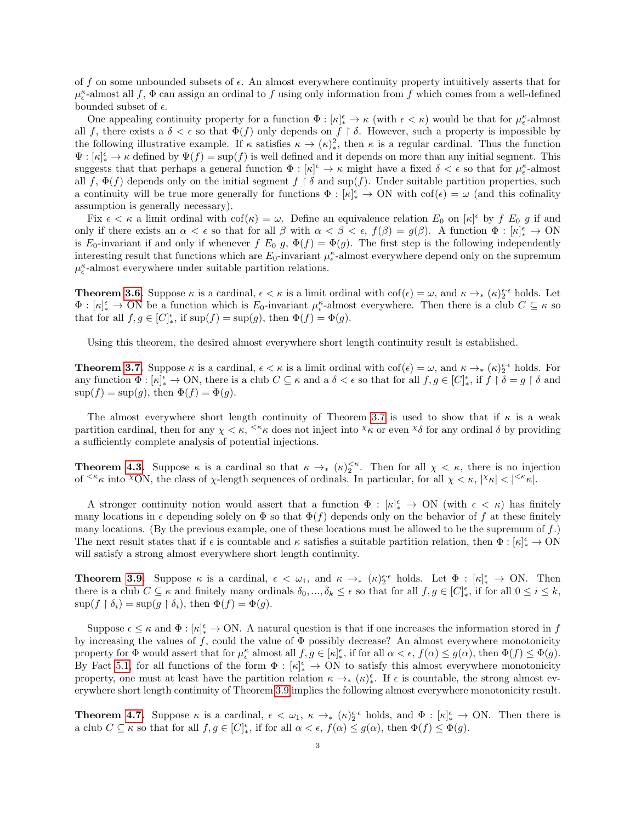of f on some unbounded subsets of  $\epsilon$ . An almost everywhere continuity property intuitively asserts that for  $\mu_{\epsilon}^{\kappa}$ -almost all  $f$ ,  $\Phi$  can assign an ordinal to  $f$  using only information from  $f$  which comes from a well-defined bounded subset of  $\epsilon$ .

One appealing continuity property for a function  $\Phi: [\kappa]_*^{\epsilon} \to \kappa$  (with  $\epsilon < \kappa$ ) would be that for  $\mu_{\epsilon}^{\kappa}$ -almost all f, there exists a  $\delta < \epsilon$  so that  $\Phi(f)$  only depends on f  $\restriction \delta$ . However, such a property is impossible by the following illustrative example. If  $\kappa$  satisfies  $\kappa \to (\kappa)^2_*$ , then  $\kappa$  is a regular cardinal. Thus the function  $\Psi : [\kappa]_*^{\epsilon} \to \kappa$  defined by  $\Psi(f) = \sup(f)$  is well defined and it depends on more than any initial segment. This suggests that that perhaps a general function  $\Phi : [\kappa]^{\epsilon} \to \kappa$  might have a fixed  $\delta < \epsilon$  so that for  $\mu_{\epsilon}^{\kappa}$ -almost all f,  $\Phi(f)$  depends only on the initial segment  $f \restriction \delta$  and sup(f). Under suitable partition properties, such a continuity will be true more generally for functions  $\Phi : [\kappa]_*^{\epsilon} \to ON$  with  $\mathrm{cof}(\epsilon) = \omega$  (and this cofinality assumption is generally necessary).

Fix  $\epsilon < \kappa$  a limit ordinal with  $\cot(\kappa) = \omega$ . Define an equivalence relation  $E_0$  on  $[\kappa]^\epsilon$  by f  $E_0$  g if and only if there exists an  $\alpha < \epsilon$  so that for all  $\beta$  with  $\alpha < \beta < \epsilon$ ,  $f(\beta) = g(\beta)$ . A function  $\Phi : [\kappa]_*^{\epsilon} \to ON$ is E<sub>0</sub>-invariant if and only if whenever  $f E_0 g$ ,  $\Phi(f) = \Phi(g)$ . The first step is the following independently interesting result that functions which are  $E_0$ -invariant  $\mu_{\epsilon}^{\kappa}$ -almost everywhere depend only on the supremum  $\mu_{\epsilon}^{\kappa}\textrm{-almost everywhere under suitable partition relations.}$ 

**Theorem [3.6.](#page-10-0)** Suppose  $\kappa$  is a cardinal,  $\epsilon < \kappa$  is a limit ordinal with  $\cot(\epsilon) = \omega$ , and  $\kappa \to_{*} (\kappa)_{2}^{\epsilon_{*}\epsilon}$  holds. Let  $\Phi: [\kappa]_*^{\epsilon} \to \text{ON}$  be a function which is  $E_0$ -invariant  $\mu_{\epsilon}^{\kappa}$ -almost everywhere. Then there is a club  $C \subseteq \kappa$  so that for all  $f, g \in [C]_*^{\epsilon}$ , if  $\sup(f) = \sup(g)$ , then  $\Phi(f) = \Phi(g)$ .

Using this theorem, the desired almost everywhere short length continuity result is established.

**Theorem [3.7.](#page-10-1)** Suppose  $\kappa$  is a cardinal,  $\epsilon < \kappa$  is a limit ordinal with  $\cot(\epsilon) = \omega$ , and  $\kappa \to_{*} (\kappa)_{2}^{\epsilon_{*}\epsilon}$  holds. For any function  $\Phi: [\kappa]_*^{\epsilon} \to \text{ON}$ , there is a club  $C \subseteq \kappa$  and a  $\delta < \epsilon$  so that for all  $f, g \in [C]_*^{\epsilon}$ , if  $f \restriction \delta = g \restriction \delta$  and  $\sup(f) = \sup(g)$ , then  $\Phi(f) = \Phi(g)$ .

The almost everywhere short length continuity of Theorem [3.7](#page-10-1) is used to show that if  $\kappa$  is a weak partition cardinal, then for any  $\chi < \kappa$ ,  $\zeta \kappa$  does not inject into  $\chi$  or even  $\chi$  for any ordinal  $\delta$  by providing a sufficiently complete analysis of potential injections.

**Theorem [4.3.](#page-15-0)** Suppose  $\kappa$  is a cardinal so that  $\kappa \to_{\kappa} (\kappa)_{2}^{\kappa}$ . Then for all  $\chi < \kappa$ , there is no injection of  $\leq^k \kappa$  into  $\propto$  ON, the class of  $\chi$ -length sequences of ordinals. In particular, for all  $\chi < \kappa$ ,  $|\chi_{\kappa}| < |\leq^k \kappa|$ .

A stronger continuity notion would assert that a function  $\Phi : [\kappa]_*^{\epsilon} \to ON$  (with  $\epsilon < \kappa$ ) has finitely many locations in  $\epsilon$  depending solely on  $\Phi$  so that  $\Phi(f)$  depends only on the behavior of f at these finitely many locations. (By the previous example, one of these locations must be allowed to be the supremum of  $f$ .) The next result states that if  $\epsilon$  is countable and  $\kappa$  satisfies a suitable partition relation, then  $\Phi: [\kappa]_*^{\epsilon} \to \text{ON}$ will satisfy a strong almost everywhere short length continuity.

**Theorem [3.9.](#page-13-0)** Suppose  $\kappa$  is a cardinal,  $\epsilon < \omega_1$ , and  $\kappa \to_{*} (\kappa)_{2}^{\epsilon \cdot \epsilon}$  holds. Let  $\Phi : [\kappa]_{*}^{\epsilon} \to ON$ . Then there is a club  $C \subseteq \kappa$  and finitely many ordinals  $\delta_0, ..., \delta_k \leq \epsilon$  so that for all  $f, g \in [C]_*^{\epsilon}$ , if for all  $0 \leq i \leq k$ ,  $\sup(f \restriction \delta_i) = \sup(g \restriction \delta_i)$ , then  $\Phi(f) = \Phi(g)$ .

Suppose  $\epsilon \leq \kappa$  and  $\Phi : [\kappa]_*^{\epsilon} \to ON$ . A natural question is that if one increases the information stored in f by increasing the values of f, could the value of  $\Phi$  possibly decrease? An almost everywhere monotonicity property for  $\Phi$  would assert that for  $\mu_{\epsilon}^{\kappa}$  almost all  $f, g \in [\kappa]_{*}^{\epsilon}$ , if for all  $\alpha < \epsilon$ ,  $f(\alpha) \leq g(\alpha)$ , then  $\Phi(f) \leq \Phi(g)$ . By Fact [5.1,](#page-17-0) for all functions of the form  $\Phi : [\kappa]_*^{\epsilon} \to ON$  to satisfy this almost everywhere monotonicity property, one must at least have the partition relation  $\kappa \to_{\ast} (\kappa)^{\epsilon}_{\ast}$ . If  $\epsilon$  is countable, the strong almost everywhere short length continuity of Theorem [3.9](#page-13-0) implies the following almost everywhere monotonicity result.

**Theorem [4.7.](#page-16-0)** Suppose  $\kappa$  is a cardinal,  $\epsilon < \omega_1$ ,  $\kappa \to_{\ast} (\kappa)_{2}^{\epsilon \cdot \epsilon}$  holds, and  $\Phi : [\kappa]_{\ast}^{\epsilon} \to ON$ . Then there is a club  $C \subseteq \kappa$  so that for all  $f, g \in [C]_*^{\epsilon}$ , if for all  $\alpha < \epsilon$ ,  $f(\alpha) \leq g(\alpha)$ , then  $\Phi(f) \leq \Phi(g)$ .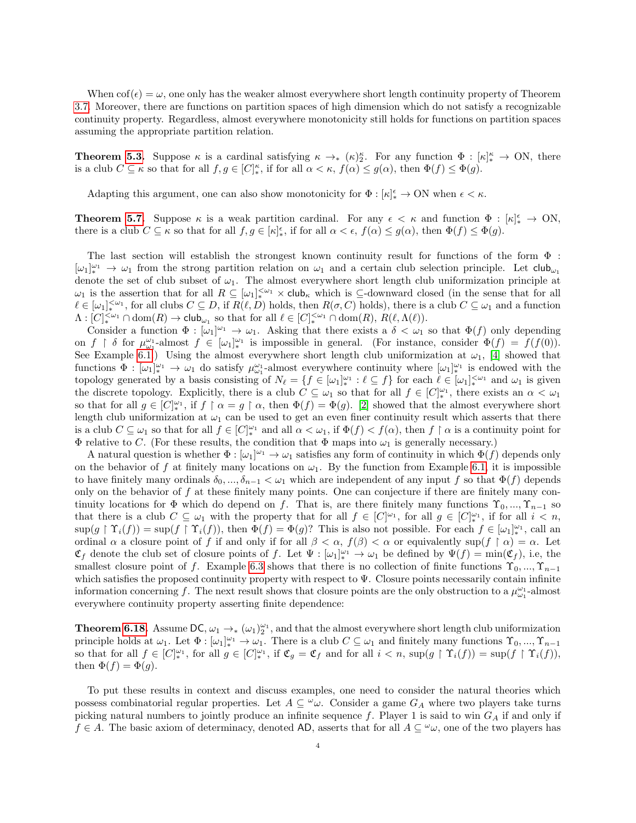When  $\text{cof}(\epsilon) = \omega$ , one only has the weaker almost everywhere short length continuity property of Theorem [3.7.](#page-10-1) Moreover, there are functions on partition spaces of high dimension which do not satisfy a recognizable continuity property. Regardless, almost everywhere monotonicity still holds for functions on partition spaces assuming the appropriate partition relation.

**Theorem [5.3.](#page-19-0)** Suppose  $\kappa$  is a cardinal satisfying  $\kappa \to_{*} (\kappa)_{2}^{\kappa}$ . For any function  $\Phi : [\kappa]_{*}^{\kappa} \to ON$ , there is a club  $C \subseteq \kappa$  so that for all  $f, g \in [C]_{*}^{\kappa}$ , if for all  $\alpha < \kappa$ ,  $f(\alpha) \leq g(\alpha)$ , then  $\Phi(f) \leq \Phi(g)$ .

Adapting this argument, one can also show monotonicity for  $\Phi : [\kappa]_*^{\epsilon} \to ON$  when  $\epsilon < \kappa$ .

**Theorem [5.7.](#page-24-0)** Suppose  $\kappa$  is a weak partition cardinal. For any  $\epsilon < \kappa$  and function  $\Phi : [\kappa]_*^{\epsilon} \to ON$ , there is a club  $C \subseteq \kappa$  so that for all  $f, g \in [\kappa]_{*}^{\epsilon}$ , if for all  $\alpha < \epsilon$ ,  $f(\alpha) \leq g(\alpha)$ , then  $\Phi(f) \leq \Phi(g)$ .

The last section will establish the strongest known continuity result for functions of the form Φ :  $[\omega_1]_*^{\omega_1} \to \omega_1$  from the strong partition relation on  $\omega_1$  and a certain club selection principle. Let  $\mathsf{club}_{\omega_1}$ denote the set of club subset of  $\omega_1$ . The almost everywhere short length club uniformization principle at  $\omega_1$  is the assertion that for all  $R \subseteq [\omega_1]_*^{\langle \omega_1 \rangle} \times$  club<sub>k</sub> which is  $\subseteq$ -downward closed (in the sense that for all  $\ell \in [\omega_1]_{*}^{<\omega_1}$ , for all clubs  $C \subseteq D$ , if  $R(\ell, D)$  holds, then  $R(\sigma, C)$  holds), there is a club  $C \subseteq \omega_1$  and a function  $\Lambda: [C]_{*}^{<\omega_1} \cap \text{dom}(R) \to \text{club}_{\omega_1}$  so that for all  $\ell \in [C]_{*}^{<\omega_1} \cap \text{dom}(R), R(\ell, \Lambda(\ell)).$ 

Consider a function  $\Phi : [\omega_1]^{\omega_1} \to \omega_1$ . Asking that there exists a  $\delta < \omega_1$  so that  $\Phi(f)$  only depending on  $f \restriction \delta$  for  $\mu_{\omega_1}^{\omega_1}$ -almost  $f \in [\omega_1]_{*}^{\omega_1}$  is impossible in general. (For instance, consider  $\Phi(f) = f(f(0))$ . See Example [6.1.](#page-24-1)) Using the almost everywhere short length club uniformization at  $\omega_1$ , [\[4\]](#page-31-8) showed that functions  $\Phi : [\omega_1]_*^{\omega_1} \to \omega_1$  do satisfy  $\mu_{\omega_1}^{\omega_1}$ -almost everywhere continuity where  $[\omega_1]_*^{\omega_1}$  is endowed with the topology generated by a basis consisting of  $N_\ell = \{f \in [\omega_1]_\ast^{\omega_1} : \ell \subseteq f\}$  for each  $\ell \in [\omega_1]_\ast^{\omega_1}$  and  $\omega_1$  is given the discrete topology. Explicitly, there is a club  $C \subseteq \omega_1$  so that for all  $f \in [C]_{*}^{\omega_1}$ , there exists an  $\alpha < \omega_1$ so that for all  $g \in [C]_{*}^{\omega_1}$ , if  $f \restriction \alpha = g \restriction \alpha$ , then  $\Phi(f) = \Phi(g)$ . [\[2\]](#page-31-9) showed that the almost everywhere short length club uniformization at  $\omega_1$  can be used to get an even finer continuity result which asserts that there is a club  $C \subseteq \omega_1$  so that for all  $f \in [C]_{*}^{\omega_1}$  and all  $\alpha < \omega_1$ , if  $\Phi(f) < f(\alpha)$ , then  $f \restriction \alpha$  is a continuity point for  $\Phi$  relative to C. (For these results, the condition that  $\Phi$  maps into  $\omega_1$  is generally necessary.)

A natural question is whether  $\Phi : [\omega_1]^{\omega_1} \to \omega_1$  satisfies any form of continuity in which  $\Phi(f)$  depends only on the behavior of f at finitely many locations on  $\omega_1$ . By the function from Example [6.1,](#page-24-1) it is impossible to have finitely many ordinals  $\delta_0, ..., \delta_{n-1} < \omega_1$  which are independent of any input f so that  $\Phi(f)$  depends only on the behavior of  $f$  at these finitely many points. One can conjecture if there are finitely many continuity locations for  $\Phi$  which do depend on f. That is, are there finitely many functions  $\Upsilon_0, ..., \Upsilon_{n-1}$  so that there is a club  $C \subseteq \omega_1$  with the property that for all  $f \in [C]^{\omega_1}$ , for all  $g \in [C]^{\omega_1}$ , if for all  $i < n$ ,  $\sup(g \upharpoonright \Upsilon_i(f)) = \sup(f \upharpoonright \Upsilon_i(f)),$  then  $\Phi(f) = \Phi(g)$ ? This is also not possible. For each  $f \in [\omega_1]_{*}^{\omega_1}$ , call an ordinal  $\alpha$  a closure point of f if and only if for all  $\beta < \alpha$ ,  $f(\beta) < \alpha$  or equivalently sup(f  $\uparrow \alpha$ ) =  $\alpha$ . Let  $\mathfrak{C}_f$  denote the club set of closure points of f. Let  $\Psi : [\omega_1]_*^{\omega_1} \to \omega_1$  be defined by  $\Psi(f) = \min(\mathfrak{C}_f)$ , i.e, the smallest closure point of f. Example [6.3](#page-24-2) shows that there is no collection of finite functions  $\Upsilon_0, ..., \Upsilon_{n-1}$ which satisfies the proposed continuity property with respect to  $\Psi$ . Closure points necessarily contain infinite information concerning f. The next result shows that closure points are the only obstruction to a  $\mu_{\omega_1}^{\omega_1}$ -almost everywhere continuity property asserting finite dependence:

**Theorem [6.18.](#page-30-0)** Assume DC,  $\omega_1 \to_{\ast} (\omega_1)_2^{\omega_1}$ , and that the almost everywhere short length club uniformization principle holds at  $\omega_1$ . Let  $\Phi : [\omega_1]_*^{\omega_1} \to \omega_1$ . There is a club  $C \subseteq \omega_1$  and finitely many functions  $\Upsilon_0, ..., \Upsilon_{n-1}$ so that for all  $f \in [C]_*^{\omega_1}$ , for all  $g \in [C]_*^{\omega_1}$ , if  $\mathfrak{C}_g = \mathfrak{C}_f$  and for all  $i < n$ ,  $\sup(g \upharpoonright \Upsilon_i(f)) = \sup(f \upharpoonright \Upsilon_i(f))$ , then  $\Phi(f) = \Phi(g)$ .

To put these results in context and discuss examples, one need to consider the natural theories which possess combinatorial regular properties. Let  $A \subseteq \omega$ . Consider a game  $G_A$  where two players take turns picking natural numbers to jointly produce an infinite sequence f. Player 1 is said to win  $G_A$  if and only if  $f \in A$ . The basic axiom of determinacy, denoted AD, asserts that for all  $A \subseteq \omega_{\omega}$ , one of the two players has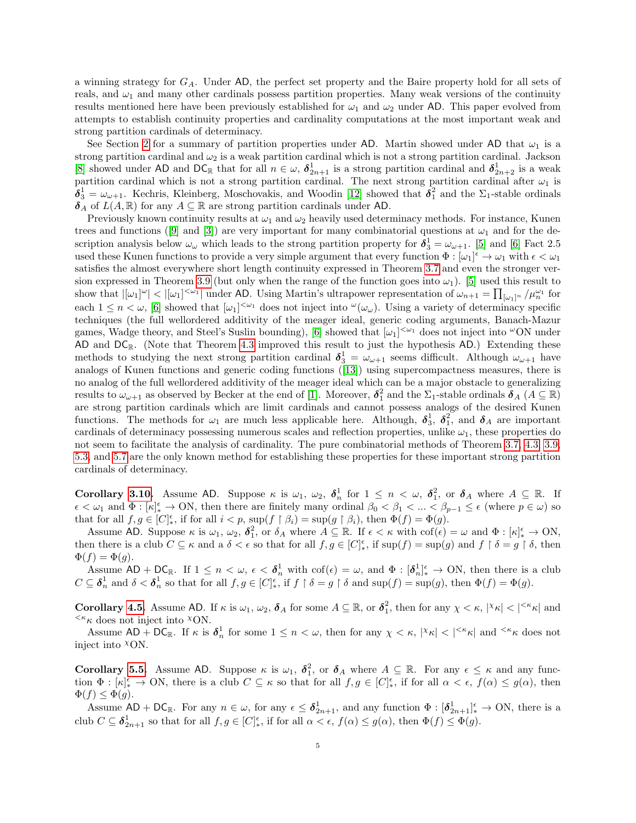a winning strategy for  $G_A$ . Under AD, the perfect set property and the Baire property hold for all sets of reals, and  $\omega_1$  and many other cardinals possess partition properties. Many weak versions of the continuity results mentioned here have been previously established for  $\omega_1$  and  $\omega_2$  under AD. This paper evolved from attempts to establish continuity properties and cardinality computations at the most important weak and strong partition cardinals of determinacy.

See Section [2](#page-5-0) for a summary of partition properties under AD. Martin showed under AD that  $\omega_1$  is a strong partition cardinal and  $\omega_2$  is a weak partition cardinal which is not a strong partition cardinal. Jackson [\[8\]](#page-31-5) showed under AD and DC<sub>R</sub> that for all  $n \in \omega$ ,  $\delta_{2n+1}^1$  is a strong partition cardinal and  $\delta_{2n+2}^1$  is a weak partition cardinal which is not a strong partition cardinal. The next strong partition cardinal after  $\omega_1$  is  $\delta_3^1 = \omega_{\omega+1}$ . Kechris, Kleinberg, Moschovakis, and Woodin [\[12\]](#page-31-6) showed that  $\delta_1^2$  and the  $\Sigma_1$ -stable ordinals  $\delta_A$  of  $L(A, \mathbb{R})$  for any  $A \subseteq \mathbb{R}$  are strong partition cardinals under AD.

Previously known continuity results at  $\omega_1$  and  $\omega_2$  heavily used determinacy methods. For instance, Kunen treesand functions ([\[9\]](#page-31-12) and [\[3\]](#page-31-13)) are very important for many combinatorial questions at  $\omega_1$  and for the description analysis below  $\omega_\omega$  which leads to the strong partition property for  $\delta_3^1 = \omega_{\omega+1}$ . [\[5\]](#page-31-10) and [\[6\]](#page-31-11) Fact 2.5 used these Kunen functions to provide a very simple argument that every function  $\Phi : [\omega_1]^\epsilon \to \omega_1$  with  $\epsilon < \omega_1$ satisfies the almost everywhere short length continuity expressed in Theorem [3.7](#page-10-1) and even the stronger ver-sion expressed in Theorem [3.9](#page-13-0) (but only when the range of the function goes into  $\omega_1$ ). [\[5\]](#page-31-10) used this result to show that  $|[\omega_1]^\omega| < |[\omega_1]^{<\omega_1}|$  under AD. Using Martin's ultrapower representation of  $\omega_{n+1} = \prod_{[\omega_1]^n} / \mu_n^{\omega_1}$  for each  $1 \leq n < \omega$ , [\[6\]](#page-31-11) showed that  $[\omega_1]^{<\omega_1}$  does not inject into  $\omega(\omega_\omega)$ . Using a variety of determinacy specific techniques (the full wellordered additivity of the meager ideal, generic coding arguments, Banach-Mazur games, Wadge theory, and Steel's Suslin bounding), [\[6\]](#page-31-11) showed that  $[\omega_1]^{<\omega_1}$  does not inject into  $\omega$ ON under AD and  $DC_{\mathbb{R}}$ . (Note that Theorem [4.3](#page-15-0) improved this result to just the hypothesis AD.) Extending these methods to studying the next strong partition cardinal  $\delta_3^1 = \omega_{\omega+1}$  seems difficult. Although  $\omega_{\omega+1}$  have analogs of Kunen functions and generic coding functions([\[13\]](#page-31-14)) using supercompactness measures, there is no analog of the full wellordered additivity of the meager ideal which can be a major obstacle to generalizing results to  $\omega_{\omega+1}$  as observed by Becker at the end of [\[1\]](#page-31-15). Moreover,  $\delta_1^2$  and the  $\Sigma_1$ -stable ordinals  $\delta_A$   $(A \subseteq \mathbb{R})$ are strong partition cardinals which are limit cardinals and cannot possess analogs of the desired Kunen functions. The methods for  $\omega_1$  are much less applicable here. Although,  $\delta_3^1$ ,  $\delta_4^2$ , and  $\delta_A$  are important cardinals of determinacy possessing numerous scales and reflection properties, unlike  $\omega_1$ , these properties do not seem to facilitate the analysis of cardinality. The pure combinatorial methods of Theorem [3.7,](#page-10-1) [4.3,](#page-15-0) [3.9,](#page-13-0) [5.3,](#page-19-0) and [5.7](#page-24-0) are the only known method for establishing these properties for these important strong partition cardinals of determinacy.

**Corollary [3.10.](#page-13-1)** Assume AD. Suppose  $\kappa$  is  $\omega_1$ ,  $\omega_2$ ,  $\delta_n^1$  for  $1 \leq n \leq \omega$ ,  $\delta_1^2$ , or  $\delta_A$  where  $A \subseteq \mathbb{R}$ . If  $\epsilon < \omega_1$  and  $\Phi : [\kappa]_*^{\epsilon} \to ON$ , then there are finitely many ordinal  $\beta_0 < \beta_1 < ... < \beta_{p-1} \leq \epsilon$  (where  $p \in \omega$ ) so that for all  $f, g \in [C]_*^{\epsilon}$ , if for all  $i < p$ ,  $\sup(f \upharpoonright \beta_i) = \sup(g \upharpoonright \beta_i)$ , then  $\Phi(f) = \Phi(g)$ .

Assume AD. Suppose  $\kappa$  is  $\omega_1, \omega_2, \delta_1^2$ , or  $\delta_A$  where  $A \subseteq \mathbb{R}$ . If  $\epsilon < \kappa$  with  $\cot(\epsilon) = \omega$  and  $\Phi : [\kappa]_*^{\epsilon} \to ON$ , then there is a club  $C \subseteq \kappa$  and a  $\delta < \epsilon$  so that for all  $f, g \in [C]_{*}^{\epsilon}$ , if  $\sup(f) = \sup(g)$  and  $f \restriction \delta = g \restriction \delta$ , then  $\Phi(f) = \Phi(g).$ 

Assume  $AD + DC_{\mathbb{R}}$ . If  $1 \leq n < \omega$ ,  $\epsilon < \delta_n^1$  with  $\mathrm{cof}(\epsilon) = \omega$ , and  $\Phi : [\delta_n^1]_{*}^{\epsilon} \to ON$ , then there is a club  $C \subseteq \boldsymbol{\delta}_n^1$  and  $\delta < \boldsymbol{\delta}_n^1$  so that for all  $f, g \in [C]_*^{\epsilon}$ , if  $f \restriction \delta = g \restriction \delta$  and  $\sup(f) = \sup(g)$ , then  $\Phi(f) = \Phi(g)$ .

**Corollary [4.5.](#page-16-1)** Assume AD. If  $\kappa$  is  $\omega_1, \omega_2, \delta_A$  for some  $A \subseteq \mathbb{R}$ , or  $\delta_1^2$ , then for any  $\chi < \kappa$ ,  $|\chi_{\kappa}| < |\kappa_{\kappa}|$  and  $\langle \kappa \kappa \rangle$  does not inject into  $\chi$ ON.

Assume  $AD + DC_{\mathbb{R}}$ . If  $\kappa$  is  $\delta_n^1$  for some  $1 \leq n < \omega$ , then for any  $\chi < \kappa$ ,  $|\chi_{\kappa}| < |\kappa_{\kappa}|$  and  $\kappa_{\kappa}$  does not inject into  $^{\chi}$ ON.

**Corollary [5.5.](#page-22-0)** Assume AD. Suppose  $\kappa$  is  $\omega_1$ ,  $\delta_1^2$ , or  $\delta_A$  where  $A \subseteq \mathbb{R}$ . For any  $\epsilon \leq \kappa$  and any function  $\Phi : [\kappa]_*^{\epsilon} \to \text{ON}$ , there is a club  $C \subseteq \kappa$  so that for all  $f, g \in [C]_*^{\epsilon}$ , if for all  $\alpha < \epsilon$ ,  $f(\alpha) \leq g(\alpha)$ , then  $\Phi(f) \leq \Phi(g).$ 

Assume  $AD + DC_{\mathbb{R}}$ . For any  $n \in \omega$ , for any  $\epsilon \leq \delta_{2n+1}^1$ , and any function  $\Phi : [\delta_{2n+1}^1]_*^{\epsilon} \to ON$ , there is a club  $C \subseteq \boldsymbol{\delta}_{2n+1}^1$  so that for all  $f, g \in [C]_*^{\epsilon}$ , if for all  $\alpha < \epsilon$ ,  $f(\alpha) \leq g(\alpha)$ , then  $\Phi(f) \leq \Phi(g)$ .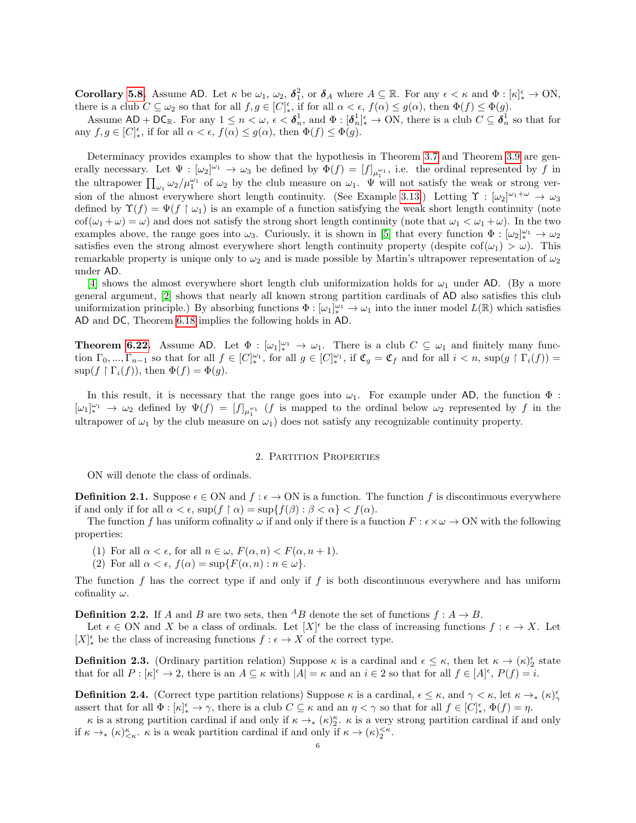**Corollary [5.8.](#page-24-3)** Assume AD. Let  $\kappa$  be  $\omega_1$ ,  $\omega_2$ ,  $\delta_1^2$ , or  $\delta_A$  where  $A \subseteq \mathbb{R}$ . For any  $\epsilon < \kappa$  and  $\Phi : [\kappa]_*^{\epsilon} \to \text{ON}$ , there is a club  $C \subseteq \omega_2$  so that for all  $f, g \in [C]_*^{\epsilon}$ , if for all  $\alpha < \epsilon$ ,  $f(\alpha) \leq g(\alpha)$ , then  $\Phi(f) \leq \Phi(g)$ .

Assume  $AD + DC_{\mathbb{R}}$ . For any  $1 \leq n < \omega$ ,  $\epsilon < \delta_n^1$ , and  $\Phi : [\delta_n^1]_{\epsilon}^{\epsilon} \to ON$ , there is a club  $C \subseteq \delta_n^1$  so that for any  $f, g \in [C]_*^{\epsilon}$ , if for all  $\alpha < \epsilon$ ,  $f(\alpha) \le g(\alpha)$ , then  $\Phi(f) \le \Phi(g)$ .

Determinacy provides examples to show that the hypothesis in Theorem [3.7](#page-10-1) and Theorem [3.9](#page-13-0) are generally necessary. Let  $\Psi : [\omega_2]^{\omega_1} \to \omega_3$  be defined by  $\Phi(f) = [f]_{\mu_1^{\omega_1}}$ , i.e. the ordinal represented by f in the ultrapower  $\prod_{\omega_1} \omega_2/\mu_1^{\omega_1}$  of  $\omega_2$  by the club measure on  $\omega_1$ .  $\Psi$  will not satisfy the weak or strong ver-sion of the almost everywhere short length continuity. (See Example [3.13.](#page-14-0)) Letting  $\Upsilon : [\omega_2]^{\omega_1 + \omega} \to \omega_3$ defined by  $\Upsilon(f) = \Psi(f \mid \omega_1)$  is an example of a function satisfying the weak short length continuity (note  $\cot(\omega_1 + \omega) = \omega$ ) and does not satisfy the strong short length continuity (note that  $\omega_1 < \omega_1 + \omega$ ). In the two examples above, the range goes into  $\omega_3$ . Curiously, it is shown in [\[5\]](#page-31-10) that every function  $\Phi : [\omega_2]_{*}^{\omega_1} \to \omega_2$ satisfies even the strong almost everywhere short length continuity property (despite  $\text{cof}(\omega_1) > \omega$ ). This remarkable property is unique only to  $\omega_2$  and is made possible by Martin's ultrapower representation of  $\omega_2$ under AD.

[\[4\]](#page-31-8) shows the almost everywhere short length club uniformization holds for  $\omega_1$  under AD. (By a more general argument, [\[2\]](#page-31-9) shows that nearly all known strong partition cardinals of AD also satisfies this club uniformization principle.) By absorbing functions  $\Phi : [\omega_1]_*^{\omega_1} \to \omega_1$  into the inner model  $L(\mathbb{R})$  which satisfies AD and DC, Theorem [6.18](#page-30-0) implies the following holds in AD.

**Theorem [6.22.](#page-31-16)** Assume AD. Let  $\Phi : [\omega_1]_*^{\omega_1} \to \omega_1$ . There is a club  $C \subseteq \omega_1$  and finitely many function  $\Gamma_0, ..., \Gamma_{n-1}$  so that for all  $f \in [C]_*^{\omega_1}$ , for all  $g \in [C]_*^{\omega_1}$ , if  $\mathfrak{C}_g = \mathfrak{C}_f$  and for all  $i < n$ ,  $\sup(g \restriction \Gamma_i(f)) =$  $\sup(f \restriction \Gamma_i(f))$ , then  $\Phi(f) = \Phi(g)$ .

In this result, it is necessary that the range goes into  $\omega_1$ . For example under AD, the function  $\Phi$ :  $[\omega_1]_*^{\omega_1} \to \omega_2$  defined by  $\Psi(f) = [f]_{\mu_1^{\omega_1}}$  (f is mapped to the ordinal below  $\omega_2$  represented by f in the ultrapower of  $\omega_1$  by the club measure on  $\omega_1$ ) does not satisfy any recognizable continuity property.

### 2. Partition Properties

<span id="page-5-0"></span>ON will denote the class of ordinals.

**Definition 2.1.** Suppose  $\epsilon \in ON$  and  $f : \epsilon \to ON$  is a function. The function f is discontinuous everywhere if and only if for all  $\alpha < \epsilon$ ,  $\sup(f \restriction \alpha) = \sup\{f(\beta) : \beta < \alpha\} < f(\alpha)$ .

The function f has uniform cofinality  $\omega$  if and only if there is a function  $F : \epsilon \times \omega \to ON$  with the following properties:

- (1) For all  $\alpha < \epsilon$ , for all  $n \in \omega$ ,  $F(\alpha, n) < F(\alpha, n+1)$ .
- (2) For all  $\alpha < \epsilon$ ,  $f(\alpha) = \sup\{F(\alpha, n) : n \in \omega\}.$

The function f has the correct type if and only if f is both discontinuous everywhere and has uniform cofinality  $\omega$ .

**Definition 2.2.** If A and B are two sets, then <sup>A</sup>B denote the set of functions  $f : A \rightarrow B$ .

Let  $\epsilon \in \text{ON}$  and X be a class of ordinals. Let  $[X]^{\epsilon}$  be the class of increasing functions  $f : \epsilon \to X$ . Let  $[X]_{*}^{\epsilon}$  be the class of increasing functions  $f : \epsilon \to X$  of the correct type.

**Definition 2.3.** (Ordinary partition relation) Suppose  $\kappa$  is a cardinal and  $\epsilon \leq \kappa$ , then let  $\kappa \to (\kappa)_{2}^{\epsilon}$  state that for all  $P: [\kappa]^{\epsilon} \to 2$ , there is an  $A \subseteq \kappa$  with  $|A| = \kappa$  and an  $i \in 2$  so that for all  $f \in [A]^{\epsilon}$ ,  $P(f) = i$ .

**Definition 2.4.** (Correct type partition relations) Suppose  $\kappa$  is a cardinal,  $\epsilon \leq \kappa$ , and  $\gamma < \kappa$ , let  $\kappa \to_{*} (\kappa)_{\gamma}^{\epsilon}$ assert that for all  $\Phi: [\kappa]_*^{\epsilon} \to \gamma$ , there is a club  $C \subseteq \kappa$  and an  $\eta < \gamma$  so that for all  $f \in [C]_*^{\epsilon}$ ,  $\Phi(f) = \eta$ .

 $\kappa$  is a strong partition cardinal if and only if  $\kappa \to_{\ast} (\kappa)^{\kappa}_{2}$ .  $\kappa$  is a very strong partition cardinal if and only if  $\kappa \to (\kappa)_{\leq \kappa}^{\kappa}$ .  $\kappa$  is a weak partition cardinal if and only if  $\kappa \to (\kappa)_{2}^{\leq \kappa}$ .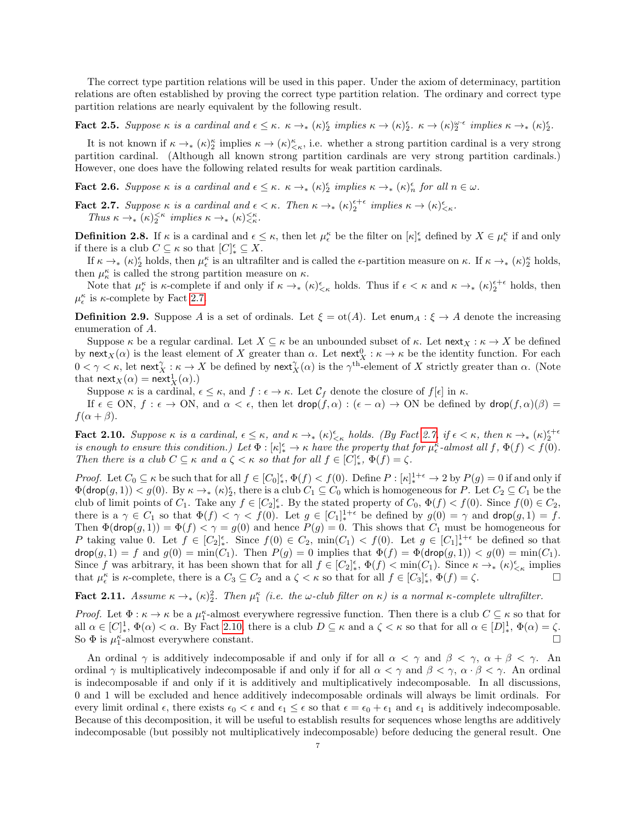The correct type partition relations will be used in this paper. Under the axiom of determinacy, partition relations are often established by proving the correct type partition relation. The ordinary and correct type partition relations are nearly equivalent by the following result.

Fact 2.5. Suppose  $\kappa$  is a cardinal and  $\epsilon \leq \kappa$ .  $\kappa \to_{*} (\kappa)_{2}^{\epsilon}$  implies  $\kappa \to (\kappa)_{2}^{\epsilon}$ .  $\kappa \to (\kappa)_{2}^{\omega \cdot \epsilon}$  implies  $\kappa \to_{*} (\kappa)_{2}^{\epsilon}$ .

It is not known if  $\kappa \to (\kappa)^{\kappa}_{2}$  implies  $\kappa \to (\kappa)^{\kappa}_{\leq \kappa}$ , i.e. whether a strong partition cardinal is a very strong partition cardinal. (Although all known strong partition cardinals are very strong partition cardinals.) However, one does have the following related results for weak partition cardinals.

<span id="page-6-2"></span>**Fact 2.6.** Suppose  $\kappa$  is a cardinal and  $\epsilon \leq \kappa$ .  $\kappa \to_{\ast} (\kappa)_{2}^{\epsilon}$  implies  $\kappa \to_{\ast} (\kappa)_{n}^{\epsilon}$  for all  $n \in \omega$ .

<span id="page-6-0"></span>**Fact 2.7.** Suppose  $\kappa$  is a cardinal and  $\epsilon < \kappa$ . Then  $\kappa \to (\kappa)_{2}^{\epsilon+\epsilon}$  implies  $\kappa \to (\kappa)_{\leq \kappa}^{\epsilon}$ . Thus  $\kappa \to_{\ast} (\kappa)_{2}^{<\kappa}$  implies  $\kappa \to_{\ast} (\kappa)_{<\kappa}^{<\kappa}$ .

**Definition 2.8.** If  $\kappa$  is a cardinal and  $\epsilon \leq \kappa$ , then let  $\mu_{\epsilon}^{\kappa}$  be the filter on  $[\kappa]_{*}^{\epsilon}$  defined by  $X \in \mu_{\epsilon}^{\kappa}$  if and only if there is a club  $C \subseteq \kappa$  so that  $[C]_*^{\epsilon} \subseteq X$ .

If  $\kappa \to_\ast (\kappa)^\epsilon_2$  holds, then  $\mu_\epsilon^\kappa$  is an ultrafilter and is called the  $\epsilon$ -partition measure on  $\kappa$ . If  $\kappa \to_\ast (\kappa)^\kappa_2$  holds, then  $\mu_{\kappa}^{\kappa}$  is called the strong partition measure on  $\kappa$ .

Note that  $\mu_{\epsilon}^{\kappa}$  is  $\kappa$ -complete if and only if  $\kappa \to_{*} (\kappa)_{\leq \kappa}^{\epsilon}$  holds. Thus if  $\epsilon < \kappa$  and  $\kappa \to_{*} (\kappa)_{2}^{\epsilon+\epsilon}$  holds, then  $\mu_{\epsilon}^{\kappa}$  is  $\kappa$ -complete by Fact [2.7.](#page-6-0)

**Definition 2.9.** Suppose A is a set of ordinals. Let  $\xi = \text{ot}(A)$ . Let enum<sub>A</sub> :  $\xi \to A$  denote the increasing enumeration of A.

Suppose κ be a regular cardinal. Let  $X \subseteq \kappa$  be an unbounded subset of  $\kappa$ . Let next $X : \kappa \to X$  be defined by next $_X(\alpha)$  is the least element of X greater than  $\alpha$ . Let next $_X^0: \kappa \to \kappa$  be the identity function. For each  $0 < \gamma < \kappa$ , let next $^{\gamma}_X : \kappa \to X$  be defined by next $^{\gamma}_X(\alpha)$  is the  $\gamma^{\text{th}}$ -element of X strictly greater than  $\alpha$ . (Note that  $\mathsf{next}_X(\alpha) = \mathsf{next}_X^1(\alpha)$ .)

Suppose  $\kappa$  is a cardinal,  $\epsilon \leq \kappa$ , and  $f : \epsilon \to \kappa$ . Let  $\mathcal{C}_f$  denote the closure of  $f[\epsilon]$  in  $\kappa$ .

If  $\epsilon \in \text{ON}, f : \epsilon \to \text{ON}, \text{ and } \alpha < \epsilon$ , then let  $\text{drop}(f, \alpha) : (\epsilon - \alpha) \to \text{ON}$  be defined by  $\text{drop}(f, \alpha)(\beta) =$  $f(\alpha+\beta)$ .

<span id="page-6-1"></span>**Fact 2.10.** Suppose  $\kappa$  is a cardinal,  $\epsilon \leq \kappa$ , and  $\kappa \to_{*} (\kappa)_{\leq \kappa}^{\epsilon}$  holds. (By Fact [2.7,](#page-6-0) if  $\epsilon < \kappa$ , then  $\kappa \to_{*} (\kappa)_{2}^{\epsilon+\epsilon}$ is enough to ensure this condition.) Let  $\Phi : [\kappa]_*^{\epsilon} \to \kappa$  have the property that for  $\mu_{\epsilon}^{\kappa}$ -almost all  $f, \Phi(f) < f(0)$ . Then there is a club  $C \subseteq \kappa$  and  $a \zeta < \kappa$  so that for all  $f \in [C]_{*}^{\epsilon}$ ,  $\Phi(f) = \zeta$ .

Proof. Let  $C_0 \subseteq \kappa$  be such that for all  $f \in [C_0]_*^{\epsilon}$ ,  $\Phi(f) < f(0)$ . Define  $P : [\kappa]_*^{1+\epsilon} \to 2$  by  $P(g) = 0$  if and only if  $\Phi(\text{drop}(g,1)) < g(0)$ . By  $\kappa \to_{*} (\kappa)_{2}^{\epsilon}$ , there is a club  $C_1 \subseteq C_0$  which is homogeneous for P. Let  $C_2 \subseteq C_1$  be the club of limit points of  $C_1$ . Take any  $f \in [C_2]_*^{\epsilon}$ . By the stated property of  $C_0$ ,  $\Phi(f) < f(0)$ . Since  $f(0) \in C_2$ , there is a  $\gamma \in C_1$  so that  $\Phi(f) < \gamma < f(0)$ . Let  $g \in [C_1]_*^{1+\epsilon}$  be defined by  $g(0) = \gamma$  and  $\text{drop}(g, 1) = f$ . Then  $\Phi(\text{drop}(g,1)) = \Phi(f) < \gamma = g(0)$  and hence  $P(g) = 0$ . This shows that  $C_1$  must be homogeneous for P taking value 0. Let  $f \in [C_2]_*^{\epsilon}$ . Since  $f(0) \in C_2$ ,  $\min(C_1) < f(0)$ . Let  $g \in [C_1]_*^{1+\epsilon}$  be defined so that  $\text{drop}(g, 1) = f$  and  $g(0) = \min(C_1)$ . Then  $P(g) = 0$  implies that  $\Phi(f) = \Phi(\text{drop}(g, 1)) < g(0) = \min(C_1)$ . Since f was arbitrary, it has been shown that for all  $f \in [C_2]_*^{\epsilon}$ ,  $\Phi(f) < \min(C_1)$ . Since  $\kappa \to_{*} (\kappa)_{\leq \kappa}^{\epsilon}$  implies that  $\mu_{\epsilon}^{\kappa}$  is  $\kappa$ -complete, there is a  $C_3 \subseteq C_2$  and a  $\zeta < \kappa$  so that for all  $f \in [C_3]_{*}^{\epsilon}$ ,  $\Phi(f) = \zeta$ .

<span id="page-6-3"></span>Fact 2.11. Assume  $\kappa \to_{*} (\kappa)^2$ . Then  $\mu_1^{\kappa}$  (i.e. the  $\omega$ -club filter on  $\kappa$ ) is a normal  $\kappa$ -complete ultrafilter.

Proof. Let  $\Phi : \kappa \to \kappa$  be a  $\mu_1^{\kappa}$ -almost everywhere regressive function. Then there is a club  $C \subseteq \kappa$  so that for all  $\alpha \in [C]^1_*, \Phi(\alpha) < \alpha$ . By Fact [2.10,](#page-6-1) there is a club  $D \subseteq \kappa$  and a  $\zeta < \kappa$  so that for all  $\alpha \in [D]^1_*, \Phi(\alpha) = \zeta$ . So  $\Phi$  is  $\mu_1^{\kappa}$ -almost everywhere constant.

An ordinal  $\gamma$  is additively indecomposable if and only if for all  $\alpha < \gamma$  and  $\beta < \gamma$ ,  $\alpha + \beta < \gamma$ . An ordinal  $\gamma$  is multiplicatively indecomposable if and only if for all  $\alpha < \gamma$  and  $\beta < \gamma$ ,  $\alpha \cdot \beta < \gamma$ . An ordinal is indecomposable if and only if it is additively and multiplicatively indecomposable. In all discussions, 0 and 1 will be excluded and hence additively indecomposable ordinals will always be limit ordinals. For every limit ordinal  $\epsilon$ , there exists  $\epsilon_0 < \epsilon$  and  $\epsilon_1 \leq \epsilon$  so that  $\epsilon = \epsilon_0 + \epsilon_1$  and  $\epsilon_1$  is additively indecomposable. Because of this decomposition, it will be useful to establish results for sequences whose lengths are additively indecomposable (but possibly not multiplicatively indecomposable) before deducing the general result. One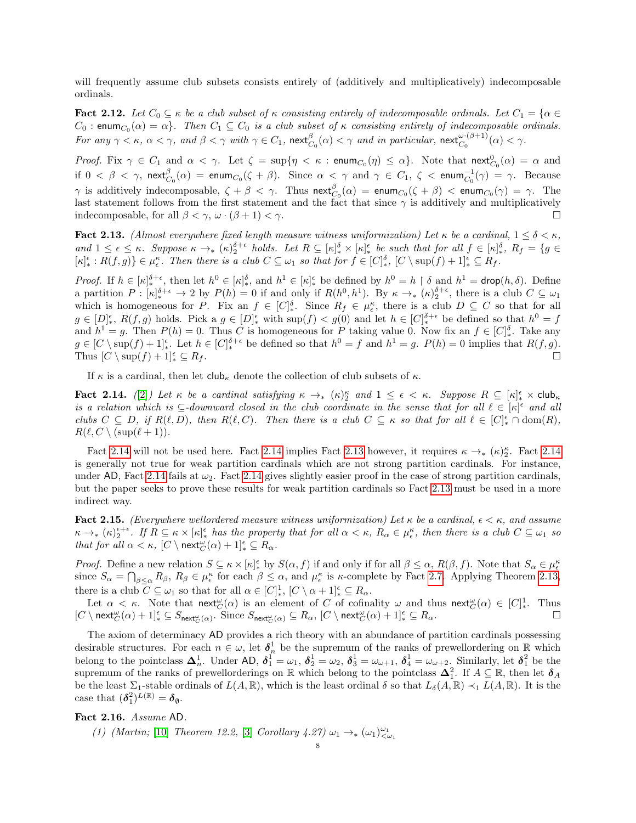will frequently assume club subsets consists entirely of (additively and multiplicatively) indecomposable ordinals.

<span id="page-7-2"></span>**Fact 2.12.** Let  $C_0 \subseteq \kappa$  be a club subset of  $\kappa$  consisting entirely of indecomposable ordinals. Let  $C_1 = \{\alpha \in \kappa\}$  $C_0$  : enum $_{C_0}(\alpha) = \alpha$ . Then  $C_1 \subseteq C_0$  is a club subset of  $\kappa$  consisting entirely of indecomposable ordinals. For any  $\gamma < \kappa$ ,  $\alpha < \gamma$ , and  $\beta < \gamma$  with  $\gamma \in C_1$ ,  $\mathsf{next}_{C_0}^{\beta}(\alpha) < \gamma$  and in particular,  $\mathsf{next}_{C_0}^{\omega \cdot (\beta+1)}(\alpha) < \gamma$ .

*Proof.* Fix  $\gamma \in C_1$  and  $\alpha < \gamma$ . Let  $\zeta = \sup\{\eta < \kappa : \text{enum}_{C_0}(\eta) \leq \alpha\}$ . Note that  $\text{next}_{C_0}^0(\alpha) = \alpha$  and if  $0 < \beta < \gamma$ ,  $\mathsf{next}^{\beta}_{C_0}(\alpha) = \mathsf{enum}_{C_0}(\zeta + \beta)$ . Since  $\alpha < \gamma$  and  $\gamma \in C_1$ ,  $\zeta < \mathsf{enum}_{C_0}^{-1}(\gamma) = \gamma$ . Because  $\gamma$  is additively indecomposable,  $\zeta + \beta < \gamma$ . Thus  $\mathsf{next}_{C_0}^{\beta}(\alpha) = \mathsf{enum}_{C_0}(\zeta + \beta) < \mathsf{enum}_{C_0}(\gamma) = \gamma$ . The last statement follows from the first statement and the fact that since  $\gamma$  is additively and multiplicatively indecomposable, for all  $\beta < \gamma$ ,  $\omega \cdot (\beta + 1) < \gamma$ .

<span id="page-7-1"></span>Fact 2.13. (Almost everywhere fixed length measure witness uniformization) Let  $\kappa$  be a cardinal,  $1 \leq \delta < \kappa$ , and  $1 \leq \epsilon \leq \kappa$ . Suppose  $\kappa \to_{\ast} (\kappa)_{2}^{\delta+\epsilon}$  holds. Let  $R \subseteq [\kappa]_{\ast}^{\delta} \times [\kappa]_{\ast}^{\epsilon}$  be such that for all  $f \in [\kappa]_{\ast}^{\delta}$ ,  $R_{f} = \{g \in$  $\{\kappa\}_{*}^{\epsilon}: R(f,g)\}\in\mu_{\epsilon}^{\kappa}$ . Then there is a club  $C\subseteq\omega_{1}$  so that for  $f\in[C]{\epsilon}_{*}^{{\delta}}, [C\setminus\sup(f)+1]_{*}^{\epsilon}\subseteq R_{f}$ .

*Proof.* If  $h \in [\kappa]_*^{\delta+\epsilon}$ , then let  $h^0 \in [\kappa]_*^{\delta}$ , and  $h^1 \in [\kappa]_*^{\epsilon}$  be defined by  $h^0 = h \restriction \delta$  and  $h^1 = \text{drop}(h, \delta)$ . Define a partition  $P: [\kappa]_*^{\delta+\epsilon} \to 2$  by  $P(h) = 0$  if and only if  $R(h^0, h^1)$ . By  $\kappa \to_* (\kappa)_{2}^{\delta+\epsilon}$ , there is a club  $C \subseteq \omega_1$ which is homogeneous for P. Fix an  $f \in [C]_*^{\delta}$ . Since  $R_f \in \mu_{\epsilon}^{\kappa}$ , there is a club  $D \subseteq C$  so that for all  $g \in [D]_*^{\epsilon}$ ,  $R(f,g)$  holds. Pick a  $g \in [D]_*^{\epsilon}$  with  $\sup(f) < g(0)$  and let  $h \in [C]_*^{\delta+\epsilon}$  be defined so that  $h^0 = f$ and  $h^1 = g$ . Then  $P(h) = 0$ . Thus C is homogeneous for P taking value 0. Now fix an  $f \in [C]_*^{\delta}$ . Take any  $g \in [C \setminus \sup(f) + 1]_{*}^{\epsilon}$ . Let  $h \in [C]_{*}^{\delta+\epsilon}$  be defined so that  $h^{0} = f$  and  $h^{1} = g$ .  $P(h) = 0$  implies that  $R(f, g)$ . Thus  $[C \setminus \sup(f) + 1]_*^{\epsilon} \subseteq R_f$ .  $\frac{e}{\ast} \subseteq R_f.$ 

If  $\kappa$  is a cardinal, then let  $\mathsf{club}_\kappa$  denote the collection of club subsets of  $\kappa$ .

<span id="page-7-0"></span>Fact 2.14. ([\[2\]](#page-31-9)) Let  $\kappa$  be a cardinal satisfying  $\kappa \to_{*} (\kappa)_{2}^{\kappa}$  and  $1 \leq \epsilon < \kappa$ . Suppose  $R \subseteq [\kappa]_{*}^{\epsilon} \times$  club $\kappa$ is a relation which is  $\subseteq$ -downward closed in the club coordinate in the sense that for all  $\ell \in [\kappa]^{\epsilon}$  and all clubs  $C \subseteq D$ , if  $R(\ell, D)$ , then  $R(\ell, C)$ . Then there is a club  $C \subseteq \kappa$  so that for all  $\ell \in [C]_*^{\epsilon} \cap \text{dom}(R)$ ,  $R(\ell, C \setminus (\sup(\ell + 1)).$ 

Fact [2.14](#page-7-0) will not be used here. Fact 2.14 implies Fact [2.13](#page-7-1) however, it requires  $\kappa \to_{*} (\kappa)_{2}^{\kappa}$ . Fact 2.14 is generally not true for weak partition cardinals which are not strong partition cardinals. For instance, under AD, Fact [2.14](#page-7-0) fails at  $\omega_2$ . Fact 2.14 gives slightly easier proof in the case of strong partition cardinals, but the paper seeks to prove these results for weak partition cardinals so Fact [2.13](#page-7-1) must be used in a more indirect way.

<span id="page-7-4"></span>Fact 2.15. (Everywhere wellordered measure witness uniformization) Let  $\kappa$  be a cardinal,  $\epsilon < \kappa$ , and assume  $\kappa \to_{*} (\kappa)_{2}^{\epsilon+\epsilon}$ . If  $R \subseteq \kappa \times [\kappa]_{*}^{\epsilon}$  has the property that for all  $\alpha < \kappa$ ,  $R_{\alpha} \in \mu_{\epsilon}^{\kappa}$ , then there is a club  $C \subseteq \omega_{1}$  so that for all  $\alpha < \kappa$ ,  $[C \setminus \text{next}_{C}^{\omega}(\alpha) + 1]_{*}^{\epsilon} \subseteq R_{\alpha}$ .

*Proof.* Define a new relation  $S \subseteq \kappa \times [\kappa]_*^{\epsilon}$  by  $S(\alpha, f)$  if and only if for all  $\beta \leq \alpha$ ,  $R(\beta, f)$ . Note that  $S_{\alpha} \in \mu_{\epsilon}^{\kappa}$ since  $S_{\alpha} = \bigcap_{\beta \leq \alpha} R_{\beta}, R_{\beta} \in \mu_{\epsilon}^{\kappa}$  for each  $\beta \leq \alpha$ , and  $\mu_{\epsilon}^{\kappa}$  is  $\kappa$ -complete by Fact [2.7.](#page-6-0) Applying Theorem [2.13,](#page-7-1) there is a club  $C \subseteq \omega_1$  so that for all  $\alpha \in [C]_*^1$ ,  $[C \setminus \alpha + 1]_*^{\epsilon} \subseteq R_{\alpha}$ .

Let  $\alpha < \kappa$ . Note that  $\operatorname{next}_{\mathbb{C}}^{\omega}(\alpha)$  is an element of C of cofinality  $\omega$  and thus  $\operatorname{next}_{\mathbb{C}}^{\omega}(\alpha) \in [C]^1_*$ . Thus  $[C \setminus \text{next}_{C}^{\omega}(\alpha) + 1]_{*}^{\epsilon} \subseteq S_{\text{next}_{C}^{\omega}(\alpha)}$ . Since  $S_{\text{next}_{C}^{\omega}(\alpha)} \subseteq R_{\alpha}$ ,  $[C \setminus \text{next}_{C}^{\omega}(\alpha) + 1]_{*}^{\epsilon} \subseteq R_{\alpha}$ .

The axiom of determinacy AD provides a rich theory with an abundance of partition cardinals possessing desirable structures. For each  $n \in \omega$ , let  $\delta_n^1$  be the supremum of the ranks of prewellordering on R which belong to the pointclass  $\Delta_n^1$ . Under AD,  $\delta_1^1 = \omega_1$ ,  $\delta_2^1 = \omega_2$ ,  $\delta_3^1 = \omega_{\omega+1}$ ,  $\delta_4^1 = \omega_{\omega+2}$ . Similarly, let  $\delta_1^2$  be the supremum of the ranks of prewellorderings on R which belong to the pointclass  $\Delta_1^2$ . If  $A \subseteq \mathbb{R}$ , then let  $\delta_A$ be the least  $\Sigma_1$ -stable ordinals of  $L(A, \mathbb{R})$ , which is the least ordinal  $\delta$  so that  $L_{\delta}(A, \mathbb{R}) \prec_1 L(A, \mathbb{R})$ . It is the case that  $(\boldsymbol{\delta}_1^2)^{L(\mathbb{R})} = \boldsymbol{\delta}_{\emptyset}$ .

### <span id="page-7-3"></span>Fact 2.16. Assume AD.

(1) (Martin; [\[10\]](#page-31-17) Theorem 12.2, [\[3\]](#page-31-13) Corollary 4.27)  $\omega_1 \rightarrow_{\ast} (\omega_1)^{\omega_1}_{\leq \omega_1}$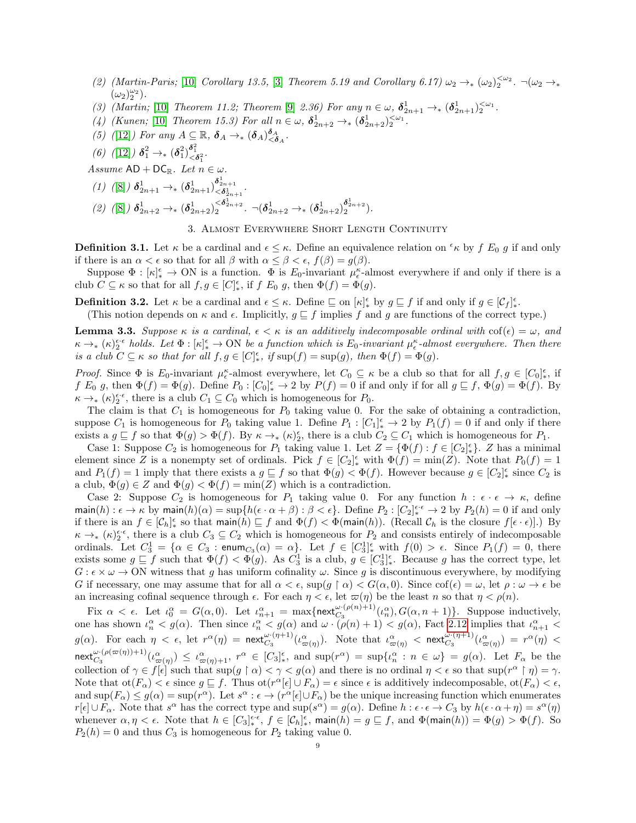- (2) (Martin-Paris; [\[10\]](#page-31-17) Corollary 13.5, [\[3\]](#page-31-13) Theorem 5.19 and Corollary 6.17)  $\omega_2 \rightarrow_{\ast} (\omega_2)^{\leq \omega_2}_{2}$ .  $\neg(\omega_2 \rightarrow_{\ast}$  $(\omega_2)_2^{\omega_2}$ ).
- (3) (Martin; [\[10\]](#page-31-17) Theorem 11.2; Theorem [\[9\]](#page-31-12) 2.36) For any  $n \in \omega$ ,  $\delta_{2n+1}^1 \rightarrow_{*} (\delta_{2n+1}^1)^{\leq \omega_1}$ .
- (4) (Kunen; [\[10\]](#page-31-17) Theorem 15.3) For all  $n \in \omega$ ,  $\delta_{2n+2}^1 \rightarrow_{\ast} (\delta_{2n+2}^1)^{\leq \omega_1}$ .
- (5) ([\[12\]](#page-31-6)) For any  $A \subseteq \mathbb{R}$ ,  $\delta_A \rightarrow_* (\delta_A)^{\delta_A}_{\leq \delta_A}$ .
- (6) ([\[12\]](#page-31-6))  $\delta_1^2 \rightarrow_{\ast} (\delta_1^2) \frac{\delta_1^2}{\delta_1^2}$ .

Assume  $AD + DC_{\mathbb{R}}$ . Let  $n \in \omega$ .

- (1) ([\[8\]](#page-31-5))  $\delta^1_{2n+1} \rightarrow_{*} (\delta^1_{2n+1})^{\delta^1_{2n+1}}_{< \delta^1_{2n+1}}$ .
- (2) ([\[8\]](#page-31-5))  $\delta_{2n+2}^1 \rightarrow_{\ast} (\delta_{2n+2}^1)^{\leq \delta_{2n+2}^1}$ .  $\neg(\delta_{2n+2}^1 \rightarrow_{\ast} (\delta_{2n+2}^1)^{\delta_{2n+2}^1}$ .

## 3. Almost Everywhere Short Length Continuity

**Definition 3.1.** Let  $\kappa$  be a cardinal and  $\epsilon \leq \kappa$ . Define an equivalence relation on  $\kappa$  by f E<sub>0</sub> g if and only if there is an  $\alpha < \epsilon$  so that for all  $\beta$  with  $\alpha \leq \beta < \epsilon$ ,  $f(\beta) = g(\beta)$ .

Suppose  $\Phi : [\kappa]_*^{\epsilon} \to ON$  is a function.  $\Phi$  is  $E_0$ -invariant  $\mu_{\epsilon}^{\kappa}$ -almost everywhere if and only if there is a club  $C \subseteq \kappa$  so that for all  $f, g \in [C]_{*}^{\epsilon}$ , if  $f \mathrel{E_0} g$ , then  $\Phi(f) = \Phi(g)$ .

**Definition 3.2.** Let  $\kappa$  be a cardinal and  $\epsilon \leq \kappa$ . Define  $\subseteq$  on  $[\kappa]_{*}^{\epsilon}$  by  $g \subseteq f$  if and only if  $g \in [\mathcal{C}_f]_{*}^{\epsilon}$ .

(This notion depends on  $\kappa$  and  $\epsilon$ . Implicitly,  $g \sqsubseteq f$  implies f and g are functions of the correct type.)

<span id="page-8-0"></span>**Lemma 3.3.** Suppose  $\kappa$  is a cardinal,  $\epsilon < \kappa$  is an additively indecomposable ordinal with  $\cot(\epsilon) = \omega$ , and  $\kappa \to_{\ast} (\kappa)_{2}^{\epsilon \cdot \epsilon}$  holds. Let  $\Phi : [\kappa]_{\ast}^{\epsilon} \to \text{ON}$  be a function which is  $E_0$ -invariant  $\mu_{\epsilon}^{\kappa}$ -almost everywhere. Then there is a club  $C \subseteq \kappa$  so that for all  $f, g \in [C]_{*}^{\epsilon}$ , if  $\sup(f) = \sup(g)$ , then  $\Phi(f) = \Phi(g)$ .

Proof. Since  $\Phi$  is  $E_0$ -invariant  $\mu_{\epsilon}^{\kappa}$ -almost everywhere, let  $C_0 \subseteq \kappa$  be a club so that for all  $f, g \in [C_0]_{*}^{\epsilon}$ , if  $f E_0 g$ , then  $\Phi(f) = \Phi(g)$ . Define  $P_0: [C_0]_*^{\epsilon} \to 2$  by  $P(f) = 0$  if and only if for all  $g \sqsubseteq f$ ,  $\Phi(g) = \Phi(f)$ . By  $\kappa \to_{\ast} (\kappa)_{2}^{\epsilon \cdot \epsilon}$ , there is a club  $C_1 \subseteq C_0$  which is homogeneous for  $P_0$ .

The claim is that  $C_1$  is homogeneous for  $P_0$  taking value 0. For the sake of obtaining a contradiction, suppose  $C_1$  is homogeneous for  $P_0$  taking value 1. Define  $P_1: [C_1]_*^{\epsilon} \to 2$  by  $P_1(f) = 0$  if and only if there exists a  $g \subseteq f$  so that  $\Phi(g) > \Phi(f)$ . By  $\kappa \to_{*} (\kappa)_{2}^{\epsilon}$ , there is a club  $C_2 \subseteq C_1$  which is homogeneous for  $P_1$ .

Case 1: Suppose  $C_2$  is homogeneous for  $P_1$  taking value 1. Let  $Z = {\Phi(f) : f \in [C_2]_{\ast}^{\epsilon}}$ . Z has a minimal element since Z is a nonempty set of ordinals. Pick  $f \in [C_2]_*^{\epsilon}$  with  $\Phi(f) = \min(Z)$ . Note that  $P_0(f) = 1$ and  $P_1(f) = 1$  imply that there exists a  $g \subseteq f$  so that  $\Phi(g) < \Phi(f)$ . However because  $g \in [C_2]_*^{\epsilon}$  since  $C_2$  is a club,  $\Phi(g) \in Z$  and  $\Phi(g) < \Phi(f) = \min(Z)$  which is a contradiction.

Case 2: Suppose  $C_2$  is homogeneous for  $P_1$  taking value 0. For any function  $h : \epsilon \cdot \epsilon \to \kappa$ , define  $\textsf{main}(h): \epsilon \to \kappa$  by  $\textsf{main}(h)(\alpha) = \sup\{h(\epsilon \cdot \alpha + \beta) : \beta < \epsilon\}.$  Define  $P_2: [C_2]_{*}^{\epsilon \cdot \epsilon} \to 2$  by  $P_2(h) = 0$  if and only if there is an  $f \in [C_h]_*^{\epsilon}$  so that main $(h) \sqsubseteq f$  and  $\Phi(f) < \Phi(\text{main}(h))$ . (Recall  $C_h$  is the closure  $f[\epsilon \cdot \epsilon]$ ).) By  $\kappa \to_{*} (\kappa)_{2}^{\epsilon_{*}\epsilon_{*}}$ , there is a club  $C_3 \subseteq C_2$  which is homogeneous for  $P_2$  and consists entirely of indecomposable ordinals. Let  $C_3^1 = \{ \alpha \in C_3 : \text{enum}_{C_3}(\alpha) = \alpha \}.$  Let  $f \in [C_3^1]_{*}^{\epsilon}$  with  $f(0) > \epsilon$ . Since  $P_1(f) = 0$ , there exists some  $g \subseteq f$  such that  $\Phi(f) < \Phi(g)$ . As  $C_3^1$  is a club,  $g \in [C_3^1]_{*}^{\epsilon}$ . Because g has the correct type, let  $G: \epsilon \times \omega \to ON$  witness that g has uniform cofinality  $\omega$ . Since g is discontinuous everywhere, by modifying G if necessary, one may assume that for all  $\alpha < \epsilon$ , sup( $g \restriction \alpha$ )  $\lt G(\alpha, 0)$ . Since  $\cot(\epsilon) = \omega$ , let  $\rho : \omega \to \epsilon$  be an increasing cofinal sequence through  $\epsilon$ . For each  $\eta < \epsilon$ , let  $\varpi(\eta)$  be the least n so that  $\eta < \rho(n)$ .

Fix  $\alpha < \epsilon$ . Let  $\iota_0^{\alpha} = G(\alpha, 0)$ . Let  $\iota_{n+1}^{\alpha} = \max\{\text{next}_{C_3}^{(\omega \cdot (\rho(n)+1)}(\iota_n^{\alpha}), G(\alpha, n+1)\}\.$  Suppose inductively, one has shown  $\iota_n^{\alpha} < g(\alpha)$ . Then since  $\iota_n^{\alpha} < g(\alpha)$  and  $\omega \cdot (\rho(n) + 1) < g(\alpha)$ , Fact [2.12](#page-7-2) implies that  $\iota_{n+1}^{\alpha} <$  $g(\alpha)$ . For each  $\eta < \epsilon$ , let  $r^{\alpha}(\eta) = \text{next}_{C_3}^{\omega \cdot (\eta + 1)}(\iota_{\varpi(\eta)}^{\alpha})$ . Note that  $\iota_{\varpi(\eta)}^{\alpha} < \text{next}_{C_3}^{\omega \cdot (\eta + 1)}(\iota_{\varpi(\eta)}^{\alpha}) = r^{\alpha}(\eta) <$  ${\sf next}_{C_3}^{\omega \cdot (\rho(\varpi(\eta))+1)}(\iota_{\varpi(\eta)}^{\alpha}) \leq \iota_{\varpi(\eta)+1}^{\alpha}, \ r^{\alpha} \in [C_3]^{\epsilon}_*, \ {\rm and} \ \sup(r^{\alpha}) = \sup\{\iota_n^{\alpha} : n \in \omega\} = g(\alpha).$  Let  $F_{\alpha}$  be the collection of  $\gamma \in f[\epsilon]$  such that  $\sup(g \restriction \alpha) < \gamma < g(\alpha)$  and there is no ordinal  $\eta < \epsilon$  so that  $\sup(r^{\alpha} \restriction \eta) = \gamma$ . Note that  $\text{ot}(F_\alpha) < \epsilon$  since  $g \subseteq f$ . Thus  $\text{ot}(r^\alpha[\epsilon] \cup F_\alpha) = \epsilon$  since  $\epsilon$  is additively indecomposable,  $\text{ot}(F_\alpha) < \epsilon$ , and  $\sup(F_\alpha) \leq g(\alpha) = \sup(r^\alpha)$ . Let  $s^\alpha : \epsilon \to (r^\alpha[\epsilon] \cup F_\alpha)$  be the unique increasing function which enumerates  $r[\epsilon] \cup F_\alpha$ . Note that  $s^\alpha$  has the correct type and  $\sup(s^\alpha) = g(\alpha)$ . Define  $h : \epsilon \cdot \epsilon \to C_3$  by  $h(\epsilon \cdot \alpha + \eta) = s^\alpha(\eta)$ whenever  $\alpha, \eta < \epsilon$ . Note that  $h \in [C_3]_*^{\epsilon, \epsilon}$ ,  $f \in [C_h]_*^{\epsilon}$ , main $(h) = g \sqsubseteq f$ , and  $\Phi(\text{main}(h)) = \Phi(g) > \Phi(f)$ . So  $P_2(h) = 0$  and thus  $C_3$  is homogeneous for  $P_2$  taking value 0.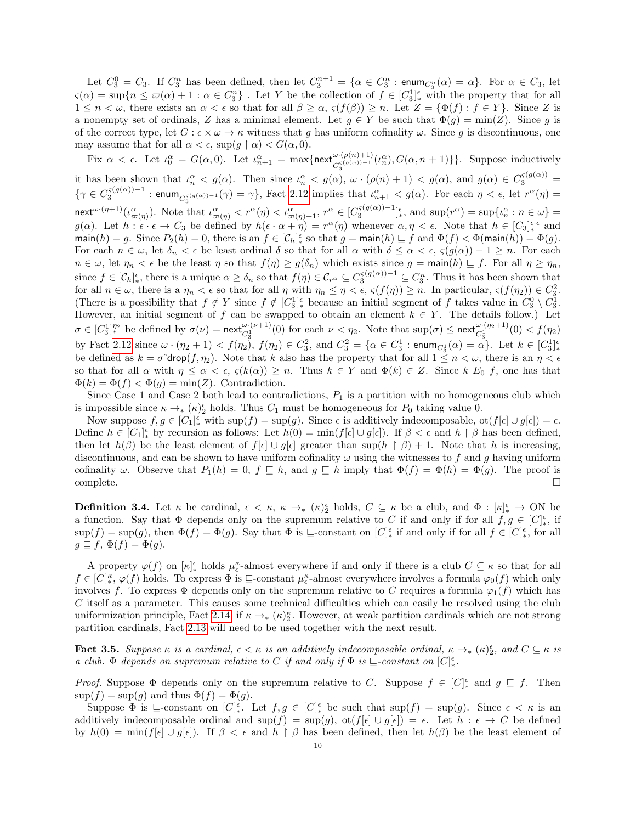Let  $C_3^0 = C_3$ . If  $C_3^n$  has been defined, then let  $C_3^{n+1} = \{ \alpha \in C_3^n : \text{enum}_{C_3^n}(\alpha) = \alpha \}$ . For  $\alpha \in C_3$ , let  $\varsigma(\alpha) = \sup\{n \leq \overline{\omega}(\alpha) + 1 : \alpha \in C_3^n\}$ . Let Y be the collection of  $f \in [C_3^1]_*^{\epsilon}$  with the property that for all  $1 \leq n < \omega$ , there exists an  $\alpha < \epsilon$  so that for all  $\beta \geq \alpha$ ,  $\varsigma(f(\beta)) \geq n$ . Let  $Z = \{\Phi(f) : f \in Y\}$ . Since Z is a nonempty set of ordinals, Z has a minimal element. Let  $g \in Y$  be such that  $\Phi(g) = \min(Z)$ . Since g is of the correct type, let  $G : \epsilon \times \omega \to \kappa$  witness that g has uniform cofinality  $\omega$ . Since g is discontinuous, one may assume that for all  $\alpha < \epsilon$ , sup $(g \restriction \alpha) < G(\alpha, 0)$ .

Fix  $\alpha < \epsilon$ . Let  $\iota_0^{\alpha} = G(\alpha, 0)$ . Let  $\iota_{n+1}^{\alpha} = \max\{\text{next}_{C_3^{(g(\alpha)) - 1}}^{(\varphi(n)+1)}(\iota_n^{\alpha}), G(\alpha, n + 1)\}\}\.$  Suppose inductively it has been shown that  $\iota_n^{\alpha} < g(\alpha)$ . Then since  $\iota_n^{\alpha} < g(\alpha)$ ,  $\omega \cdot (\rho(n+1) < g(\alpha)$ , and  $g(\alpha) \in C_3^{\varsigma(g(\alpha))}$  $\{\gamma \in C_3^{\varsigma(g(\alpha))-1} : \mathsf{enum}_{C_3^{\varsigma(g(\alpha))-1}}(\gamma) = \gamma\},$  Fact [2.12](#page-7-2) implies that  $\iota_{n+1}^{\alpha} < g(\alpha)$ . For each  $\eta < \epsilon$ , let  $r^{\alpha}(\eta) =$  $\text{next}^{\omega \cdot (\eta+1)}(\iota_{\varpi(\eta)}^{\alpha}).$  Note that  $\iota_{\varpi(\eta)}^{\alpha} < r^{\alpha}(\eta) < \iota_{\varpi(\eta)+1}^{\alpha}, r^{\alpha} \in [C_3^{\varsigma(g(\alpha))-1}]^{\epsilon}_{*}$ , and  $\sup(r^{\alpha}) = \sup\{\iota_n^{\alpha} : n \in \omega\} =$  $g(\alpha)$ . Let  $h: \widetilde{\epsilon} \cdot \epsilon \to C_3$  be defined by  $h(\epsilon \cdot \alpha + \eta) = r^{\alpha}(\eta)$  whenever  $\alpha, \eta < \epsilon$ . Note that  $h \in [C_3]_{*}^{\epsilon \cdot \epsilon}$  and  $\text{main}(h) = g.$  Since  $P_2(h) = 0$ , there is an  $f \in [\mathcal{C}_h]_*^{\epsilon}$  so that  $g = \text{main}(h) \sqsubseteq f$  and  $\Phi(f) < \Phi(\text{main}(h)) = \Phi(g)$ . For each  $n \in \omega$ , let  $\delta_n < \epsilon$  be least ordinal  $\delta$  so that for all  $\alpha$  with  $\delta \leq \alpha < \epsilon$ ,  $\varsigma(g(\alpha)) - 1 \geq n$ . For each  $n \in \omega$ , let  $\eta_n < \epsilon$  be the least  $\eta$  so that  $f(\eta) \geq g(\delta_n)$  which exists since  $g = \min(h) \sqsubseteq f$ . For all  $\eta \geq \eta_n$ , since  $f \in [C_h]_*^{\epsilon}$ , there is a unique  $\alpha \geq \delta_n$  so that  $f(\eta) \in C_{r^{\alpha}} \subseteq C_3^{s(g(\alpha))-1} \subseteq C_3^n$ . Thus it has been shown that for all  $n \in \omega$ , there is a  $\eta_n < \epsilon$  so that for all  $\eta$  with  $\eta_n \leq \eta < \epsilon$ ,  $\varsigma(f(\eta)) \geq n$ . In particular,  $\varsigma(f(\eta_2)) \in C_3^2$ . (There is a possibility that  $f \notin Y$  since  $f \notin [C_3^1]_*^{\epsilon}$  because an initial segment of f takes value in  $C_3^0 \setminus C_3^1$ . However, an initial segment of f can be swapped to obtain an element  $k \in Y$ . The details follow.) Let  $\sigma \in [C_3^1]_\ast^{\eta_2}$  be defined by  $\sigma(\nu) = \operatorname{next}_{C_3^1}^{\omega \cdot (\nu+1)}(0)$  for each  $\nu < \eta_2$ . Note that  $\sup(\sigma) \leq \operatorname{next}_{C_3^1}^{\omega \cdot (\eta_2+1)}(0) < f(\eta_2)$ by Fact [2.12](#page-7-2) since  $\omega \cdot (\eta_2 + 1) < f(\eta_2)$ ,  $f(\eta_2) \in C_3^2$ , and  $C_3^2 = \{ \alpha \in C_3^1 : \text{enum}_{C_3^1}(\alpha) = \alpha \}.$  Let  $k \in [C_3^1]_{*}^{\epsilon}$ be defined as  $k = \sigma \text{drop}(f, \eta_2)$ . Note that k also has the property that for all  $1 \leq n < \omega$ , there is an  $\eta < \epsilon$ so that for all  $\alpha$  with  $\eta \leq \alpha < \epsilon$ ,  $\varsigma(k(\alpha)) \geq n$ . Thus  $k \in Y$  and  $\Phi(k) \in Z$ . Since k  $E_0$  f, one has that  $\Phi(k) = \Phi(f) < \Phi(g) = \min(Z)$ . Contradiction.

Since Case 1 and Case 2 both lead to contradictions,  $P_1$  is a partition with no homogeneous club which is impossible since  $\kappa \to_{*} (\kappa)_{2}^{\epsilon}$  holds. Thus  $C_1$  must be homogeneous for  $P_0$  taking value 0.

Now suppose  $f, g \in [C_1]_*^{\epsilon}$  with  $\sup(f) = \sup(g)$ . Since  $\epsilon$  is additively indecomposable,  $\text{ot}(f[\epsilon] \cup g[\epsilon]) = \epsilon$ . Define  $h \in [C_1]_*^{\epsilon}$  by recursion as follows: Let  $h(0) = \min(f[\epsilon] \cup g[\epsilon])$ . If  $\beta < \epsilon$  and  $h \restriction \beta$  has been defined, then let  $h(\beta)$  be the least element of  $f[\epsilon] \cup g[\epsilon]$  greater than sup $(h \restriction \beta) + 1$ . Note that h is increasing, discontinuous, and can be shown to have uniform cofinality  $\omega$  using the witnesses to f and g having uniform cofinality  $\omega$ . Observe that  $P_1(h) = 0$ ,  $f \subseteq h$ , and  $g \subseteq h$  imply that  $\Phi(f) = \Phi(h) = \Phi(g)$ . The proof is  $\Box$ complete.  $\Box$ 

**Definition 3.4.** Let  $\kappa$  be cardinal,  $\epsilon < \kappa$ ,  $\kappa \to_{*} (\kappa)_{2}^{\epsilon}$  holds,  $C \subseteq \kappa$  be a club, and  $\Phi : [\kappa]_{*}^{\epsilon} \to ON$  be a function. Say that  $\Phi$  depends only on the supremum relative to C if and only if for all  $f, g \in [C]_*^{\epsilon}$ , if  $\sup(f) = \sup(g)$ , then  $\Phi(f) = \Phi(g)$ . Say that  $\Phi$  is  $\sqsubseteq$ -constant on  $[C]_{*}^{\epsilon}$  if and only if for all  $f \in [C]_{*}^{\epsilon}$ , for all  $g \sqsubseteq f$ ,  $\Phi(f) = \Phi(g)$ .

A property  $\varphi(f)$  on  $[\kappa]_*^{\epsilon}$  holds  $\mu_{\epsilon}^{\kappa}$ -almost everywhere if and only if there is a club  $C \subseteq \kappa$  so that for all  $f \in [C]_{*}^{\kappa}$ ,  $\varphi(f)$  holds. To express  $\Phi$  is  $\sqsubseteq$ -constant  $\mu_{\epsilon}^{\kappa}$ -almost everywhere involves a formula  $\varphi_0(f)$  which only involves f. To express  $\Phi$  depends only on the supremum relative to C requires a formula  $\varphi_1(f)$  which has C itself as a parameter. This causes some technical difficulties which can easily be resolved using the club uniformization principle, Fact [2.14,](#page-7-0) if  $\kappa \to_{*} (\kappa)^{\kappa}_{2}$ . However, at weak partition cardinals which are not strong partition cardinals, Fact [2.13](#page-7-1) will need to be used together with the next result.

<span id="page-9-0"></span>**Fact 3.5.** Suppose  $\kappa$  is a cardinal,  $\epsilon < \kappa$  is an additively indecomposable ordinal,  $\kappa \to_{*} (\kappa)_{2}^{\epsilon}$ , and  $C \subseteq \kappa$  is a club.  $\Phi$  depends on supremum relative to C if and only if  $\Phi$  is  $\sqsubseteq$ -constant on  $[C]_{*}^{\epsilon}$ .

*Proof.* Suppose  $\Phi$  depends only on the supremum relative to C. Suppose  $f \in [C]_*^{\epsilon}$  and  $g \subseteq f$ . Then  $\sup(f) = \sup(g)$  and thus  $\Phi(f) = \Phi(g)$ .

Suppose  $\Phi$  is  $\sqsubseteq$ -constant on  $[C]_{*}^{\epsilon}$ . Let  $f, g \in [C]_{*}^{\epsilon}$  be such that  $\sup(f) = \sup(g)$ . Since  $\epsilon < \kappa$  is an additively indecomposable ordinal and  $\sup(f) = \sup(g)$ ,  $\text{ot}(f[\epsilon] \cup g[\epsilon]) = \epsilon$ . Let  $h : \epsilon \to C$  be defined by  $h(0) = \min(f[\epsilon] \cup g[\epsilon])$ . If  $\beta < \epsilon$  and  $h \upharpoonright \beta$  has been defined, then let  $h(\beta)$  be the least element of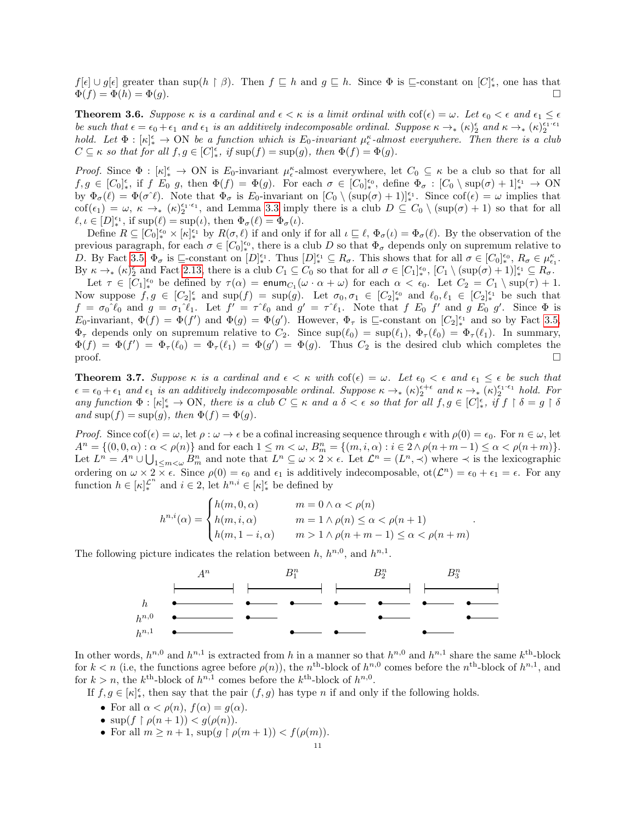$f[\epsilon] \cup g[\epsilon]$  greater than sup( $h \restriction \beta$ ). Then  $f \sqsubseteq h$  and  $g \sqsubseteq h$ . Since  $\Phi$  is  $\sqsubseteq$ -constant on  $[C]_{*}^{\epsilon}$ , one has that  $\Phi(f) = \Phi(h) = \Phi(g).$ 

<span id="page-10-0"></span>**Theorem 3.6.** Suppose  $\kappa$  is a cardinal and  $\epsilon < \kappa$  is a limit ordinal with  $\cot(\epsilon) = \omega$ . Let  $\epsilon_0 < \epsilon$  and  $\epsilon_1 \leq \epsilon$ be such that  $\epsilon = \epsilon_0 + \epsilon_1$  and  $\epsilon_1$  is an additively indecomposable ordinal. Suppose  $\kappa \to_{\ast} (\kappa)_{2}^{\epsilon}$  and  $\kappa \to_{\ast} (\kappa)_{2}^{\epsilon_{1} \cdot \epsilon_{1}}$ hold. Let  $\Phi : [\kappa]_*^{\epsilon} \to \text{ON}$  be a function which is  $E_0$ -invariant  $\mu_{\epsilon}^{\kappa}$ -almost everywhere. Then there is a club  $C \subseteq \kappa$  so that for all  $f, g \in [C]_{*}^{\epsilon}$ , if  $\sup(f) = \sup(g)$ , then  $\Phi(f) = \Phi(g)$ .

Proof. Since  $\Phi : [\kappa]_*^{\epsilon} \to ON$  is  $E_0$ -invariant  $\mu_{\epsilon}^{\kappa}$ -almost everywhere, let  $C_0 \subseteq \kappa$  be a club so that for all  $f, g \in [C_0]_*^{\epsilon}$ , if  $f \to g$ , then  $\Phi(f) = \Phi(g)$ . For each  $\sigma \in [C_0]_*^{\epsilon_0}$ , define  $\Phi_{\sigma} : [C_0 \setminus \sup(\sigma) + 1]_*^{\epsilon_1} \to \text{ON}$ by  $\Phi_{\sigma}(\ell) = \Phi(\sigma^{\gamma}\ell)$ . Note that  $\Phi_{\sigma}$  is  $E_0$ -invariant on  $[C_0 \setminus (\sup(\sigma) + 1)]_*^{\epsilon_1}$ . Since  $\text{cof}(\epsilon) = \omega$  implies that  $\text{cof}(\epsilon_1) = \omega, \ \kappa \to_* (\kappa)_{2}^{\epsilon_1 \cdot \epsilon_1}, \text{ and Lemma 3.3 imply there is a club } D \subseteq C_0 \setminus (\text{sup}(\sigma) + 1) \text{ so that for all }$  $\text{cof}(\epsilon_1) = \omega, \ \kappa \to_* (\kappa)_{2}^{\epsilon_1 \cdot \epsilon_1}, \text{ and Lemma 3.3 imply there is a club } D \subseteq C_0 \setminus (\text{sup}(\sigma) + 1) \text{ so that for all }$  $\text{cof}(\epsilon_1) = \omega, \ \kappa \to_* (\kappa)_{2}^{\epsilon_1 \cdot \epsilon_1}, \text{ and Lemma 3.3 imply there is a club } D \subseteq C_0 \setminus (\text{sup}(\sigma) + 1) \text{ so that for all }$  $\ell, \iota \in [D]_*^{\epsilon_1}$ , if  $\text{sup}(\ell) = \text{sup}(\iota)$ , then  $\Phi_{\sigma}(\ell) = \Phi_{\sigma}(\iota)$ .

Define  $R \subseteq [C_0]_*^{\epsilon_0} \times [\kappa]_*^{\epsilon_1}$  by  $R(\sigma, \ell)$  if and only if for all  $\iota \sqsubseteq \ell$ ,  $\Phi_{\sigma}(\iota) = \Phi_{\sigma}(\ell)$ . By the observation of the previous paragraph, for each  $\sigma \in [C_0]_*^{\epsilon_0}$ , there is a club D so that  $\Phi_{\sigma}$  depends only on supremum relative to D. By Fact [3.5,](#page-9-0)  $\Phi_{\sigma}$  is  $\sqsubseteq$ -constant on  $[D]_{*}^{\epsilon_{1}}$ . Thus  $[D]_{*}^{\epsilon_{1}} \subseteq R_{\sigma}$ . This shows that for all  $\sigma \in [C_{0}]_{*}^{\epsilon_{0}}$ ,  $R_{\sigma} \in \mu_{\epsilon_{1}}^{\kappa}$ . By  $\kappa \to_{*} (\kappa)_{2}^{\epsilon}$  and Fact [2.13,](#page-7-1) there is a club  $C_1 \subseteq C_0$  so that for all  $\sigma \in [C_1]_{*}^{\epsilon_0}$ ,  $[C_1 \setminus (\sup(\sigma) + 1)]_{*}^{\epsilon_1} \subseteq R_{\sigma}$ .

Let  $\tau \in [C_1]_{*0}^{\epsilon_0}$  be defined by  $\tau(\alpha) = \text{enum}_{C_1}(\omega \cdot \alpha + \omega)$  for each  $\alpha < \epsilon_0$ . Let  $C_2 = C_1 \setminus \text{sup}(\tau) + 1$ . Now suppose  $f, g \in [C_2]_*^{\epsilon}$  and  $\sup(f) = \sup(g)$ . Let  $\sigma_0, \sigma_1 \in [C_2]_*^{\epsilon_0}$  and  $\ell_0, \ell_1 \in [C_2]_*^{\epsilon_1}$  be such that  $f = \sigma_0^{\hat{}}\ell_0$  and  $g = \sigma_1^{\hat{}}\ell_1$ . Let  $f' = \tau^{\hat{}}\ell_0$  and  $g' = \tau^{\hat{}}\ell_1$ . Note that  $f \to f'$  and  $g \to g'$ . Since  $\Phi$  is  $E_0$ -invariant,  $\Phi(f) = \Phi(f')$  and  $\Phi(g) = \Phi(g')$ . However,  $\Phi_\tau$  is  $\sqsubseteq$ -constant on  $[C_2]_{*}^{\epsilon_1}$  and so by Fact [3.5,](#page-9-0)  $\Phi_{\tau}$  depends only on supremum relative to  $C_2$ . Since  $\sup(\ell_0) = \sup(\ell_1), \Phi_{\tau}(\ell_0) = \Phi_{\tau}(\ell_1)$ . In summary,  $\Phi(f) = \Phi(f') = \Phi_\tau(\ell_0) = \Phi_\tau(\ell_1) = \Phi(g') = \Phi(g)$ . Thus  $C_2$  is the desired club which completes the  $\Box$ 

<span id="page-10-1"></span>**Theorem 3.7.** Suppose  $\kappa$  is a cardinal and  $\epsilon < \kappa$  with  $\cot(\epsilon) = \omega$ . Let  $\epsilon_0 < \epsilon$  and  $\epsilon_1 \leq \epsilon$  be such that  $\epsilon = \epsilon_0 + \epsilon_1$  and  $\epsilon_1$  is an additively indecomposable ordinal. Suppose  $\kappa \to_{\ast} (\kappa)_{2}^{\epsilon+\epsilon}$  and  $\kappa \to_{\ast} (\kappa)_{2}^{\epsilon_{1}+\epsilon_{1}}$  hold. For any function  $\Phi : [\kappa]_*^{\epsilon} \to \text{ON}$ , there is a club  $C \subseteq \kappa$  and a  $\delta < \epsilon$  so that for all  $f, g \in [C]_*^{\epsilon}$ , if  $f \restriction \delta = g \restriction \delta$ and  $\text{sup}(f) = \text{sup}(g)$ , then  $\Phi(f) = \Phi(g)$ .

Proof. Since  $\text{cof}(\epsilon) = \omega$ , let  $\rho : \omega \to \epsilon$  be a cofinal increasing sequence through  $\epsilon$  with  $\rho(0) = \epsilon_0$ . For  $n \in \omega$ , let  $A^n = \{(0,0,\alpha) : \alpha < \rho(n)\}\$ and for each  $1 \leq m < \omega$ ,  $B_m^n = \{(m,i,\alpha) : i \in 2 \wedge \rho(n+m-1) \leq \alpha < \rho(n+m)\}.$ Let  $L^n = A^n \cup \bigcup_{1 \leq m < \omega} B^n_m$  and note that  $L^n \subseteq \omega \times 2 \times \epsilon$ . Let  $\mathcal{L}^n = (L^n, \prec)$  where  $\prec$  is the lexicographic ordering on  $\omega \times 2 \times \epsilon$ . Since  $\rho(0) = \epsilon_0$  and  $\epsilon_1$  is additively indecomposable,  $ot(\mathcal{L}^n) = \epsilon_0 + \epsilon_1 = \epsilon$ . For any function  $h \in [\kappa]_{*}^{\mathcal{L}^n}$  and  $i \in 2$ , let  $h^{n,i} \in [\kappa]_{*}^{\epsilon}$  be defined by

$$
h^{n,i}(\alpha) = \begin{cases} h(m,0,\alpha) & m = 0 \land \alpha < \rho(n) \\ h(m,i,\alpha) & m = 1 \land \rho(n) \le \alpha < \rho(n+1) \\ h(m,1-i,\alpha) & m > 1 \land \rho(n+m-1) \le \alpha < \rho(n+m) \end{cases}.
$$

The following picture indicates the relation between  $h, h^{n,0}$ , and  $h^{n,1}$ .



In other words,  $h^{n,0}$  and  $h^{n,1}$  is extracted from h in a manner so that  $h^{n,0}$  and  $h^{n,1}$  share the same  $k^{\text{th}}$ -block for  $k < n$  (i.e, the functions agree before  $\rho(n)$ ), the n<sup>th</sup>-block of  $h^{n,0}$  comes before the n<sup>th</sup>-block of  $h^{n,1}$ , and for  $k > n$ , the  $k^{\text{th}}$ -block of  $h^{n,1}$  comes before the  $k^{\text{th}}$ -block of  $h^{n,0}$ .

If  $f, g \in [\kappa]_{*}^{\epsilon}$ , then say that the pair  $(f, g)$  has type n if and only if the following holds.

- For all  $\alpha < \rho(n)$ ,  $f(\alpha) = g(\alpha)$ .
- $\sup(f \restriction \rho(n+1)) < g(\rho(n)).$
- For all  $m \geq n+1$ ,  $\sup(g \restriction \rho(m+1)) < f(\rho(m))$ .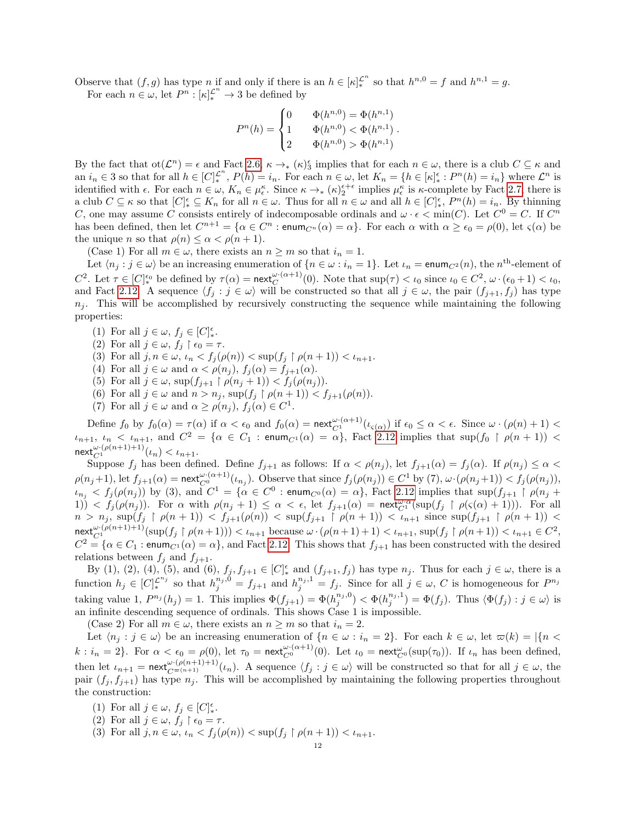Observe that  $(f, g)$  has type n if and only if there is an  $h \in [\kappa]_{*}^{\mathcal{L}^n}$  so that  $h^{n,0} = f$  and  $h^{n,1} = g$ . For each  $n \in \omega$ , let  $P^n : [\kappa]_{*}^{\mathcal{L}^n} \to 3$  be defined by

$$
P^{n}(h) = \begin{cases} 0 & \Phi(h^{n,0}) = \Phi(h^{n,1}) \\ 1 & \Phi(h^{n,0}) < \Phi(h^{n,1}) \\ 2 & \Phi(h^{n,0}) > \Phi(h^{n,1}) \end{cases}.
$$

By the fact that  $\text{ot}(\mathcal{L}^n) = \epsilon$  and Fact [2.6,](#page-6-2)  $\kappa \to_{*} (\kappa)_{3}^{\epsilon}$  implies that for each  $n \in \omega$ , there is a club  $C \subseteq \kappa$  and an  $i_n \in \mathcal{S}$  so that for all  $h \in [C]_{*}^{\mathcal{L}^n}$ ,  $P(h) = i_n$ . For each  $n \in \omega$ , let  $K_n = \{h \in [\kappa]_{*}^{\epsilon} : P^n(h) = i_n\}$  where  $\mathcal{L}^n$  is identified with  $\epsilon$ . For each  $n \in \omega$ ,  $K_n \in \mu_{\epsilon}^{\kappa}$ . Since  $\kappa \to_{\ast} (\kappa)_{2}^{\epsilon+\epsilon}$  implies  $\mu_{\epsilon}^{\kappa}$  is  $\kappa$ -complete by Fact [2.7,](#page-6-0) there is a club  $C \subseteq \kappa$  so that  $[C]_{*}^{\epsilon} \subseteq K_n$  for all  $n \in \omega$ . Thus for all  $n \in \omega$  and all  $h \in [C]_{*}^{\epsilon}$ ,  $P^{n}(h) = i_n$ . By thinning C, one may assume C consists entirely of indecomposable ordinals and  $\omega \cdot \epsilon < \min(C)$ . Let  $C^0 = C$ . If  $C^n$ has been defined, then let  $C^{n+1} = \{ \alpha \in C^n : \text{enum}_{C^n}(\alpha) = \alpha \}.$  For each  $\alpha$  with  $\alpha \geq \epsilon_0 = \rho(0)$ , let  $\varsigma(\alpha)$  be the unique *n* so that  $\rho(n) \leq \alpha < \rho(n+1)$ .

(Case 1) For all  $m \in \omega$ , there exists an  $n \geq m$  so that  $i_n = 1$ .

Let  $\langle n_j : j \in \omega \rangle$  be an increasing enumeration of  $\{n \in \omega : i_n = 1\}$ . Let  $\iota_n = \text{enum}_{C^2}(n)$ , the  $n^{\text{th}}$ -element of C<sup>2</sup>. Let  $\tau \in [C]_*^{\epsilon_0}$  be defined by  $\tau(\alpha) = \operatorname{next}_{C}^{\omega \cdot (\alpha+1)}(0)$ . Note that  $\sup(\tau) < \iota_0$  since  $\iota_0 \in C^2$ ,  $\omega \cdot (\epsilon_0 + 1) < \iota_0$ , and Fact [2.12.](#page-7-2) A sequence  $\langle f_j : j \in \omega \rangle$  will be constructed so that all  $j \in \omega$ , the pair  $(f_{j+1}, f_j)$  has type  $n<sub>j</sub>$ . This will be accomplished by recursively constructing the sequence while maintaining the following properties:

- (1) For all  $j \in \omega$ ,  $f_j \in [C]_*^{\epsilon}$ .
- (2) For all  $j \in \omega$ ,  $f_j \upharpoonright \epsilon_0 = \tau$ .
- (3) For all  $j, n \in \omega$ ,  $\iota_n < f_j(\rho(n)) < \sup(f_j \restriction \rho(n+1)) < \iota_{n+1}$ .
- (4) For all  $j \in \omega$  and  $\alpha < \rho(n_j)$ ,  $f_j(\alpha) = f_{j+1}(\alpha)$ .
- (5) For all  $j \in \omega$ ,  $\sup(f_{j+1} \restriction \rho(n_j+1)) < f_j(\rho(n_j)).$
- (6) For all  $j \in \omega$  and  $n > n_j$ ,  $\sup(f_j \restriction \rho(n+1)) < f_{j+1}(\rho(n))$ .
- (7) For all  $j \in \omega$  and  $\alpha \geq \rho(n_j)$ ,  $f_j(\alpha) \in C^1$ .

Define  $f_0$  by  $f_0(\alpha) = \tau(\alpha)$  if  $\alpha < \epsilon_0$  and  $f_0(\alpha) = \operatorname{next}_{C_1}^{\omega \cdot (\alpha+1)}(\iota_{\varsigma(\alpha)})$  if  $\epsilon_0 \leq \alpha < \epsilon$ . Since  $\omega \cdot (\rho(n) + 1) <$  $\iota_{n+1}, \iota_n < \iota_{n+1}$ , and  $C^2 = \{\alpha \in C_1 : \text{enum}_{C^1}(\alpha) = \alpha\}$ , Fact [2.12](#page-7-2) implies that sup $(f_0 \restriction \rho(n+1)) <$  $\text{next}_{C^1}^{\omega \cdot (\rho(n+1)+1)}(\iota_n) < \iota_{n+1}.$ 

Suppose  $f_j$  has been defined. Define  $f_{j+1}$  as follows: If  $\alpha < \rho(n_j)$ , let  $f_{j+1}(\alpha) = f_j(\alpha)$ . If  $\rho(n_j) \leq \alpha <$  $\rho(n_j+1)$ , let  $f_{j+1}(\alpha) = \textsf{next}_{C^0}^{\omega \cdot (\alpha+1)}(\iota_{n_j})$ . Observe that since  $f_j(\rho(n_j)) \in C^1$  by  $(7)$ ,  $\omega \cdot (\rho(n_j+1)) < f_j(\rho(n_j))$ ,  $\iota_{n_j} < f_j(\rho(n_j))$  by (3), and  $C^1 = \{ \alpha \in C^0 : \text{enum}_{C^0}(\alpha) = \alpha \},$  Fact [2.12](#page-7-2) implies that sup $(f_{j+1} \restriction \rho(n_j)$ 1))  $\langle f_j(\rho(n_j)) \rangle$ . For  $\alpha$  with  $\rho(n_j + 1) \leq \alpha < \epsilon$ , let  $f_{j+1}(\alpha) = \text{next}_{C^1}^{\omega,\alpha}(\sup(f_j \upharpoonright \rho(\varsigma(\alpha) + 1)))$ . For all  $n > n_j$ ,  $\sup(f_j \restriction \rho(n+1)) < f_{j+1}(\rho(n)) < \sup(f_{j+1} \restriction \rho(n+1)) < i_{n+1}$  since  $\sup(f_{j+1} \restriction \rho(n+1)) <$  $\operatorname{next}_{C^1}^{\omega \cdot (\rho(n+1)+1)}(\sup(f_j \upharpoonright \rho(n+1))) < \iota_{n+1}$  because  $\omega \cdot (\rho(n+1)+1) < \iota_{n+1}$ ,  $\sup(f_j \upharpoonright \rho(n+1)) < \iota_{n+1} \in C^2$ ,  $C^2 = \{\alpha \in C_1 : \text{enum}_{C^1}(\alpha) = \alpha\}$ , and Fact [2.12.](#page-7-2) This shows that  $f_{j+1}$  has been constructed with the desired relations between  $f_j$  and  $f_{j+1}$ .

By (1), (2), (4), (5), and (6),  $f_j, f_{j+1} \in [C]_*^{\epsilon}$  and  $(f_{j+1}, f_j)$  has type  $n_j$ . Thus for each  $j \in \omega$ , there is a function  $h_j \in [C]_{*}^{\mathcal{L}^{n_j}}$  so that  $h_j^{n_j,0} = f_{j+1}$  and  $h_j^{n_j,1} = f_j$ . Since for all  $j \in \omega$ , C is homogeneous for  $P^{n_j}$ taking value 1,  $P^{n_j}(h_j) = 1$ . This implies  $\Phi(f_{j+1}) = \Phi(h_j^{n_j,0}) < \Phi(h_j^{n_j,1}) = \Phi(f_j)$ . Thus  $\langle \Phi(f_j) : j \in \omega \rangle$  is an infinite descending sequence of ordinals. This shows Case 1 is impossible.

(Case 2) For all  $m \in \omega$ , there exists an  $n \geq m$  so that  $i_n = 2$ .

Let  $\langle n_j : j \in \omega \rangle$  be an increasing enumeration of  $\{n \in \omega : i_n = 2\}$ . For each  $k \in \omega$ , let  $\omega(k) = |\{n \leq k\}|\}$  $k: i_n = 2$ . For  $\alpha < \epsilon_0 = \rho(0)$ , let  $\tau_0 = \operatorname{next}_{C^0}^{\omega \cdot (\alpha+1)}(0)$ . Let  $\iota_0 = \operatorname{next}_{C^0}^{\omega}(\sup(\tau_0))$ . If  $\iota_n$  has been defined, then let  $\iota_{n+1} = \text{next}_{C^{\infty}(n+1)}^{\omega \cdot (\rho(n+1)+1)}(\iota_n)$ . A sequence  $\langle f_j : j \in \omega \rangle$  will be constructed so that for all  $j \in \omega$ , the pair  $(f_j, f_{j+1})$  has type  $n_j$ . This will be accomplished by maintaining the following properties throughout the construction:

- (1) For all  $j \in \omega$ ,  $f_j \in [C]_*^{\epsilon}$ .
- (2) For all  $j \in \omega$ ,  $f_j \restriction \epsilon_0 = \tau$ .
- (3) For all  $j, n \in \omega$ ,  $\iota_n < f_j(\rho(n)) < \sup(f_j \restriction \rho(n+1)) < \iota_{n+1}$ .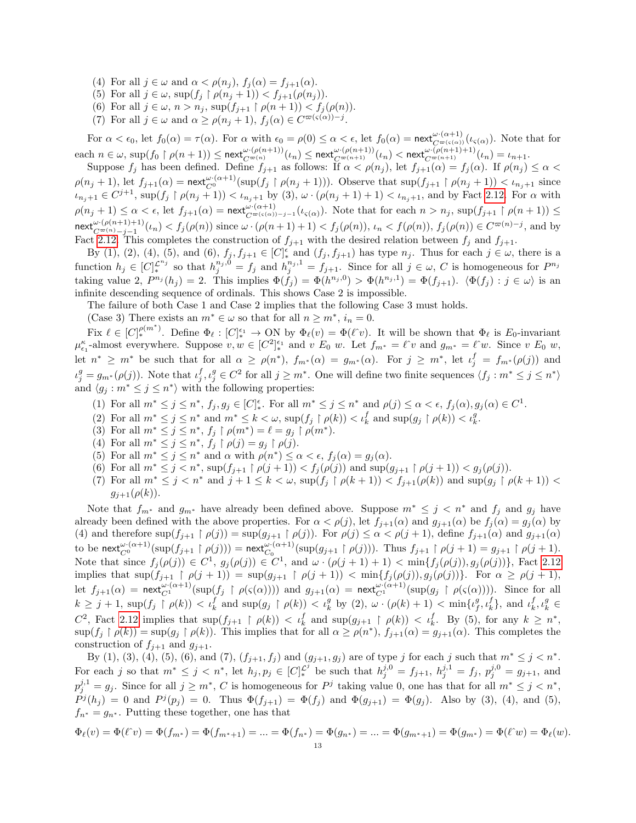- (4) For all  $j \in \omega$  and  $\alpha < \rho(n_i)$ ,  $f_i(\alpha) = f_{i+1}(\alpha)$ .
- (5) For all  $j \in \omega$ ,  $\sup(f_j \restriction \rho(n_j + 1)) < f_{j+1}(\rho(n_j)).$
- (6) For all  $j \in \omega$ ,  $n > n_j$ ,  $\sup(f_{j+1} \restriction \rho(n+1)) < f_j(\rho(n))$ .
- (7) For all  $j \in \omega$  and  $\alpha \ge \rho(n_j + 1)$ ,  $f_j(\alpha) \in C^{\varpi(\varsigma(\alpha)) j}$ .

For  $\alpha < \epsilon_0$ , let  $f_0(\alpha) = \tau(\alpha)$ . For  $\alpha$  with  $\epsilon_0 = \rho(0) \leq \alpha < \epsilon$ , let  $f_0(\alpha) = \text{next}_{C^{\varpi(\varsigma(\alpha))}}^{\omega \cdot (\alpha+1)}(\iota_{\varsigma(\alpha)})$ . Note that for  $\mathrm{each}\; n \in \omega,\, \sup(f_0\restriction\rho(n+1)) \leq \mathsf{next}_{C^{\varpi(n)}}^{\omega\cdot(\rho(n+1))}(\iota_n) \leq \mathsf{next}_{C^{\varpi(n+1)}}^{\omega\cdot(\rho(n+1))}(\iota_n) < \mathsf{next}_{C^{\varpi(n+1)}}^{\omega\cdot(\rho(n+1)+1)}(\iota_n) = \iota_{n+1}.$ 

Suppose  $f_j$  has been defined. Define  $f_{j+1}$  as follows: If  $\alpha < \rho(n_j)$ , let  $f_{j+1}(\alpha) = f_j(\alpha)$ . If  $\rho(n_j) \leq \alpha <$  $\rho(n_j+1)$ , let  $f_{j+1}(\alpha) = \text{next}_{C^0}^{\omega \cdot (\alpha+1)}(\sup(f_j \upharpoonright \rho(n_j+1)))$ . Observe that  $\sup(f_{j+1} \upharpoonright \rho(n_j+1)) < \iota_{n_j+1}$  since  $u_{n_j+1} \in C^{j+1}$ ,  $\sup(f_j \restriction \rho(n_j+1)) < u_{n_j+1}$  by (3),  $\omega \cdot (\rho(n_j+1)+1) < u_{n_j+1}$ , and by Fact [2.12.](#page-7-2) For  $\alpha$  with  $\rho(n_j+1) \leq \alpha < \epsilon$ , let  $f_{j+1}(\alpha) = \text{next}_{C^{\varpi(\varsigma(\alpha))-j-1}}^{\omega(\alpha+1)}(\iota_{\varsigma(\alpha)})$ . Note that for each  $n > n_j$ ,  $\sup(f_{j+1} \upharpoonright \rho(n+1)) \leq$  $\textsf{next}_{C^{\varpi(n)}-j-1}^{\omega \cdot (\rho(n+1)+1)}(\iota_n) < f_j(\rho(n))$  since  $\omega \cdot (\rho(n+1)+1) < f_j(\rho(n)), \iota_n < f(\rho(n)), f_j(\rho(n)) \in C^{\varpi(n)-j}$ , and by Fact [2.12.](#page-7-2) This completes the construction of  $f_{i+1}$  with the desired relation between  $f_i$  and  $f_{i+1}$ .

By (1), (2), (4), (5), and (6),  $f_j, f_{j+1} \in [C]_*^{\epsilon}$  and  $(f_j, f_{j+1})$  has type  $n_j$ . Thus for each  $j \in \omega$ , there is a function  $h_j \in [C]_{*}^{\mathcal{L}^{n_j}}$  so that  $h_j^{n_j,0} = f_j$  and  $h_j^{n_j,1} = f_{j+1}$ . Since for all  $j \in \omega$ , C is homogeneous for  $P^{n_j}$ taking value 2,  $P^{n_j}(h_j) = 2$ . This implies  $\Phi(f_j) = \Phi(h^{n_j,0}) > \Phi(h^{n_j,1}) = \Phi(f_{j+1})$ .  $\langle \Phi(f_j) : j \in \omega \rangle$  is an infinite descending sequence of ordinals. This shows Case 2 is impossible.

The failure of both Case 1 and Case 2 implies that the following Case 3 must holds.

(Case 3) There exists an  $m^* \in \omega$  so that for all  $n \geq m^*$ ,  $i_n = 0$ .

Fix  $\ell \in [C]_{*}^{\rho(m^*)}$ . Define  $\Phi_{\ell} : [C]_{*}^{\epsilon_1} \to \text{ON}$  by  $\Phi_{\ell}(v) = \Phi(\ell^{\hat{}}v)$ . It will be shown that  $\Phi_{\ell}$  is  $E_0$ -invariant  $\mu_{\epsilon_1}^{\kappa}$ -almost everywhere. Suppose  $v, w \in [C^2]_{*}^{\epsilon_1}$  and  $v \mathrel{E}_0 w$ . Let  $f_{m^*} = \ell^{\hat{}}v$  and  $g_{m^*} = \ell^{\hat{}}w$ . Since  $v \mathrel{E}_0 w$ , let  $n^* \geq m^*$  be such that for all  $\alpha \geq \rho(n^*), f_{m^*}(\alpha) = g_{m^*}(\alpha)$ . For  $j \geq m^*$ , let  $\iota_j^f = f_{m^*}(\rho(j))$  and  $u_j^g = g_{m^*}(\rho(j))$ . Note that  $u_j^f, u_j^g \in C^2$  for all  $j \geq m^*$ . One will define two finite sequences  $\langle f_j : m^* \leq j \leq n^* \rangle$ and  $\langle g_j : m^* \leq j \leq n^* \rangle$  with the following properties:

- (1) For all  $m^* \leq j \leq n^*$ ,  $f_j, g_j \in [C]_*^{\epsilon}$ . For all  $m^* \leq j \leq n^*$  and  $\rho(j) \leq \alpha < \epsilon$ ,  $f_j(\alpha), g_j(\alpha) \in C^1$ .
- (2) For all  $m^* \leq j \leq n^*$  and  $m^* \leq k < \omega$ ,  $\sup(f_j \restriction \rho(k)) < \iota_k^f$  and  $\sup(g_j \restriction \rho(k)) < \iota_k^g$ .
- (3) For all  $m^* \leq j \leq n^*$ ,  $f_j \restriction \rho(m^*) = \ell = g_j \restriction \rho(m^*)$ .
- (4) For all  $m^* \leq j \leq n^*$ ,  $f_j \restriction \rho(j) = g_j \restriction \rho(j)$ .
- (5) For all  $m^* \leq j \leq n^*$  and  $\alpha$  with  $\rho(n^*) \leq \alpha < \epsilon$ ,  $f_j(\alpha) = g_j(\alpha)$ .
- (6) For all  $m^* \leq j < n^*$ ,  $\sup(f_{j+1} \upharpoonright \rho(j+1)) < f_j(\rho(j))$  and  $\sup(g_{j+1} \upharpoonright \rho(j+1)) < g_j(\rho(j))$ .
- (7) For all  $m^* \leq j < n^*$  and  $j+1 \leq k < \omega$ ,  $\sup(f_j \restriction \rho(k+1)) < f_{j+1}(\rho(k))$  and  $\sup(g_j \restriction \rho(k+1)) <$  $g_{i+1}(\rho(k)).$

Note that  $f_{m^*}$  and  $g_{m^*}$  have already been defined above. Suppose  $m^* \leq j \leq n^*$  and  $f_j$  and  $g_j$  have already been defined with the above properties. For  $\alpha < \rho(j)$ , let  $f_{j+1}(\alpha)$  and  $g_{j+1}(\alpha)$  be  $f_j(\alpha) = g_j(\alpha)$  by (4) and therefore  $\sup(f_{j+1} \upharpoonright \rho(j)) = \sup(g_{j+1} \upharpoonright \rho(j))$ . For  $\rho(j) \leq \alpha < \rho(j+1)$ , define  $f_{j+1}(\alpha)$  and  $g_{j+1}(\alpha)$ to be  $\operatorname{\mathsf{next}}_{C^0}^{\omega \cdot (\alpha+1)}(\operatorname{sup}(f_{j+1} \restriction \rho(j))) = \operatorname{\mathsf{next}}_{C_0}^{\omega \cdot (\alpha+1)}(\operatorname{sup}(g_{j+1} \restriction \rho(j)))$ . Thus  $f_{j+1} \restriction \rho(j+1) = g_{j+1} \restriction \rho(j+1)$ . Note that since  $f_j(\rho(j)) \in C^1$ ,  $g_j(\rho(j)) \in C^1$ , and  $\omega \cdot (\rho(j+1)+1) < \min\{f_j(\rho(j)), g_j(\rho(j))\}$ , Fact [2.12](#page-7-2) implies that  $\sup(f_{j+1} \upharpoonright \rho(j+1)) = \sup(g_{j+1} \upharpoonright \rho(j+1)) < \min\{f_j(\rho(j)), g_j(\rho(j))\}.$  For  $\alpha \ge \rho(j+1),$ let  $f_{j+1}(\alpha) = \text{next}_{C^1}^{\omega \cdot (\alpha+1)}(\text{sup}(f_j \upharpoonright \rho(\varsigma(\alpha))))$  and  $g_{j+1}(\alpha) = \text{next}_{C^1}^{\omega \cdot (\alpha+1)}(\text{sup}(g_j \upharpoonright \rho(\varsigma(\alpha))))$ . Since for all  $k \geq j+1$ ,  $\sup(f_j \upharpoonright \rho(k)) < \iota_k^f$  and  $\sup(g_j \upharpoonright \rho(k)) < \iota_k^g$  by (2),  $\omega \cdot (\rho(k)+1) < \min\{\iota_j^g, \iota_k^f\}$ , and  $\iota_k^f, \iota_k^g \in$  $C^2$ , Fact [2.12](#page-7-2) implies that  $\sup(f_{j+1} \restriction \rho(k)) < \iota_k^f$  and  $\sup(g_{j+1} \restriction \rho(k)) < \iota_k^f$ . By (5), for any  $k \geq n^*$ ,  $\sup(f_j \restriction \rho(k)) = \sup(g_j \restriction \rho(k))$ . This implies that for all  $\alpha \ge \rho(n^*), f_{j+1}(\alpha) = g_{j+1}(\alpha)$ . This completes the construction of  $f_{j+1}$  and  $g_{j+1}$ .

By (1), (3), (4), (5), (6), and (7),  $(f_{j+1}, f_j)$  and  $(g_{j+1}, g_j)$  are of type j for each j such that  $m^* \leq j < n^*$ . For each j so that  $m^* \leq j < n^*$ , let  $h_j, p_j \in [C]_*^{\mathcal{L}^j}$  be such that  $h_j^{j,0} = f_{j+1}, h_j^{j,1} = f_j, p_j^{j,0} = g_{j+1}$ , and  $p_j^{j,1} = g_j$ . Since for all  $j \geq m^*$ , C is homogeneous for P<sup>j</sup> taking value 0, one has that for all  $m^* \leq j < n^*$ ,  $P^{j}(h_{j}) = 0$  and  $P^{j}(p_{j}) = 0$ . Thus  $\Phi(f_{j+1}) = \Phi(f_{j})$  and  $\Phi(g_{j+1}) = \Phi(g_{j})$ . Also by (3), (4), and (5),  $f_{n*} = g_{n*}$ . Putting these together, one has that

$$
\Phi_{\ell}(v) = \Phi(\ell^{\hat{}}v) = \Phi(f_{m^*}) = \Phi(f_{m^*+1}) = \dots = \Phi(f_{n^*}) = \Phi(g_{n^*}) = \dots = \Phi(g_{m^*+1}) = \Phi(g_{m^*}) = \Phi(\ell^{\hat{}}v) = \Phi_{\ell}(w).
$$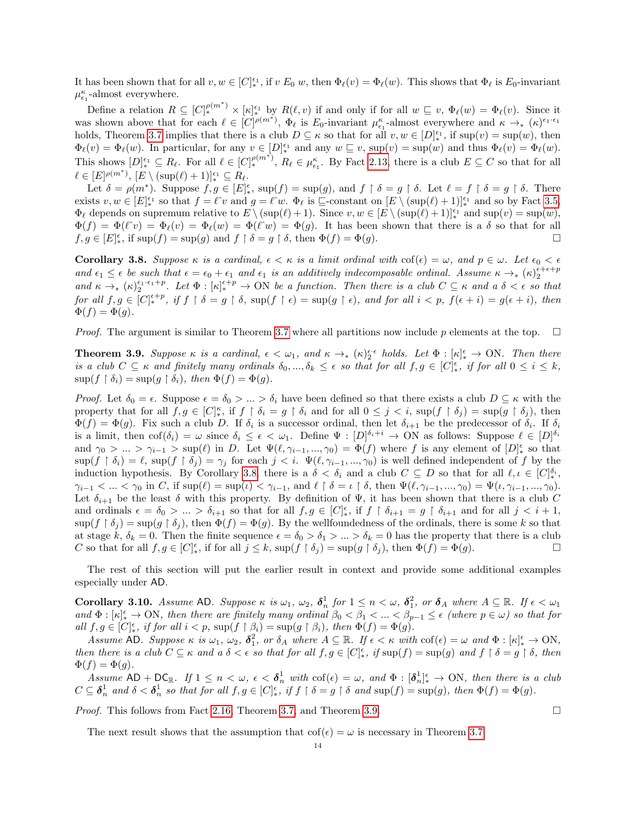It has been shown that for all  $v, w \in [C]_*^{\epsilon_1}$ , if  $v E_0 w$ , then  $\Phi_\ell(v) = \Phi_\ell(w)$ . This shows that  $\Phi_\ell$  is  $E_0$ -invariant  $\mu_{\epsilon_1}^{\kappa}$  -almost everywhere.

Define a relation  $R \subseteq [C]_*^{\rho(m^*)} \times [\kappa]_*^{\epsilon_1}$  by  $R(\ell, v)$  if and only if for all  $w \subseteq v$ ,  $\Phi_{\ell}(w) = \Phi_{\ell}(v)$ . Since it was shown above that for each  $\ell \in [C]^{p(m^*)}$ ,  $\Phi_{\ell}$  is  $E_0$ -invariant  $\mu_{\epsilon_1}^{\kappa}$ -almost everywhere and  $\kappa \to_{*} (\kappa)^{\epsilon_1 \cdot \epsilon_1}$ holds, Theorem [3.7](#page-10-1) implies that there is a club  $D \subseteq \kappa$  so that for all  $v, w \in [D]_{*}^{\epsilon_1}$ , if  $\sup(v) = \sup(w)$ , then  $\Phi_{\ell}(v) = \Phi_{\ell}(w)$ . In particular, for any  $v \in [D]_{*}^{\epsilon_1}$  and any  $w \subseteq v$ ,  $\sup(v) = \sup(w)$  and thus  $\Phi_{\ell}(v) = \Phi_{\ell}(w)$ . This shows  $[D]_*^{\epsilon_1} \subseteq R_\ell$ . For all  $\ell \in [C]_*^{\rho(m^*)}$ ,  $R_\ell \in \mu_{\epsilon_1}^\kappa$ . By Fact [2.13,](#page-7-1) there is a club  $E \subseteq C$  so that for all  $\ell \in [E]^{\rho(m^*)}, [E \setminus (\sup(\ell) + 1)]_*^{\epsilon_1} \subseteq R_{\ell}.$ 

Let  $\delta = \rho(m^*)$ . Suppose  $f, g \in [E]_*^{\epsilon}$ , sup $(f) = \sup(g)$ , and  $f \restriction \delta = g \restriction \delta$ . Let  $\ell = f \restriction \delta = g \restriction \delta$ . There exists  $v, w \in [E]_*^{\epsilon_1}$  so that  $f = \ell^{\hat{}}v$  and  $g = \ell^{\hat{}}w$ .  $\Phi_{\ell}$  is  $\Xi$ -constant on  $[E \setminus (\sup(\ell) + 1)]_*^{\epsilon_1}$  and so by Fact [3.5,](#page-9-0)  $\Phi_{\ell}$  depends on supremum relative to  $E \setminus (\sup(\ell) + 1)$ . Since  $v, w \in [E \setminus (\sup(\ell) + 1)]_*^{\epsilon_1}$  and  $\sup(v) = \sup(w)$ ,  $\Phi(f) = \Phi(\ell^{\gamma}v) = \Phi_{\ell}(v) = \Phi_{\ell}(w) = \Phi(\ell^{\gamma}w) = \Phi(g)$ . It has been shown that there is a  $\delta$  so that for all  $f, g \in [E]_*^{\epsilon}$ , if  $\sup(f) = \sup(g)$  and  $f \restriction \delta = g \restriction \delta$ , then  $\Phi(f) = \Phi(g)$ .

<span id="page-13-2"></span>**Corollary 3.8.** Suppose  $\kappa$  is a cardinal,  $\epsilon < \kappa$  is a limit ordinal with  $\text{cof}(\epsilon) = \omega$ , and  $p \in \omega$ . Let  $\epsilon_0 < \epsilon$ and  $\epsilon_1 \leq \epsilon$  be such that  $\epsilon = \epsilon_0 + \epsilon_1$  and  $\epsilon_1$  is an additively indecomposable ordinal. Assume  $\kappa \to_{\ast} (\kappa)_{2}^{\epsilon+\epsilon+p}$ and  $\kappa \to_{\ast} (\kappa)_{2}^{\epsilon_{1} \cdot \epsilon_{1} + p}$ . Let  $\Phi : [\kappa]_{\ast}^{\epsilon+p} \to \text{ON}$  be a function. Then there is a club  $C \subseteq \kappa$  and a  $\delta < \epsilon$  so that for all  $f, g \in [C]^{\epsilon+p}_{*}$ , if  $f \restriction \delta = g \restriction \delta$ ,  $\sup(f \restriction \epsilon) = \sup(g \restriction \epsilon)$ , and for all  $i < p$ ,  $f(\epsilon + i) = g(\epsilon + i)$ , then  $\Phi(f) = \Phi(g).$ 

*Proof.* The argument is similar to Theorem [3.7](#page-10-1) where all partitions now include p elements at the top.  $\square$ 

<span id="page-13-0"></span>**Theorem 3.9.** Suppose  $\kappa$  is a cardinal,  $\epsilon < \omega_1$ , and  $\kappa \to_{\ast} (\kappa)_{2}^{\epsilon \cdot \epsilon}$  holds. Let  $\Phi : [\kappa]_{\ast}^{\epsilon} \to \text{ON}$ . Then there is a club  $C \subseteq \kappa$  and finitely many ordinals  $\delta_0, ..., \delta_k \leq \epsilon$  so that for all  $f, g \in [C]_*^{\epsilon}$ , if for all  $0 \leq i \leq k$ ,  $\sup(f \restriction \delta_i) = \sup(g \restriction \delta_i), \text{ then } \Phi(f) = \Phi(g).$ 

Proof. Let  $\delta_0 = \epsilon$ . Suppose  $\epsilon = \delta_0 > ... > \delta_i$  have been defined so that there exists a club  $D \subseteq \kappa$  with the property that for all  $f, g \in [C]_*^\kappa$ , if  $f \restriction \delta_i = g \restriction \delta_i$  and for all  $0 \leq j < i$ ,  $\sup(f \restriction \delta_j) = \sup(g \restriction \delta_j)$ , then  $\Phi(f) = \Phi(g)$ . Fix such a club D. If  $\delta_i$  is a successor ordinal, then let  $\delta_{i+1}$  be the predecessor of  $\delta_i$ . If  $\delta_i$ is a limit, then  $\text{cof}(\delta_i) = \omega$  since  $\delta_i \leq \epsilon < \omega_1$ . Define  $\Psi : [D]^{\delta_i + i} \to \text{ON}$  as follows: Suppose  $\ell \in [D]^{\delta_i}$ and  $\gamma_0 > ... > \gamma_{i-1} > \sup(\ell)$  in D. Let  $\Psi(\ell, \gamma_{i-1}, ..., \gamma_0) = \Phi(f)$  where f is any element of  $[D]_*^{\epsilon}$  so that  $\sup(f \restriction \delta_i) = \ell$ ,  $\sup(f \restriction \delta_j) = \gamma_j$  for each  $j < i$ .  $\Psi(\ell, \gamma_{i-1}, ..., \gamma_0)$  is well defined independent of f by the induction hypothesis. By Corollary [3.8,](#page-13-2) there is a  $\delta < \delta_i$  and a club  $C \subseteq D$  so that for all  $\ell, \iota \in [C]_{*}^{\delta_i}$ ,  $\gamma_{i-1} < ... < \gamma_0$  in C, if  $\sup(\ell) = \sup(\iota) < \gamma_{i-1}$ , and  $\ell \restriction \delta = \iota \restriction \delta$ , then  $\Psi(\ell, \gamma_{i-1}, ..., \gamma_0) = \Psi(\iota, \gamma_{i-1}, ..., \gamma_0)$ . Let  $\delta_{i+1}$  be the least  $\delta$  with this property. By definition of  $\Psi$ , it has been shown that there is a club C and ordinals  $\epsilon = \delta_0 > ... > \delta_{i+1}$  so that for all  $f, g \in [C]_*^{\epsilon}$ , if  $f \restriction \delta_{i+1} = g \restriction \delta_{i+1}$  and for all  $j < i+1$ ,  $\sup(f \restriction \delta_j) = \sup(g \restriction \delta_j)$ , then  $\Phi(f) = \Phi(g)$ . By the wellfoundedness of the ordinals, there is some k so that at stage k,  $\delta_k = 0$ . Then the finite sequence  $\epsilon = \delta_0 > \delta_1 > ... > \delta_k = 0$  has the property that there is a club C so that for all  $f, g \in [C]_*^{\epsilon}$ , if for all  $j \leq k$ ,  $\sup(f \restriction \delta_j) = \sup(g \restriction \delta_j)$ , then  $\Phi(f) = \Phi(g)$ .

The rest of this section will put the earlier result in context and provide some additional examples especially under AD.

<span id="page-13-1"></span>Corollary 3.10. Assume AD. Suppose  $\kappa$  is  $\omega_1$ ,  $\omega_2$ ,  $\delta_n^1$  for  $1 \leq n \lt \omega$ ,  $\delta_1^2$ , or  $\delta_A$  where  $A \subseteq \mathbb{R}$ . If  $\epsilon < \omega_1$ and  $\Phi : [\kappa]_*^{\epsilon} \to \text{ON}$ , then there are finitely many ordinal  $\beta_0 < \beta_1 < ... < \beta_{p-1} \leq \epsilon$  (where  $p \in \omega$ ) so that for all  $f, g \in [C]_*^{\epsilon}$ , if for all  $i < p$ ,  $\sup(f \restriction \beta_i) = \sup(g \restriction \beta_i)$ , then  $\Phi(f) = \Phi(g)$ .

Assume AD. Suppose  $\kappa$  is  $\omega_1$ ,  $\omega_2$ ,  $\delta_1^2$ , or  $\delta_A$  where  $A \subseteq \mathbb{R}$ . If  $\epsilon < \kappa$  with  $\text{cof}(\epsilon) = \omega$  and  $\Phi : [\kappa]_*^{\epsilon} \to \text{ON}$ , then there is a club  $C \subseteq \kappa$  and a  $\delta < \epsilon$  so that for all  $f, g \in [C]_{*}^{\epsilon}$ , if  $\sup(f) = \sup(g)$  and  $f \restriction \delta = g \restriction \delta$ , then  $\Phi(f) = \Phi(g).$ 

Assume  $AD + DC_{\mathbb{R}}$ . If  $1 \leq n < \omega$ ,  $\epsilon < \delta_n^1$  with  $\text{cof}(\epsilon) = \omega$ , and  $\Phi : [\delta_n^1]_{*}^{\epsilon} \to ON$ , then there is a club  $C \subseteq \boldsymbol{\delta}_n^1$  and  $\delta < \boldsymbol{\delta}_n^1$  so that for all  $f, g \in [C]_*^{\epsilon}$ , if  $f \restriction \delta = g \restriction \delta$  and  $\sup(f) = \sup(g)$ , then  $\Phi(f) = \Phi(g)$ .

*Proof.* This follows from Fact [2.16,](#page-7-3) Theorem [3.7,](#page-10-1) and Theorem [3.9.](#page-13-0)

The next result shows that the assumption that  $\text{cof}(\epsilon) = \omega$  is necessary in Theorem [3.7.](#page-10-1)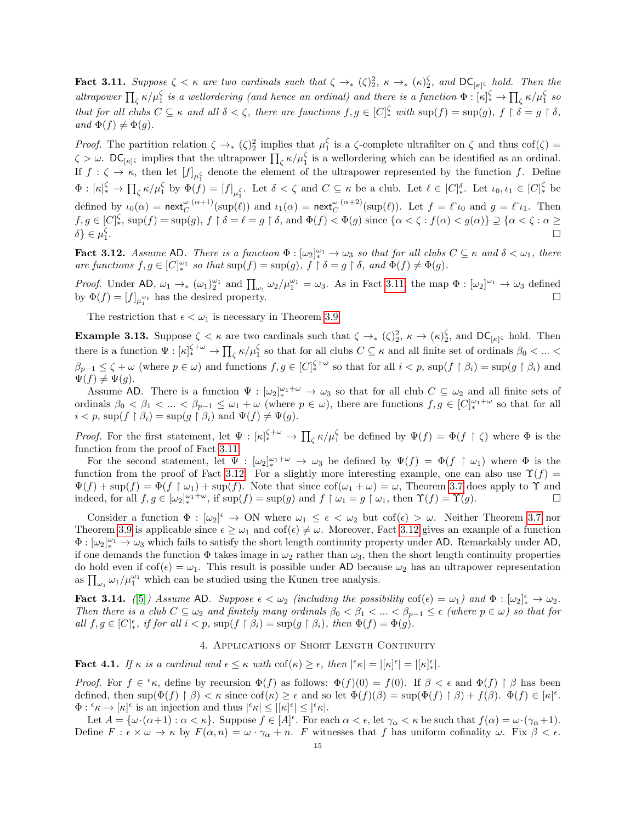<span id="page-14-1"></span>**Fact 3.11.** Suppose  $\zeta < \kappa$  are two cardinals such that  $\zeta \to_{\ast} (\zeta)^2_2$ ,  $\kappa \to_{\ast} (\kappa)^{\zeta}_2$ , and  $\mathsf{DC}_{[\kappa]}\zeta$  hold. Then the ultrapower  $\prod_{\zeta} \kappa/\mu_1^{\zeta}$  is a wellordering (and hence an ordinal) and there is a function  $\Phi : [\kappa]_*^{\zeta} \to \prod_{\zeta} \kappa/\mu_1^{\zeta}$  so that for all clubs  $C \subseteq \kappa$  and all  $\delta < \zeta$ , there are functions  $f, g \in [C]_*^{\zeta}$  with  $\sup(f) = \sup(g), f \restriction \delta = g \restriction \delta$ , and  $\Phi(f) \neq \Phi(g)$ .

*Proof.* The partition relation  $\zeta \to (0, \zeta)^2$  implies that  $\mu_1^{\zeta}$  is a  $\zeta$ -complete ultrafilter on  $\zeta$  and thus cof $(\zeta)$  =  $\zeta > \omega$ . DC<sub>[ $\kappa$ ]</sub>, implies that the ultrapower  $\prod_{\zeta} \kappa / \mu_1^{\zeta}$  is a wellordering which can be identified as an ordinal. If  $f: \zeta \to \kappa$ , then let  $[f]_{\mu_1^{\zeta}}$  denote the element of the ultrapower represented by the function f. Define  $\Phi: [\kappa]_*^{\zeta} \to \prod_{\zeta} \kappa/\mu_1^{\zeta}$  by  $\Phi(f) = [f]_{\mu_1^{\zeta}}$ . Let  $\delta < \zeta$  and  $C \subseteq \kappa$  be a club. Let  $\ell \in [C]_*^{\delta}$ . Let  $\iota_0, \iota_1 \in [C]_*^{\zeta}$  be defined by  $\iota_0(\alpha) = \text{next}_{C}^{\omega \cdot (\alpha+1)}(\text{sup}(\ell))$  and  $\iota_1(\alpha) = \text{next}_{C}^{\omega \cdot (\alpha+2)}(\text{sup}(\ell))$ . Let  $f = \ell^{\gamma} \iota_0$  and  $g = \ell^{\gamma} \iota_1$ . Then  $f, g \in [C]_*^{\zeta}$ ,  $\sup(f) = \sup(g), f \upharpoonright \delta = \ell = g \upharpoonright \delta$ , and  $\Phi(f) < \Phi(g)$  since  $\{\alpha < \zeta : f(\alpha) < g(\alpha)\} \supseteq {\{\alpha < \zeta : \alpha \geq 0\}}$  $\delta$ }  $\in$   $\mu_1^{\zeta}$ .<br>1980 - Paul Barbara, politikar eta aldera eta aldera eta aldera eta aldera eta aldera eta aldera eta aldera e<br>1980 - Paul Barbara, profesora eta aldera eta aldera eta aldera eta aldera eta aldera eta aldera eta aldera e

<span id="page-14-2"></span>**Fact 3.12.** Assume AD. There is a function  $\Phi : [\omega_2]_*^{\omega_1} \to \omega_3$  so that for all clubs  $C \subseteq \kappa$  and  $\delta < \omega_1$ , there are functions  $f, g \in [C]_{*}^{\omega_1}$  so that  $\sup(f) = \sup(g), f \restriction \delta = g \restriction \delta$ , and  $\Phi(f) \neq \Phi(g)$ .

*Proof.* Under AD,  $\omega_1 \rightarrow_* (\omega_1)_2^{\omega_1}$  and  $\prod_{\omega_1} \omega_2/\mu_1^{\omega_1} = \omega_3$ . As in Fact [3.11,](#page-14-1) the map  $\Phi : [\omega_2]^{\omega_1} \rightarrow \omega_3$  defined by  $\Phi(f) = [f]_{\mu_1^{\omega_1}}$  has the desired property.

The restriction that  $\epsilon < \omega_1$  is necessary in Theorem [3.9](#page-13-0)

<span id="page-14-0"></span>**Example 3.13.** Suppose  $\zeta < \kappa$  are two cardinals such that  $\zeta \to (\zeta)^2$ ,  $\kappa \to (\kappa)^{\zeta}_{2}$ , and  $DC_{[\kappa]}\zeta$  hold. Then there is a function  $\Psi : [\kappa]_*^{\zeta + \omega} \to \prod_{\zeta} \kappa / \mu_1^{\zeta}$  so that for all clubs  $C \subseteq \kappa$  and all finite set of ordinals  $\beta_0 < ... <$  $\beta_{p-1} \leq \zeta + \omega$  (where  $p \in \omega$ ) and functions  $f, g \in [C]_{*}^{\zeta+\omega}$  so that for all  $i < p$ ,  $\sup(f \upharpoonright \beta_i) = \sup(g \upharpoonright \beta_i)$  and  $\Psi(f) \neq \Psi(g).$ 

Assume AD. There is a function  $\Psi : [\omega_2]_*^{\omega_1+\omega} \to \omega_3$  so that for all club  $C \subseteq \omega_2$  and all finite sets of ordinals  $\beta_0 < \beta_1 < ... < \beta_{p-1} \leq \omega_1 + \omega$  (where  $p \in \omega$ ), there are functions  $f, g \in [C]_{*}^{\omega_1 + \omega}$  so that for all  $i < p$ , sup $(f \upharpoonright \beta_i) = \sup(g \upharpoonright \beta_i)$  and  $\Psi(f) \neq \Psi(g)$ .

*Proof.* For the first statement, let  $\Psi : [\kappa]_*^{\zeta + \omega} \to \prod_{\zeta} \kappa / \mu_1^{\zeta}$  be defined by  $\Psi(f) = \Phi(f \restriction \zeta)$  where  $\Phi$  is the function from the proof of Fact [3.11.](#page-14-1)

For the second statement, let  $\Psi : [\omega_2]_*^{\omega_1+\omega} \to \omega_3$  be defined by  $\Psi(f) = \Phi(f \restriction \omega_1)$  where  $\Phi$  is the function from the proof of Fact [3.12.](#page-14-2) For a slightly more interesting example, one can also use  $\Upsilon(f)$  =  $\Psi(f) + \sup(f) = \Phi(f \mid \omega_1) + \sup(f)$ . Note that since  $\text{cof}(\omega_1 + \omega) = \omega$ , Theorem [3.7](#page-10-1) does apply to  $\Upsilon$  and indeed, for all  $f, g \in [\omega_2]_*^{\omega_1+\omega}$ , if  $\sup(f) = \sup(g)$  and  $f \upharpoonright \omega_1 = g \upharpoonright \omega_1$ , then  $\Upsilon(f) = \Upsilon(g)$ .

Consider a function  $\Phi : [\omega_2]^{\epsilon} \to ON$  where  $\omega_1 \leq \epsilon < \omega_2$  but  $\cot(\epsilon) > \omega$ . Neither Theorem [3.7](#page-10-1) nor Theorem [3.9](#page-13-0) is applicable since  $\epsilon \geq \omega_1$  and  $\text{cof}(\epsilon) \neq \omega$ . Moreover, Fact [3.12](#page-14-2) gives an example of a function  $\Phi: [\omega_2]_*^{\omega_1} \to \omega_3$  which fails to satisfy the short length continuity property under AD. Remarkably under AD, if one demands the function  $\Phi$  takes image in  $\omega_2$  rather than  $\omega_3$ , then the short length continuity properties do hold even if  $\text{cof}(\epsilon) = \omega_1$ . This result is possible under AD because  $\omega_2$  has an ultrapower representation as  $\prod_{\omega_1} \omega_1 / \mu_1^{\omega_1}$  which can be studied using the Kunen tree analysis.

**Fact 3.14.** ([\[5\]](#page-31-10)) Assume AD. Suppose  $\epsilon < \omega_2$  (including the possibility  $\cot(\epsilon) = \omega_1$ ) and  $\Phi : [\omega_2]_*^{\epsilon} \to \omega_2$ . Then there is a club  $C \subseteq \omega_2$  and finitely many ordinals  $\beta_0 < \beta_1 < ... < \beta_{p-1} \leq \epsilon$  (where  $p \in \omega$ ) so that for all  $f, g \in [C]_{*}^{\epsilon}$ , if for all  $i < p$ ,  $\sup(f \restriction \beta_i) = \sup(g \restriction \beta_i)$ , then  $\Phi(f) = \Phi(g)$ .

### 4. Applications of Short Length Continuity

<span id="page-14-3"></span>**Fact 4.1.** If  $\kappa$  is a cardinal and  $\epsilon \leq \kappa$  with  $\text{cof}(\kappa) \geq \epsilon$ , then  $|\epsilon \kappa| = |[\kappa] \epsilon| = |[\kappa] \epsilon|$ .

Proof. For  $f \in \kappa$ , define by recursion  $\Phi(f)$  as follows:  $\Phi(f)(0) = f(0)$ . If  $\beta < \epsilon$  and  $\Phi(f) \restriction \beta$  has been defined, then  $\sup(\Phi(f) \upharpoonright \beta) < \kappa$  since  $\text{cof}(\kappa) \geq \epsilon$  and so let  $\Phi(f)(\beta) = \sup(\Phi(f) \upharpoonright \beta) + f(\beta)$ .  $\Phi(f) \in [\kappa]^{\epsilon}$ .  $\Phi: \mathscr{C}\times\to[\kappa]^\epsilon$  is an injection and thus  $|\mathscr{C}\kappa|\leq |[\kappa]^\epsilon|\leq |\mathscr{C}\kappa|$ .

Let  $A = {\omega \cdot (\alpha+1) : \alpha < \kappa}$ . Suppose  $f \in [A]^{\epsilon}$ . For each  $\alpha < \epsilon$ , let  $\gamma_{\alpha} < \kappa$  be such that  $f(\alpha) = \omega \cdot (\gamma_{\alpha}+1)$ . Define  $F : \epsilon \times \omega \to \kappa$  by  $F(\alpha, n) = \omega \cdot \gamma_\alpha + n$ . F witnesses that f has uniform cofinality  $\omega$ . Fix  $\beta < \epsilon$ .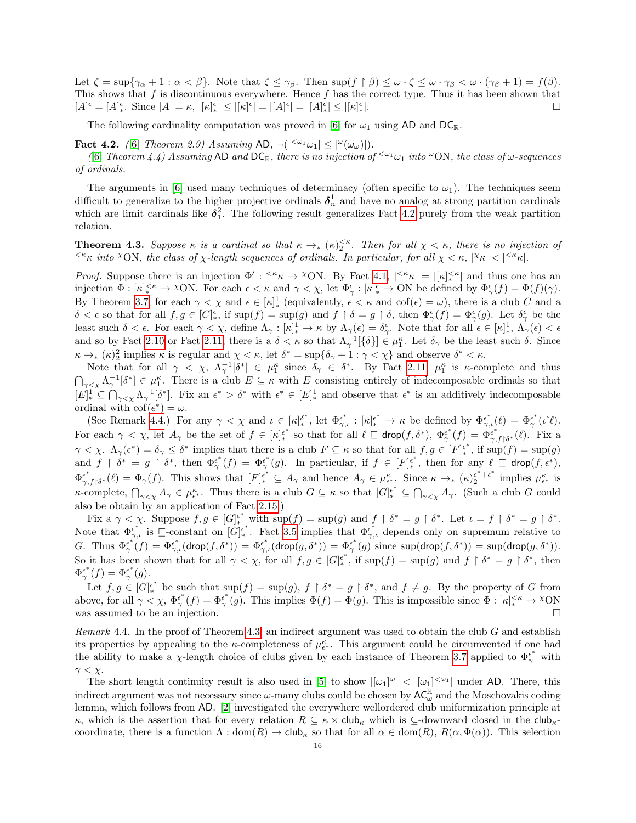Let  $\zeta = \sup{\gamma_\alpha + 1 : \alpha < \beta}$ . Note that  $\zeta \leq \gamma_\beta$ . Then  $\sup(f \upharpoonright \beta) \leq \omega \cdot \zeta \leq \omega \cdot \gamma_\beta < \omega \cdot (\gamma_\beta + 1) = f(\beta)$ . This shows that f is discontinuous everywhere. Hence f has the correct type. Thus it has been shown that  $[A]^\epsilon = [A]_*^\epsilon$ . Since  $|A| = \kappa$ ,  $|[\kappa]_*^\epsilon| \leq |[\kappa]^\epsilon| = |[A]^\epsilon| = |[A]_*^\epsilon| \leq |[\kappa]_*^\epsilon$ |.

The following cardinality computation was proved in [\[6\]](#page-31-11) for  $\omega_1$  using AD and DC<sub>R</sub>.

<span id="page-15-1"></span>**Fact 4.2.** ([\[6\]](#page-31-11) Theorem 2.9) Assuming AD,  $\neg(|\leq^{\omega_1} \omega_1| \leq |\leq^{\omega}(\omega_{\omega})|)$ .

([\[6\]](#page-31-11) Theorem 4.4) Assuming AD and  $DC_{\mathbb{R}}$ , there is no injection of  $\zeta^{\omega_1}\omega_1$  into  $\omega$ ON, the class of  $\omega$ -sequences of ordinals.

The arguments in [\[6\]](#page-31-11) used many techniques of determinacy (often specific to  $\omega_1$ ). The techniques seem difficult to generalize to the higher projective ordinals  $\delta_n^1$  and have no analog at strong partition cardinals which are limit cardinals like  $\delta_1^2$ . The following result generalizes Fact [4.2](#page-15-1) purely from the weak partition relation.

<span id="page-15-0"></span>**Theorem 4.3.** Suppose  $\kappa$  is a cardinal so that  $\kappa \to_{\ast} (\kappa)_{2}^{<\kappa}$ . Then for all  $\chi < \kappa$ , there is no injection of  $\leq^k \kappa$  into  $\infty$  ON, the class of  $\chi$ -length sequences of ordinals. In particular, for all  $\chi < \kappa$ ,  $|\chi_{\kappa}| < |\leq^k \kappa|$ .

*Proof.* Suppose there is an injection  $\Phi' : \langle k \rangle \to \langle N \rangle$ . By Fact [4.1,](#page-14-3)  $|\langle k \rangle \times |\times |\times \rangle$  and thus one has an injection  $\Phi : [\kappa]_*^{\leq \kappa} \to {}^{\chi}ON$ . For each  $\epsilon < \kappa$  and  $\gamma < \chi$ , let  $\Phi_{\gamma}^{\epsilon} : [\kappa]_*^{\epsilon} \to ON$  be defined by  $\Phi_{\gamma}^{\epsilon}(f) = \Phi(f)(\gamma)$ . By Theorem [3.7,](#page-10-1) for each  $\gamma < \chi$  and  $\epsilon \in [\kappa]^1_*$  (equivalently,  $\epsilon < \kappa$  and  $\cot(\epsilon) = \omega$ ), there is a club C and a  $\delta < \epsilon$  so that for all  $f, g \in [C_{\epsilon}^{\epsilon}]$ , if  $\sup(f) = \sup(g)$  and  $f \restriction \delta = g \restriction \delta$ , then  $\Phi_{\gamma}^{\epsilon}(f) = \Phi_{\gamma}^{\epsilon}(g)$ . Let  $\delta_{\gamma}^{\epsilon}$  be the least such  $\delta < \epsilon$ . For each  $\gamma < \chi$ , define  $\Lambda_{\gamma}: [\kappa]_*^1 \to \kappa$  by  $\Lambda_{\gamma}(\epsilon) = \delta_{\gamma}^{\epsilon}$ . Note that for all  $\epsilon \in [\kappa]_*^1$ ,  $\Lambda_{\gamma}(\epsilon) < \epsilon$ and so by Fact [2.10](#page-6-1) or Fact [2.11,](#page-6-3) there is a  $\delta < \kappa$  so that  $\Lambda_{\gamma}^{-1}[\{\delta\}] \in \mu_1^{\kappa}$ . Let  $\delta_{\gamma}$  be the least such  $\delta$ . Since  $\kappa \to (k)^2$  implies  $\kappa$  is regular and  $\chi < \kappa$ , let  $\delta^* = \sup{\{\delta_\gamma + 1 : \gamma < \chi\}}$  and observe  $\delta^* < \kappa$ .

Note that for all  $\gamma < \chi$ ,  $\Lambda_{\gamma}^{-1}[\delta^*] \in \mu_1^{\kappa}$  since  $\delta_{\gamma} \in \delta^*$ . By Fact [2.11,](#page-6-3)  $\mu_1^{\kappa}$  is  $\kappa$ -complete and thus  $\bigcap_{\gamma\leq\chi}\Lambda_{\gamma}^{-1}[\delta^*]\in\mu_1^{\kappa}$ . There is a club  $E\subseteq\kappa$  with E consisting entirely of indecomposable ordinals so that  $[E]_{*}^{1} \subseteq \bigcap_{\gamma<\chi} \Lambda_{\gamma}^{-1}[\delta^*].$  Fix an  $\epsilon^* > \delta^*$  with  $\epsilon^* \in [E]_{*}^{1}$  and observe that  $\epsilon^*$  is an additively indecomposable ordinal with  $\operatorname{cof}(\epsilon^*) = \omega$ .

(See Remark [4.4.](#page-15-2)) For any  $\gamma < \chi$  and  $\iota \in [\kappa]_*^{\delta^*}$ , let  $\Phi_{\gamma,\iota}^{\epsilon^*} : [\kappa]_*^{\epsilon^*} \to \kappa$  be defined by  $\Phi_{\gamma,\iota}^{\epsilon^*}(\ell) = \Phi_{\gamma}^{\epsilon^*}(\ell)$ . For each  $\gamma < \chi$ , let  $A_{\gamma}$  be the set of  $f \in [\kappa]_{*}^{\epsilon^*}$  so that for all  $\ell \subseteq \text{drop}(f, \delta^*)$ ,  $\Phi_{\gamma}^{\epsilon^*}(f) = \Phi_{\gamma, f \restriction \delta^*}^{\epsilon^*}(\ell)$ . Fix a  $\gamma < \chi$ .  $\Lambda_{\gamma}(\epsilon^*) = \delta_{\gamma} \leq \delta^*$  implies that there is a club  $F \subseteq \kappa$  so that for all  $f, g \in [F]_{*}^{\epsilon^*}$ , if  $\sup(f) = \sup(g)$ and  $f \restriction \delta^* = g \restriction \delta^*$ , then  $\Phi_{\gamma}^{\epsilon^*}(f) = \Phi_{\gamma}^{\epsilon^*}(g)$ . In particular, if  $f \in [F]_{*}^{\epsilon^*}$ , then for any  $\ell \subseteq \text{drop}(f, \epsilon^*)$ ,  $\Phi_{\gamma,f\upharpoonright\delta^*}^{\epsilon^*}(\ell) = \Phi_{\gamma}(f)$ . This shows that  $[F]_{*}^{\epsilon^*} \subseteq A_{\gamma}$  and hence  $A_{\gamma} \in \mu_{\epsilon^*}^{\kappa}$ . Since  $\kappa \to_{*} (\kappa)_{2}^{\epsilon^*+\epsilon^*}$  $\frac{\epsilon^* + \epsilon^*}{2}$  implies  $\mu_{\epsilon^*}^{\kappa}$  is  $\kappa$ -complete,  $\bigcap_{\gamma<\chi}A_{\gamma}\in\mu_{\epsilon^*}^{\kappa}$ . Thus there is a club  $G\subseteq\kappa$  so that  $[G]_{*}^{\epsilon^*}\subseteq\bigcap_{\gamma<\chi}A_{\gamma}$ . (Such a club G could also be obtain by an application of Fact [2.15.](#page-7-4))

Fix a  $\gamma < \chi$ . Suppose  $f, g \in [G]_{*}^{\epsilon^*}$  with  $\sup(f) = \sup(g)$  and  $f \restriction \delta^* = g \restriction \delta^*$ . Let  $\iota = f \restriction \delta^* = g \restriction \delta^*$ . Note that  $\Phi_{\gamma,\iota}^{\epsilon^*}$  is  $\sqsubseteq$ -constant on  $[G]_{*}^{\epsilon^*}$ . Fact [3.5](#page-9-0) implies that  $\Phi_{\gamma,\iota}^{\epsilon^*}$  depends only on supremum relative to G. Thus  $\Phi_{\gamma}^{\epsilon^*}(f) = \Phi_{\gamma,\iota}^{\epsilon^*}(\text{drop}(f,\delta^*)) = \Phi_{\gamma,\iota}^{\epsilon^*}(\text{drop}(g,\delta^*)) = \Phi_{\gamma}^{\epsilon^*}(g)$  since  $\sup(\text{drop}(f,\delta^*)) = \sup(\text{drop}(g,\delta^*))$ . So it has been shown that for all  $\gamma < \chi$ , for all  $f, g \in [G]_{*}^{\epsilon^{*}}$ , if  $\sup(f) = \sup(g)$  and  $f \restriction \delta^{*} = g \restriction \delta^{*}$ , then  $\Phi_{\gamma}^{\epsilon^*}(f) = \Phi_{\gamma}^{\epsilon^*}(g).$ 

Let  $f, g \in [G]_*^{\epsilon^*}$  be such that  $\sup(f) = \sup(g), f \upharpoonright \delta^* = g \upharpoonright \delta^*$ , and  $f \neq g$ . By the property of G from above, for all  $\gamma < \chi$ ,  $\Phi_{\gamma}^{\epsilon^*}(f) = \Phi_{\gamma}^{\epsilon^*}(g)$ . This implies  $\Phi(f) = \Phi(g)$ . This is impossible since  $\Phi : [\kappa]_{*}^{<\kappa} \to \chi$ ON was assumed to be an injection.  $\Box$ 

<span id="page-15-2"></span>Remark 4.4. In the proof of Theorem [4.3,](#page-15-0) an indirect argument was used to obtain the club  $G$  and establish its properties by appealing to the  $\kappa$ -completeness of  $\mu_{\epsilon^*}^{\kappa}$ . This argument could be circumvented if one had the ability to make a  $\chi$ -length choice of clubs given by each instance of Theorem [3.7](#page-10-1) applied to  $\Phi_{\gamma}^{\epsilon^*}$  with  $\gamma < \chi$ .

The short length continuity result is also used in [\[5\]](#page-31-10) to show  $|[\omega_1]^{\omega}| < |[\omega_1]^{<\omega_1}|$  under AD. There, this indirect argument was not necessary since  $\omega$ -many clubs could be chosen by  $AC_{\omega}^{\mathbb{R}}$  and the Moschovakis coding lemma, which follows from AD. [\[2\]](#page-31-9) investigated the everywhere wellordered club uniformization principle at κ, which is the assertion that for every relation  $R \subseteq \kappa \times \text{club}_\kappa$  which is  $\subseteq$ -downward closed in the club<sub>k</sub>coordinate, there is a function  $\Lambda: dom(R) \to club_{\kappa}$  so that for all  $\alpha \in dom(R)$ ,  $R(\alpha, \Phi(\alpha))$ . This selection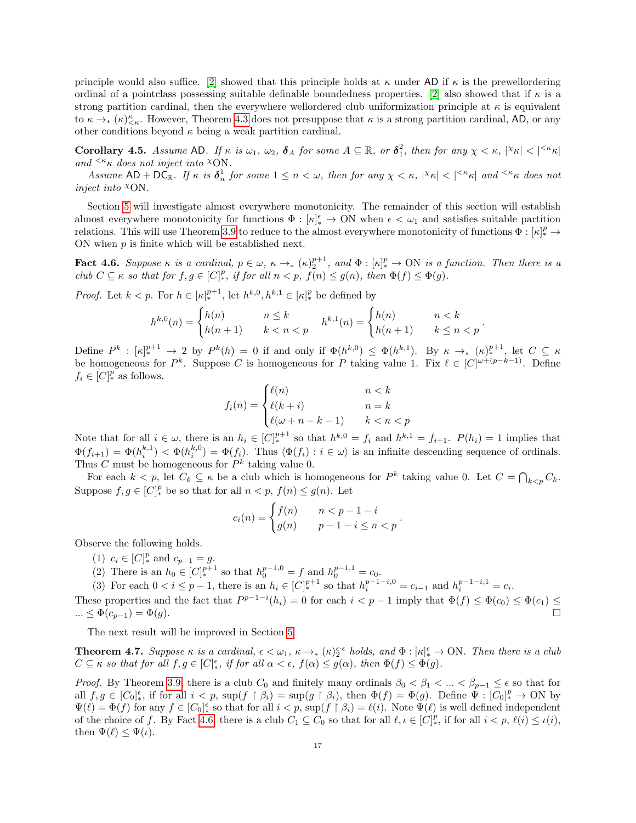principle would also suffice. [\[2\]](#page-31-9) showed that this principle holds at  $\kappa$  under AD if  $\kappa$  is the prewellordering ordinal of a pointclass possessing suitable definable boundedness properties. [\[2\]](#page-31-9) also showed that if  $\kappa$  is a strong partition cardinal, then the everywhere wellordered club uniformization principle at  $\kappa$  is equivalent to  $\kappa \to_{*} (\kappa)_{\leq \kappa}^{\kappa}$ . However, Theorem [4.3](#page-15-0) does not presuppose that  $\kappa$  is a strong partition cardinal, AD, or any other conditions beyond  $\kappa$  being a weak partition cardinal.

<span id="page-16-1"></span>**Corollary 4.5.** Assume AD. If  $\kappa$  is  $\omega_1$ ,  $\omega_2$ ,  $\delta_A$  for some  $A \subseteq \mathbb{R}$ , or  $\delta_1^2$ , then for any  $\chi < \kappa$ ,  $|\chi_{\kappa}| < |\kappa_{\kappa}|$ and  $\leq^k \kappa$  does not inject into  $\chi$ ON.

Assume  $AD + DC_{\mathbb{R}}$ . If  $\kappa$  is  $\delta_n^1$  for some  $1 \leq n < \omega$ , then for any  $\chi < \kappa$ ,  $|\chi_{\kappa}| < |\kappa_{\kappa}|$  and  $\kappa_{\kappa}$  does not inject into  $XON$ .

Section [5](#page-17-1) will investigate almost everywhere monotonicity. The remainder of this section will establish almost everywhere monotonicity for functions  $\Phi : [\kappa]_*^{\epsilon} \to ON$  when  $\epsilon < \omega_1$  and satisfies suitable partition relations. This will use Theorem [3.9](#page-13-0) to reduce to the almost everywhere monotonicity of functions  $\Phi : [\kappa]_*^p \to$ ON when  $p$  is finite which will be established next.

<span id="page-16-2"></span>**Fact 4.6.** Suppose  $\kappa$  is a cardinal,  $p \in \omega$ ,  $\kappa \to_{*} (\kappa)_{2}^{p+1}$ , and  $\Phi : [\kappa]_{*}^{p} \to ON$  is a function. Then there is a club  $C \subseteq \kappa$  so that for  $f, g \in [C]^p_*$ , if for all  $n < p$ ,  $f(n) \le g(n)$ , then  $\Phi(f) \le \Phi(g)$ .

*Proof.* Let  $k < p$ . For  $h \in [\kappa]_{*}^{p+1}$ , let  $h^{k,0}, h^{k,1} \in [\kappa]_{*}^{p}$  be defined by

$$
h^{k,0}(n) = \begin{cases} h(n) & n \le k \\ h(n+1) & k < n < p \end{cases} \quad h^{k,1}(n) = \begin{cases} h(n) & n < k \\ h(n+1) & k \le n < p \end{cases}
$$

.

Define  $P^k: [\kappa]_*^{p+1} \to 2$  by  $P^k(h) = 0$  if and only if  $\Phi(h^{k,0}) \leq \Phi(h^{k,1})$ . By  $\kappa \to_* (\kappa)_{*}^{p+1}$ , let  $C \subseteq \kappa$ be homogeneous for  $P^k$ . Suppose C is homogeneous for P taking value 1. Fix  $\ell \in [C]^{\omega+(p-k-1)}$ . Define  $f_i \in [C]^p_*$  as follows.

$$
f_i(n) = \begin{cases} \ell(n) & n < k \\ \ell(k+i) & n = k \\ \ell(\omega + n - k - 1) & k < n < p \end{cases}
$$

Note that for all  $i \in \omega$ , there is an  $h_i \in [C]_*^{p+1}$  so that  $h^{k,0} = f_i$  and  $h^{k,1} = f_{i+1}$ .  $P(h_i) = 1$  implies that  $\Phi(f_{i+1}) = \Phi(h_i^{k,1}) < \Phi(h_i^{k,0}) = \Phi(f_i)$ . Thus  $\langle \Phi(f_i) : i \in \omega \rangle$  is an infinite descending sequence of ordinals. Thus C must be homogeneous for  $P^k$  taking value 0.

For each  $k < p$ , let  $C_k \subseteq \kappa$  be a club which is homogeneous for  $P^k$  taking value 0. Let  $C = \bigcap_{k < p} C_k$ . Suppose  $f, g \in [C]^p_*$  be so that for all  $n < p$ ,  $f(n) \le g(n)$ . Let

$$
c_i(n) = \begin{cases} f(n) & n < p - 1 - i \\ g(n) & p - 1 - i \le n < p \end{cases}.
$$

Observe the following holds.

- (1)  $c_i \in [C]^p_*$  and  $c_{p-1} = g$ .
- (2) There is an  $h_0 \in [C]_*^{p+1}$  so that  $h_0^{p-1,0} = f$  and  $h_0^{p-1,1} = c_0$ .
- (3) For each  $0 < i \leq p-1$ , there is an  $h_i \in [C]_{*}^{p+1}$  so that  $h_i^{p-1-i,0} = c_{i-1}$  and  $h_i^{p-1-i,1} = c_i$ .

These properties and the fact that  $P^{p-1-i}(h_i) = 0$  for each  $i < p-1$  imply that  $\Phi(f) \leq \Phi(c_0) \leq \Phi(c_1) \leq$  $\dots \leq \Phi(c_{p-1}) = \Phi(g).$ 

The next result will be improved in Section [5.](#page-17-1)

<span id="page-16-0"></span>**Theorem 4.7.** Suppose  $\kappa$  is a cardinal,  $\epsilon < \omega_1$ ,  $\kappa \to_{\ast} (\kappa)_{2}^{\epsilon \cdot \epsilon}$  holds, and  $\Phi : [\kappa]_{\ast}^{\epsilon} \to \text{ON}$ . Then there is a club  $C \subseteq \kappa$  so that for all  $f, g \in [C]_{*}^{\epsilon}$ , if for all  $\alpha < \epsilon$ ,  $f(\alpha) \leq g(\alpha)$ , then  $\Phi(f) \leq \Phi(g)$ .

*Proof.* By Theorem [3.9,](#page-13-0) there is a club  $C_0$  and finitely many ordinals  $\beta_0 < \beta_1 < ... < \beta_{p-1} \leq \epsilon$  so that for all  $f, g \in [C_0]_*^{\epsilon}$ , if for all  $i < p$ ,  $\sup(f \upharpoonright \beta_i) = \sup(g \upharpoonright \beta_i)$ , then  $\Phi(f) = \Phi(g)$ . Define  $\Psi : [C_0]_*^p \to ON$  by  $\Psi(\ell) = \Phi(f)$  for any  $f \in [C_0]_*^{\epsilon}$  so that for all  $i < p$ ,  $\sup(f \upharpoonright \beta_i) = \ell(i)$ . Note  $\Psi(\ell)$  is well defined independent of the choice of f. By Fact [4.6,](#page-16-2) there is a club  $C_1 \subseteq C_0$  so that for all  $\ell, \iota \in [C]^p_*$ , if for all  $i < p$ ,  $\ell(i) \leq \iota(i)$ , then  $\Psi(\ell) \leq \Psi(\iota)$ .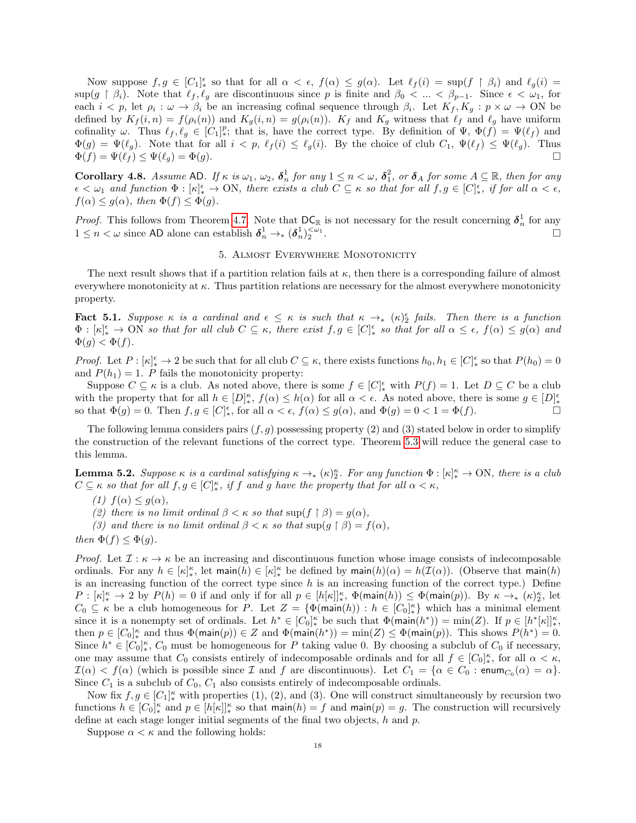Now suppose  $f, g \in [C_1]_*^{\epsilon}$  so that for all  $\alpha < \epsilon$ ,  $f(\alpha) \leq g(\alpha)$ . Let  $\ell_f(i) = \sup(f \restriction \beta_i)$  and  $\ell_g(i) =$  $\sup(g \restriction \beta_i)$ . Note that  $\ell_f , \ell_g$  are discontinuous since p is finite and  $\beta_0 < ... < \beta_{p-1}$ . Since  $\epsilon < \omega_1$ , for each  $i < p$ , let  $\rho_i : \omega \to \beta_i$  be an increasing cofinal sequence through  $\beta_i$ . Let  $K_f, K_g : p \times \omega \to ON$  be defined by  $K_f(i, n) = f(\rho_i(n))$  and  $K_g(i, n) = g(\rho_i(n))$ .  $K_f$  and  $K_g$  witness that  $\ell_f$  and  $\ell_g$  have uniform cofinality  $\omega$ . Thus  $\ell_f, \ell_g \in [C_1]^p$ ; that is, have the correct type. By definition of  $\Psi$ ,  $\Phi(f) = \Psi(\ell_f)$  and  $\Phi(g) = \Psi(\ell_q)$ . Note that for all  $i < p$ ,  $\ell_f(i) \leq \ell_q(i)$ . By the choice of club  $C_1$ ,  $\Psi(\ell_f) \leq \Psi(\ell_q)$ . Thus  $\Phi(f) = \Psi(\ell_f) \le \Psi(\ell_q) = \Phi(g).$ 

**Corollary 4.8.** Assume AD. If  $\kappa$  is  $\omega_1$ ,  $\omega_2$ ,  $\delta_n^1$  for any  $1 \leq n < \omega$ ,  $\delta_1^2$ , or  $\delta_A$  for some  $A \subseteq \mathbb{R}$ , then for any  $\epsilon < \omega_1$  and function  $\Phi : [\kappa]_*^{\epsilon} \to \text{ON}$ , there exists a club  $C \subseteq \kappa$  so that for all  $f, g \in [C]_*^{\epsilon}$ , if for all  $\alpha < \epsilon$ ,  $f(\alpha) \leq g(\alpha)$ , then  $\Phi(f) \leq \Phi(g)$ .

*Proof.* This follows from Theorem [4.7.](#page-16-0) Note that  $DC_{\mathbb{R}}$  is not necessary for the result concerning  $\delta_n^1$  for any  $1 \leq n < \omega$  since AD alone can establish  $\delta_n^1 \to _* (\delta_n^1)^{<\omega_1}_{2}$ . В последните поставите на селото на селото на селото на селото на селото на селото на селото на селото на се<br>Селото на селото на селото на селото на селото на селото на селото на селото на селото на селото на селото на

## 5. Almost Everywhere Monotonicity

<span id="page-17-1"></span>The next result shows that if a partition relation fails at  $\kappa$ , then there is a corresponding failure of almost everywhere monotonicity at κ. Thus partition relations are necessary for the almost everywhere monotonicity property.

<span id="page-17-0"></span>**Fact 5.1.** Suppose  $\kappa$  is a cardinal and  $\epsilon \leq \kappa$  is such that  $\kappa \to_{\ast} (\kappa)_{2}^{\epsilon}$  fails. Then there is a function  $\Phi: [\kappa]_*^\epsilon \to \text{ON}$  so that for all club  $C \subseteq \kappa$ , there exist  $f, g \in [C]_*^\epsilon$  so that for all  $\alpha \leq \epsilon$ ,  $f(\alpha) \leq g(\alpha)$  and  $\Phi(g) < \Phi(f)$ .

Proof. Let  $P : [\kappa]_*^{\epsilon} \to 2$  be such that for all club  $C \subseteq \kappa$ , there exists functions  $h_0, h_1 \in [C]_*^{\epsilon}$  so that  $P(h_0) = 0$ and  $P(h_1) = 1$ . P fails the monotonicity property:

Suppose  $C \subseteq \kappa$  is a club. As noted above, there is some  $f \in [C]_*^{\epsilon}$  with  $P(f) = 1$ . Let  $D \subseteq C$  be a club with the property that for all  $h \in [D]_*^{\kappa}$ ,  $f(\alpha) \leq h(\alpha)$  for all  $\alpha < \epsilon$ . As noted above, there is some  $g \in [D]_*^{\epsilon}$ so that  $\Phi(g) = 0$ . Then  $f, g \in [C]_*^{\epsilon}$ , for all  $\alpha < \epsilon$ ,  $f(\alpha) \le g(\alpha)$ , and  $\Phi(g) = 0 < 1 = \Phi(f)$ .

The following lemma considers pairs  $(f, g)$  possessing property (2) and (3) stated below in order to simplify the construction of the relevant functions of the correct type. Theorem [5.3](#page-19-0) will reduce the general case to this lemma.

<span id="page-17-2"></span>**Lemma 5.2.** Suppose  $\kappa$  is a cardinal satisfying  $\kappa \to_{*} (\kappa)^{\kappa}$ . For any function  $\Phi : [\kappa]_{*}^{\kappa} \to \text{ON}$ , there is a club  $C \subseteq \kappa$  so that for all  $f, g \in [C]_{*}^{\kappa}$ , if f and g have the property that for all  $\alpha < \kappa$ ,

- (1)  $f(\alpha) \leq g(\alpha)$ ,
- (2) there is no limit ordinal  $\beta < \kappa$  so that sup(f  $\beta$ ) =  $q(\alpha)$ ,
- (3) and there is no limit ordinal  $\beta < \kappa$  so that sup(g  $\restriction \beta$ ) =  $f(\alpha)$ ,

then  $\Phi(f) < \Phi(q)$ .

*Proof.* Let  $\mathcal{I}: \kappa \to \kappa$  be an increasing and discontinuous function whose image consists of indecomposable ordinals. For any  $h \in [\kappa]_*^{\kappa}$ , let main $(h) \in [\kappa]_*^{\kappa}$  be defined by main $(h)(\alpha) = h(\mathcal{I}(\alpha))$ . (Observe that main $(h)$ is an increasing function of the correct type since  $h$  is an increasing function of the correct type.) Define  $P: [\kappa]_*^{\kappa} \to 2$  by  $P(h) = 0$  if and only if for all  $p \in [h[\kappa]]_*^{\kappa}$ ,  $\Phi(\mathsf{main}(h)) \leq \Phi(\mathsf{main}(p))$ . By  $\kappa \to_{*} (\kappa)_{2}^{\kappa}$ , let  $C_0 \subseteq \kappa$  be a club homogeneous for P. Let  $Z = {\Phi(\text{main}(h)) : h \in [C_0]_{*}^{\kappa}}$  which has a minimal element since it is a nonempty set of ordinals. Let  $h^* \in [C_0]_*^{\kappa}$  be such that  $\Phi(\text{main}(h^*)) = \min(Z)$ . If  $p \in [h^*[{\kappa}]]_*^{\kappa}$ , then  $p \in [C_0]_*^\kappa$  and thus  $\Phi(\text{main}(p)) \in Z$  and  $\Phi(\text{main}(h^*)) = \min(Z) \leq \Phi(\text{main}(p))$ . This shows  $P(h^*) = 0$ . Since  $h^* \in [C_0]_*^{\kappa}$ ,  $C_0$  must be homogeneous for P taking value 0. By choosing a subclub of  $C_0$  if necessary, one may assume that  $C_0$  consists entirely of indecomposable ordinals and for all  $f \in [C_0]_*^{\kappa}$ , for all  $\alpha < \kappa$ ,  $\mathcal{I}(\alpha) < f(\alpha)$  (which is possible since  $\mathcal I$  and  $f$  are discontinuous). Let  $C_1 = \{ \alpha \in C_0 : \text{enum}_{C_0}(\alpha) = \alpha \}.$ Since  $C_1$  is a subclub of  $C_0$ ,  $C_1$  also consists entirely of indecomposable ordinals.

Now fix  $f, g \in [C_1]^{\kappa}$  with properties (1), (2), and (3). One will construct simultaneously by recursion two functions  $h \in [C_0]_*^\kappa$  and  $p \in [h[\kappa]]_*^\kappa$  so that main $(h) = f$  and main $(p) = g$ . The construction will recursively define at each stage longer initial segments of the final two objects, h and p.

Suppose  $\alpha < \kappa$  and the following holds: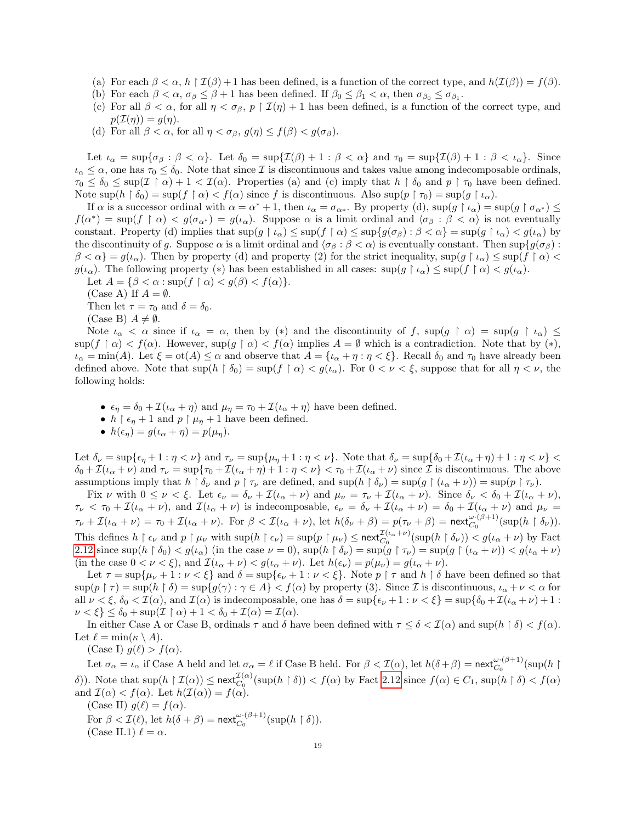- (a) For each  $\beta < \alpha$ ,  $h \restriction \mathcal{I}(\beta) + 1$  has been defined, is a function of the correct type, and  $h(\mathcal{I}(\beta)) = f(\beta)$ .
- (b) For each  $\beta < \alpha$ ,  $\sigma_{\beta} \leq \beta + 1$  has been defined. If  $\beta_0 \leq \beta_1 < \alpha$ , then  $\sigma_{\beta_0} \leq \sigma_{\beta_1}$ .
- (c) For all  $\beta < \alpha$ , for all  $\eta < \sigma_{\beta}$ ,  $p \restriction \mathcal{I}(\eta) + 1$  has been defined, is a function of the correct type, and  $p(\mathcal{I}(\eta)) = g(\eta).$
- (d) For all  $\beta < \alpha$ , for all  $\eta < \sigma_{\beta}$ ,  $g(\eta) \leq f(\beta) < g(\sigma_{\beta})$ .

Let  $\iota_{\alpha} = \sup \{ \sigma_{\beta} : \beta < \alpha \}.$  Let  $\delta_0 = \sup \{ \mathcal{I}(\beta) + 1 : \beta < \alpha \}$  and  $\tau_0 = \sup \{ \mathcal{I}(\beta) + 1 : \beta < \iota_{\alpha} \}.$  Since  $\iota_{\alpha} \leq \alpha$ , one has  $\tau_0 \leq \delta_0$ . Note that since  $\mathcal I$  is discontinuous and takes value among indecomposable ordinals,  $\tau_0 \leq \delta_0 \leq \sup(\mathcal{I} \restriction \alpha) + 1 < \mathcal{I}(\alpha)$ . Properties (a) and (c) imply that  $h \restriction \delta_0$  and  $p \restriction \tau_0$  have been defined. Note  $\sup(h \restriction \delta_0) = \sup(f \restriction \alpha) < f(\alpha)$  since f is discontinuous. Also  $\sup(p \restriction \tau_0) = \sup(g \restriction \iota_\alpha)$ .

If  $\alpha$  is a successor ordinal with  $\alpha = \alpha^* + 1$ , then  $\iota_{\alpha} = \sigma_{\alpha^*}$ . By property (d),  $\sup(g \upharpoonright \iota_{\alpha}) = \sup(g \upharpoonright \sigma_{\alpha^*}) \leq$  $f(\alpha^*) = \sup(f \restriction \alpha) < g(\sigma_{\alpha^*}) = g(\iota_\alpha)$ . Suppose  $\alpha$  is a limit ordinal and  $\langle \sigma_\beta : \beta < \alpha \rangle$  is not eventually constant. Property (d) implies that  $\sup(g \upharpoonright \iota_\alpha) \leq \sup(f \upharpoonright \alpha) \leq \sup\{g(\sigma_\beta) : \beta < \alpha\} = \sup(g \upharpoonright \iota_\alpha) < g(\iota_\alpha)$  by the discontinuity of g. Suppose  $\alpha$  is a limit ordinal and  $\langle \sigma_\beta : \beta < \alpha \rangle$  is eventually constant. Then sup $\{g(\sigma_\beta) : \beta < \alpha\}$  $\beta < \alpha$ } =  $g(\iota_{\alpha})$ . Then by property (d) and property (2) for the strict inequality,  $\sup(g \restriction \iota_{\alpha}) \leq \sup(f \restriction \alpha)$  $g(\iota_\alpha)$ . The following property (\*) has been established in all cases:  $\sup(g \restriction \iota_\alpha) \leq \sup(f \restriction \alpha) < g(\iota_\alpha)$ . Let  $A = \{\beta < \alpha : \sup(f \restriction \alpha) < g(\beta) < f(\alpha)\}.$ 

- (Case A) If  $A = \emptyset$ .
- Then let  $\tau = \tau_0$  and  $\delta = \delta_0$ .
- (Case B)  $A \neq \emptyset$ .

Note  $\iota_{\alpha} < \alpha$  since if  $\iota_{\alpha} = \alpha$ , then by (\*) and the discontinuity of f, sup(g  $\upharpoonright \alpha$ ) = sup(g  $\upharpoonright \iota_{\alpha}$ )  $\leq$  $\sup(f \upharpoonright \alpha) < f(\alpha)$ . However,  $\sup(g \upharpoonright \alpha) < f(\alpha)$  implies  $A = \emptyset$  which is a contradiction. Note that by  $(*)$ ,  $\iota_{\alpha} = \min(A)$ . Let  $\xi = \text{ot}(A) \leq \alpha$  and observe that  $A = {\iota_{\alpha} + \eta : \eta < \xi}$ . Recall  $\delta_0$  and  $\tau_0$  have already been defined above. Note that  $\sup(h \restriction \delta_0) = \sup(f \restriction \alpha) < g(\iota_\alpha)$ . For  $0 < \nu < \xi$ , suppose that for all  $\eta < \nu$ , the following holds:

- $\epsilon_{\eta} = \delta_0 + \mathcal{I}(\iota_{\alpha} + \eta)$  and  $\mu_{\eta} = \tau_0 + \mathcal{I}(\iota_{\alpha} + \eta)$  have been defined.
- $h \restriction \epsilon_{\eta} + 1$  and  $p \restriction \mu_{\eta} + 1$  have been defined.
- $h(\epsilon_n) = g(\iota_\alpha + \eta) = p(\mu_n).$

Let  $\delta_{\nu} = \sup\{\epsilon_{\eta} + 1 : \eta < \nu\}$  and  $\tau_{\nu} = \sup\{\mu_{\eta} + 1 : \eta < \nu\}$ . Note that  $\delta_{\nu} = \sup\{\delta_{0} + \mathcal{I}(\iota_{\alpha} + \eta) + 1 : \eta < \nu\}$  $\delta_0 + \mathcal{I}(\iota_\alpha + \nu)$  and  $\tau_\nu = \sup\{\tau_0 + \mathcal{I}(\iota_\alpha + \eta) + 1 : \eta < \nu\} < \tau_0 + \mathcal{I}(\iota_\alpha + \nu)$  since  $\mathcal I$  is discontinuous. The above assumptions imply that  $h \restriction \delta_{\nu}$  and  $p \restriction \tau_{\nu}$  are defined, and  $\sup(h \restriction \delta_{\nu}) = \sup(g \restriction (\iota_{\alpha} + \nu)) = \sup(p \restriction \tau_{\nu}).$ 

Fix  $\nu$  with  $0 \le \nu < \xi$ . Let  $\epsilon_{\nu} = \delta_{\nu} + \mathcal{I}(\iota_{\alpha} + \nu)$  and  $\mu_{\nu} = \tau_{\nu} + \mathcal{I}(\iota_{\alpha} + \nu)$ . Since  $\delta_{\nu} < \delta_{0} + \mathcal{I}(\iota_{\alpha} + \nu)$ ,  $\tau_{\nu} < \tau_0 + \mathcal{I}(\iota_{\alpha} + \nu)$ , and  $\mathcal{I}(\iota_{\alpha} + \nu)$  is indecomposable,  $\epsilon_{\nu} = \delta_{\nu} + \mathcal{I}(\iota_{\alpha} + \nu) = \delta_0 + \mathcal{I}(\iota_{\alpha} + \nu)$  and  $\mu_{\nu} =$  $\tau_{\nu} + \mathcal{I}(\iota_{\alpha} + \nu) = \tau_0 + \mathcal{I}(\iota_{\alpha} + \nu)$ . For  $\beta < \mathcal{I}(\iota_{\alpha} + \nu)$ , let  $h(\delta_{\nu} + \beta) = p(\tau_{\nu} + \beta) = \text{next}_{C_0}^{\omega \cdot (\beta + 1)}(\sup(h \upharpoonright \delta_{\nu}))$ . This defines  $h \restriction \epsilon_{\nu}$  and  $p \restriction \mu_{\nu}$  with  $\sup(h \restriction \epsilon_{\nu}) = \sup(p \restriction \mu_{\nu}) \leq \text{next}_{C_0}^{\mathcal{I}(\iota_{\alpha}+\nu)}(\sup(h \restriction \delta_{\nu})) < g(\iota_{\alpha}+\nu)$  by Fact [2.12](#page-7-2) since  $\sup(h \restriction \delta_0) < g(\iota_\alpha)$  (in the case  $\nu = 0$ ),  $\sup(h \restriction \delta_\nu) = \sup(g \restriction \tau_\nu) = \sup(g \restriction (\iota_\alpha + \nu)) < g(\iota_\alpha + \nu)$ (in the case  $0 < \nu < \xi$ ), and  $\mathcal{I}(\iota_{\alpha} + \nu) < g(\iota_{\alpha} + \nu)$ . Let  $h(\epsilon_{\nu}) = p(\mu_{\nu}) = g(\iota_{\alpha} + \nu)$ .

Let  $\tau = \sup\{\mu_{\nu} + 1 : \nu < \xi\}$  and  $\delta = \sup\{\epsilon_{\nu} + 1 : \nu < \xi\}$ . Note  $p \restriction \tau$  and  $h \restriction \delta$  have been defined so that  $\sup(p \restriction \tau) = \sup(h \restriction \delta) = \sup\{g(\gamma) : \gamma \in A\} < f(\alpha)$  by property (3). Since  $\mathcal I$  is discontinuous,  $\iota_\alpha + \nu < \alpha$  for all  $\nu < \xi$ ,  $\delta_0 < \mathcal{I}(\alpha)$ , and  $\mathcal{I}(\alpha)$  is indecomposable, one has  $\delta = \sup{\{\epsilon_{\nu} + 1 : \nu < \xi\}} = \sup{\{\delta_0 + \mathcal{I}(\iota_{\alpha} + \nu) + 1 : \nu < \xi\}}$  $\nu < \xi$   $\leq \delta_0 + \sup(\mathcal{I} \restriction \alpha) + 1 < \delta_0 + \mathcal{I}(\alpha) = \mathcal{I}(\alpha)$ .

In either Case A or Case B, ordinals  $\tau$  and  $\delta$  have been defined with  $\tau \leq \delta < \mathcal{I}(\alpha)$  and  $\sup(h \restriction \delta) < f(\alpha)$ . Let  $\ell = \min(\kappa \setminus A)$ .

(Case I)  $g(\ell) > f(\alpha)$ .

Let  $\sigma_{\alpha} = \iota_{\alpha}$  if Case A held and let  $\sigma_{\alpha} = \ell$  if Case B held. For  $\beta < \mathcal{I}(\alpha)$ , let  $h(\delta + \beta) = \text{next}_{C_0}^{\omega \cdot (\beta + 1)}(\sup(h \mid \beta))$ δ)). Note that  $\sup(h \restriction \mathcal{I}(\alpha)) \leq \text{next}_{C_0}^{\mathcal{I}(\alpha)}(\sup(h \restriction \delta)) < f(\alpha)$  by Fact [2.12](#page-7-2) since  $f(\alpha) \in C_1$ ,  $\sup(h \restriction \delta) < f(\alpha)$ and  $\mathcal{I}(\alpha) < f(\alpha)$ . Let  $h(\mathcal{I}(\alpha)) = f(\alpha)$ .

(Case II)  $g(\ell) = f(\alpha)$ . For  $\beta < \mathcal{I}(\ell)$ , let  $h(\delta + \beta) = \text{next}_{C_0}^{\omega \cdot (\beta + 1)}(\sup(h \restriction \delta)).$ (Case II.1)  $\ell = \alpha$ .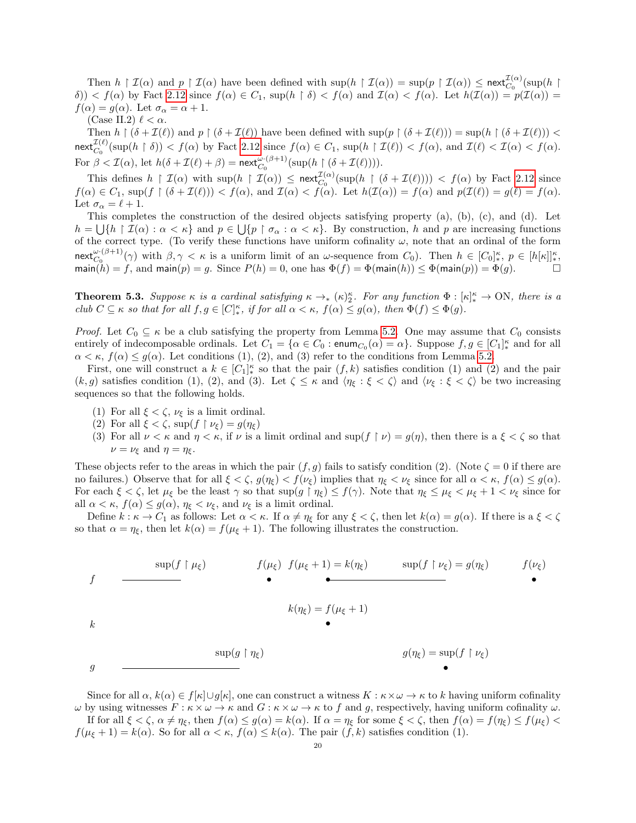Then  $h \upharpoonright \mathcal{I}(\alpha)$  and  $p \upharpoonright \mathcal{I}(\alpha)$  have been defined with  $\sup(h \upharpoonright \mathcal{I}(\alpha)) = \sup(p \upharpoonright \mathcal{I}(\alpha)) \leq \operatorname{next}_{C_0}^{\mathcal{I}(\alpha)}(\sup(h \upharpoonright \alpha))$  $\delta$ ))  $\langle f(\alpha) \rangle$  by Fact [2.12](#page-7-2) since  $f(\alpha) \in C_1$ , sup $(h \restriction \delta) \langle f(\alpha) \rangle$  and  $\mathcal{I}(\alpha) \langle f(\alpha) \rangle = h(\mathcal{I}(\alpha)) = h(\mathcal{I}(\alpha)) = h(\mathcal{I}(\alpha))$  $f(\alpha) = g(\alpha)$ . Let  $\sigma_{\alpha} = \alpha + 1$ .

(Case II.2)  $\ell < \alpha$ .

Then  $h \restriction (\delta + \mathcal{I}(\ell))$  and  $p \restriction (\delta + \mathcal{I}(\ell))$  have been defined with  $\sup(p \restriction (\delta + \mathcal{I}(\ell))) = \sup(h \restriction (\delta + \mathcal{I}(\ell))) <$  $\operatorname{next}_{C_0}^{\mathcal{I}(\ell)}(\sup(h \restriction \delta)) < f(\alpha)$  by Fact [2.12](#page-7-2) since  $f(\alpha) \in C_1$ ,  $\sup(h \restriction \mathcal{I}(\ell)) < f(\alpha)$ , and  $\mathcal{I}(\ell) < \mathcal{I}(\alpha) < f(\alpha)$ . For  $\beta < \mathcal{I}(\alpha)$ , let  $h(\delta + \mathcal{I}(\ell) + \beta) = \text{next}_{C_0}^{\omega \cdot (\beta + 1)}(\sup(h \upharpoonright (\delta + \mathcal{I}(\ell))))$ .

This defines  $h \restriction \mathcal{I}(\alpha)$  with  $\sup(h \restriction \mathcal{I}(\alpha)) \leq \text{next}_{C_0}^{\mathcal{I}(\alpha)}(\sup(h \restriction (\delta + \mathcal{I}(\ell)))) < f(\alpha)$  by Fact [2.12](#page-7-2) since  $f(\alpha) \in C_1$ , sup $(f \restriction (\delta + \mathcal{I}(\ell))) < f(\alpha)$ , and  $\mathcal{I}(\alpha) < f(\alpha)$ . Let  $h(\mathcal{I}(\alpha)) = f(\alpha)$  and  $p(\mathcal{I}(\ell)) = g(\ell) = f(\alpha)$ . Let  $\sigma_{\alpha} = \ell + 1$ .

This completes the construction of the desired objects satisfying property (a), (b), (c), and (d). Let  $h = \bigcup \{h \mid \mathcal{I}(\alpha) : \alpha < \kappa\}$  and  $p \in \bigcup \{p \mid \sigma_\alpha : \alpha < \kappa\}$ . By construction, h and p are increasing functions of the correct type. (To verify these functions have uniform cofinality  $\omega$ , note that an ordinal of the form next<sup>ω·(β+1)</sup>( $\gamma$ ) with  $\beta, \gamma < \kappa$  is a uniform limit of an  $\omega$ -sequence from  $C_0$ ). Then  $h \in [C_0]_{*}^{\kappa}$ ,  $p \in [h[\kappa]]_{*}^{\kappa}$ , main $(h) = f$ , and main $(p) = g$ . Since  $P(h) = 0$ , one has  $\Phi(f) = \Phi(\text{main}(h)) \leq \Phi(\text{main}(p)) = \Phi(g)$ .

<span id="page-19-0"></span>**Theorem 5.3.** Suppose  $\kappa$  is a cardinal satisfying  $\kappa \to_{*} (\kappa)_{2}^{\kappa}$ . For any function  $\Phi : [\kappa]_{*}^{\kappa} \to ON$ , there is a club  $C \subseteq \kappa$  so that for all  $f, g \in [C]_{*}^{\kappa}$ , if for all  $\alpha < \kappa$ ,  $f(\alpha) \leq g(\alpha)$ , then  $\Phi(f) \leq \Phi(g)$ .

*Proof.* Let  $C_0 \subseteq \kappa$  be a club satisfying the property from Lemma [5.2.](#page-17-2) One may assume that  $C_0$  consists entirely of indecomposable ordinals. Let  $C_1 = \{ \alpha \in C_0 : \text{enum}_{C_0}(\alpha) = \alpha \}$ . Suppose  $f, g \in [C_1]_*^{\kappa}$  and for all  $\alpha < \kappa$ ,  $f(\alpha) \leq g(\alpha)$ . Let conditions (1), (2), and (3) refer to the conditions from Lemma [5.2.](#page-17-2)

First, one will construct a  $k \in [C_1]_*^{\kappa}$  so that the pair  $(f, k)$  satisfies condition (1) and (2) and the pair  $(k, g)$  satisfies condition (1), (2), and (3). Let  $\zeta \leq \kappa$  and  $\langle \eta_{\xi} : \xi < \zeta \rangle$  and  $\langle \nu_{\xi} : \xi < \zeta \rangle$  be two increasing sequences so that the following holds.

- (1) For all  $\xi < \zeta$ ,  $\nu_{\xi}$  is a limit ordinal.
- (2) For all  $\xi < \zeta$ , sup $(f \restriction \nu_{\xi}) = g(\eta_{\xi})$
- (3) For all  $\nu < \kappa$  and  $\eta < \kappa$ , if  $\nu$  is a limit ordinal and sup  $(f \upharpoonright \nu) = g(\eta)$ , then there is a  $\xi < \zeta$  so that  $\nu = \nu_{\xi}$  and  $\eta = \eta_{\xi}$ .

These objects refer to the areas in which the pair  $(f, g)$  fails to satisfy condition (2). (Note  $\zeta = 0$  if there are no failures.) Observe that for all  $\xi < \zeta$ ,  $g(\eta_{\xi}) < f(\nu_{\xi})$  implies that  $\eta_{\xi} < \nu_{\xi}$  since for all  $\alpha < \kappa$ ,  $f(\alpha) \leq g(\alpha)$ . For each  $\xi < \zeta$ , let  $\mu_{\xi}$  be the least  $\gamma$  so that  $\sup(g \upharpoonright \eta_{\xi}) \leq f(\gamma)$ . Note that  $\eta_{\xi} \leq \mu_{\xi} < \mu_{\xi} + 1 < \nu_{\xi}$  since for all  $\alpha < \kappa$ ,  $f(\alpha) \le g(\alpha)$ ,  $\eta_{\xi} < \nu_{\xi}$ , and  $\nu_{\xi}$  is a limit ordinal.

Define  $k : \kappa \to C_1$  as follows: Let  $\alpha < \kappa$ . If  $\alpha \neq \eta_{\xi}$  for any  $\xi < \zeta$ , then let  $k(\alpha) = g(\alpha)$ . If there is a  $\xi < \zeta$ so that  $\alpha = \eta_{\xi}$ , then let  $k(\alpha) = f(\mu_{\xi} + 1)$ . The following illustrates the construction.

$$
f \longrightarrow f(\mu_{\xi}) \qquad f(\mu_{\xi} + 1) = k(\eta_{\xi}) \qquad \sup(f \upharpoonright \nu_{\xi}) = g(\eta_{\xi}) \qquad f(\nu_{\xi})
$$
\n
$$
k(\eta_{\xi}) = f(\mu_{\xi} + 1)
$$
\n
$$
k \longrightarrow g(\eta_{\xi}) = \sup(f \upharpoonright \nu_{\xi})
$$
\n
$$
g \longrightarrow g(\eta_{\xi}) = \sup(f \upharpoonright \nu_{\xi})
$$

Since for all  $\alpha$ ,  $k(\alpha) \in f[\kappa] \cup g[\kappa]$ , one can construct a witness  $K : \kappa \times \omega \to \kappa$  to k having uniform cofinality  $ω$  by using witnesses  $F : \kappa \times ω \to \kappa$  and  $G : \kappa \times ω \to \kappa$  to f and g, respectively, having uniform cofinality  $ω$ . If for all  $\xi < \zeta$ ,  $\alpha \neq \eta_{\xi}$ , then  $f(\alpha) \leq g(\alpha) = k(\alpha)$ . If  $\alpha = \eta_{\xi}$  for some  $\xi < \zeta$ , then  $f(\alpha) = f(\eta_{\xi}) \leq f(\mu_{\xi}) <$ 

 $f(\mu_{\xi} + 1) = k(\alpha)$ . So for all  $\alpha < \kappa$ ,  $f(\alpha) \leq k(\alpha)$ . The pair  $(f, k)$  satisfies condition (1).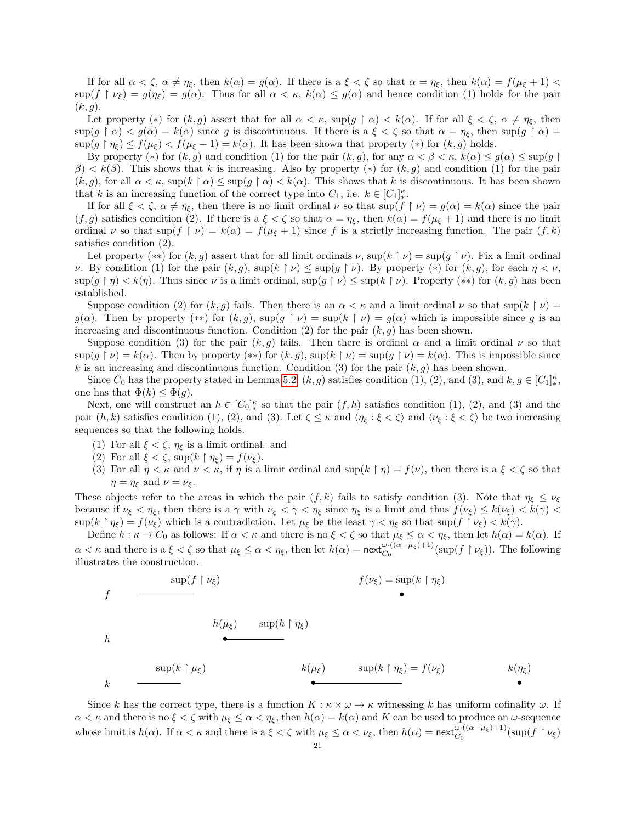If for all  $\alpha < \zeta$ ,  $\alpha \neq \eta_{\xi}$ , then  $k(\alpha) = g(\alpha)$ . If there is a  $\xi < \zeta$  so that  $\alpha = \eta_{\xi}$ , then  $k(\alpha) = f(\mu_{\xi} + 1)$  $\sup(f \restriction \nu_{\xi}) = g(\eta_{\xi}) = g(\alpha)$ . Thus for all  $\alpha < \kappa$ ,  $k(\alpha) \leq g(\alpha)$  and hence condition (1) holds for the pair  $(k, g)$ .

Let property (\*) for  $(k, g)$  assert that for all  $\alpha < \kappa$ , sup( $g \restriction \alpha < k(\alpha)$ . If for all  $\xi < \zeta$ ,  $\alpha \neq \eta_{\xi}$ , then  $\sup(g \restriction \alpha) < g(\alpha) = k(\alpha)$  since g is discontinuous. If there is a  $\xi < \zeta$  so that  $\alpha = \eta_{\xi}$ , then  $\sup(g \restriction \alpha) =$  $\sup(g \upharpoonright \eta_{\varepsilon}) \leq f(\mu_{\varepsilon}) < f(\mu_{\varepsilon} + 1) = k(\alpha)$ . It has been shown that property  $(*)$  for  $(k, g)$  holds.

By property (\*) for  $(k, g)$  and condition (1) for the pair  $(k, g)$ , for any  $\alpha < \beta < \kappa$ ,  $k(\alpha) \le g(\alpha) \le \sup(g \mid \alpha)$  $\beta$ )  $\lt k(\beta)$ . This shows that k is increasing. Also by property (\*) for  $(k, g)$  and condition (1) for the pair  $(k, g)$ , for all  $\alpha < \kappa$ , sup $(k \restriction \alpha) \leq \sup(g \restriction \alpha) < k(\alpha)$ . This shows that k is discontinuous. It has been shown that k is an increasing function of the correct type into  $C_1$ , i.e.  $k \in [C_1]_*^{\kappa}$ .

If for all  $\xi < \zeta$ ,  $\alpha \neq \eta_{\xi}$ , then there is no limit ordinal  $\nu$  so that  $\sup(f \restriction \nu) = g(\alpha) = k(\alpha)$  since the pair  $(f,g)$  satisfies condition (2). If there is a  $\xi < \zeta$  so that  $\alpha = \eta_{\xi}$ , then  $k(\alpha) = f(\mu_{\xi} + 1)$  and there is no limit ordinal  $\nu$  so that  $\sup(f \upharpoonright \nu) = k(\alpha) = f(\mu_{\xi} + 1)$  since f is a strictly increasing function. The pair  $(f, k)$ satisfies condition (2).

Let property  $(**)$  for  $(k, g)$  assert that for all limit ordinals  $\nu$ ,  $\sup(k \mid \nu) = \sup(g \mid \nu)$ . Fix a limit ordinal v. By condition (1) for the pair  $(k, q)$ ,  $\sup(k \mid \nu) \leq \sup(q \mid \nu)$ . By property  $(*)$  for  $(k, q)$ , for each  $\eta < \nu$ ,  $\sup(q \mid \eta) < k(\eta)$ . Thus since  $\nu$  is a limit ordinal,  $\sup(q \mid \nu) \leq \sup(k \mid \nu)$ . Property (\*\*) for  $(k, q)$  has been established.

Suppose condition (2) for  $(k, g)$  fails. Then there is an  $\alpha < \kappa$  and a limit ordinal  $\nu$  so that sup( $k \restriction \nu$ ) =  $g(\alpha)$ . Then by property (\*\*) for  $(k, g)$ ,  $\sup(g \upharpoonright \nu) = \sup(k \upharpoonright \nu) = g(\alpha)$  which is impossible since g is an increasing and discontinuous function. Condition (2) for the pair  $(k, g)$  has been shown.

Suppose condition (3) for the pair  $(k, g)$  fails. Then there is ordinal  $\alpha$  and a limit ordinal  $\nu$  so that  $\sup(g \mid \nu) = k(\alpha)$ . Then by property  $(**)$  for  $(k, g)$ ,  $\sup(k \mid \nu) = \sup(g \mid \nu) = k(\alpha)$ . This is impossible since k is an increasing and discontinuous function. Condition (3) for the pair  $(k, g)$  has been shown.

Since  $C_0$  has the property stated in Lemma [5.2,](#page-17-2)  $(k, g)$  satisfies condition (1), (2), and (3), and  $k, g \in [C_1]_*^{\kappa}$ , one has that  $\Phi(k) \leq \Phi(g)$ .

Next, one will construct an  $h \in [C_0]_*^{\kappa}$  so that the pair  $(f, h)$  satisfies condition  $(1), (2)$ , and  $(3)$  and the pair  $(h, k)$  satisfies condition (1), (2), and (3). Let  $\zeta \leq \kappa$  and  $\langle \eta_{\xi} : \xi \langle \zeta \rangle$  and  $\langle \nu_{\xi} : \xi \langle \zeta \rangle$  be two increasing sequences so that the following holds.

- (1) For all  $\xi < \zeta$ ,  $\eta_{\xi}$  is a limit ordinal. and
- (2) For all  $\xi < \zeta$ , sup $(k \restriction \eta_{\xi}) = f(\nu_{\xi})$ .

k

(3) For all  $\eta < \kappa$  and  $\nu < \kappa$ , if  $\eta$  is a limit ordinal and sup( $k \restriction \eta$ ) =  $f(\nu)$ , then there is a  $\xi < \zeta$  so that  $\eta = \eta_{\xi}$  and  $\nu = \nu_{\xi}$ .

These objects refer to the areas in which the pair  $(f, k)$  fails to satisfy condition (3). Note that  $\eta_{\xi} \leq \nu_{\xi}$ because if  $\nu_{\xi} < \eta_{\xi}$ , then there is a  $\gamma$  with  $\nu_{\xi} < \gamma < \eta_{\xi}$  since  $\eta_{\xi}$  is a limit and thus  $f(\nu_{\xi}) \leq k(\nu_{\xi}) < k(\gamma) <$  $\sup(k \restriction \eta_{\xi}) = f(\nu_{\xi})$  which is a contradiction. Let  $\mu_{\xi}$  be the least  $\gamma < \eta_{\xi}$  so that  $\sup(f \restriction \nu_{\xi}) < k(\gamma)$ .

Define  $h : \kappa \to C_0$  as follows: If  $\alpha < \kappa$  and there is no  $\xi < \zeta$  so that  $\mu_{\xi} \leq \alpha < \eta_{\xi}$ , then let  $h(\alpha) = k(\alpha)$ . If  $\alpha < \kappa$  and there is a  $\xi < \zeta$  so that  $\mu_{\xi} \leq \alpha < \eta_{\xi}$ , then let  $h(\alpha) = \text{next}_{C_0}^{\omega \cdot ((\alpha - \mu_{\xi}) + 1)}(\text{sup}(f \restriction \nu_{\xi}))$ . The following illustrates the construction.

$$
f \longrightarrow f(\nu_{\xi}) = \sup(k \upharpoonright \eta_{\xi})
$$
\n
$$
h \longrightarrow h(\mu_{\xi}) = \sup(k \upharpoonright \eta_{\xi})
$$
\n
$$
h \longrightarrow \sup(k \upharpoonright \mu_{\xi}) = k(\mu_{\xi}) = \sup(k \upharpoonright \eta_{\xi}) = f(\nu_{\xi})
$$

Since k has the correct type, there is a function  $K : \kappa \times \omega \to \kappa$  witnessing k has uniform cofinality  $\omega$ . If  $\alpha < \kappa$  and there is no  $\xi < \zeta$  with  $\mu_{\xi} \leq \alpha < \eta_{\xi}$ , then  $h(\alpha) = k(\alpha)$  and K can be used to produce an  $\omega$ -sequence whose limit is  $h(\alpha)$ . If  $\alpha < \kappa$  and there is a  $\xi < \zeta$  with  $\mu_{\xi} \leq \alpha < \nu_{\xi}$ , then  $h(\alpha) = \text{next}_{C_0}^{\omega \cdot ((\alpha - \mu_{\xi}) + 1)}(\sup(f \upharpoonright \nu_{\xi})$ 

•

 $k(\eta_{\xi})$ •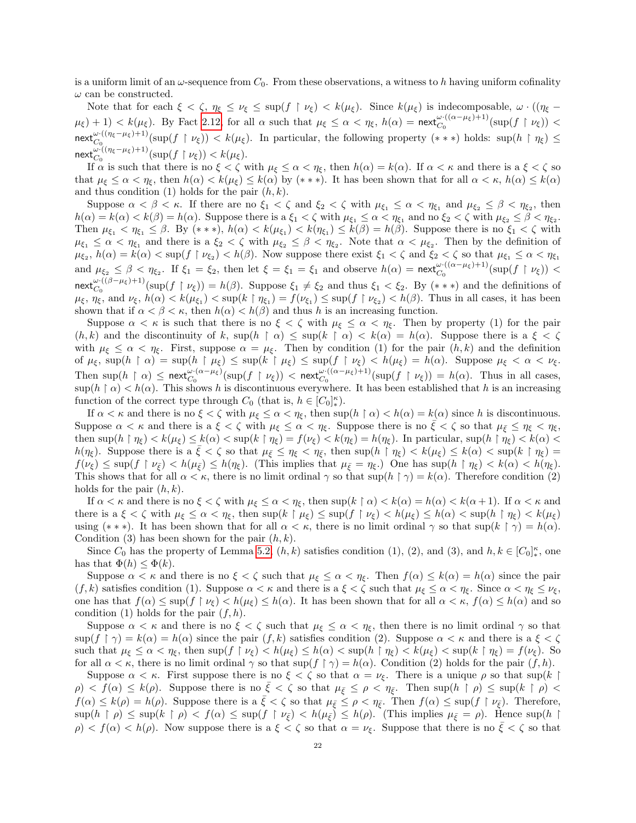is a uniform limit of an  $\omega$ -sequence from  $C_0$ . From these observations, a witness to h having uniform cofinality  $\omega$  can be constructed.

Note that for each  $\xi < \zeta$ ,  $\eta_{\xi} \leq \nu_{\xi} \leq \sup(f \upharpoonright \nu_{\xi}) < k(\mu_{\xi})$ . Since  $k(\mu_{\xi})$  is indecomposable,  $\omega \cdot ((\eta_{\xi} - \nu_{\xi}) \cdot \nu_{\xi})$  $\mu_{\xi}(t) + 1) < k(\mu_{\xi})$ . By Fact [2.12,](#page-7-2) for all  $\alpha$  such that  $\mu_{\xi} \leq \alpha < \eta_{\xi}$ ,  $h(\alpha) = \text{next}_{C_0}^{\omega \cdot ((\alpha - \mu_{\xi}) + 1)}(\sup(f \upharpoonright \nu_{\xi})) <$  $\text{next}_{C_0}^{\omega \cdot ((\eta_{\xi}-\mu_{\xi})+1)}(\sup(f \upharpoonright \nu_{\xi})) < k(\mu_{\xi})$ . In particular, the following property  $(***)$  holds:  $\sup(h \upharpoonright \eta_{\xi}) \le$  $\operatorname{next}_{C_0}^{\omega \cdot ((\eta_\xi - \mu_\xi) + 1)}(\sup(f \restriction \nu_\xi)) < k(\mu_\xi).$ 

If  $\alpha$  is such that there is no  $\xi < \zeta$  with  $\mu_{\xi} \leq \alpha < \eta_{\xi}$ , then  $h(\alpha) = k(\alpha)$ . If  $\alpha < \kappa$  and there is a  $\xi < \zeta$  so that  $\mu_{\xi} \leq \alpha < \eta_{\xi}$ , then  $h(\alpha) < k(\mu_{\xi}) \leq k(\alpha)$  by (\*\*\*). It has been shown that for all  $\alpha < \kappa$ ,  $h(\alpha) \leq k(\alpha)$ and thus condition (1) holds for the pair  $(h, k)$ .

Suppose  $\alpha < \beta < \kappa$ . If there are no  $\xi_1 < \zeta$  and  $\xi_2 < \zeta$  with  $\mu_{\xi_1} \leq \alpha < \eta_{\xi_1}$  and  $\mu_{\xi_2} \leq \beta < \eta_{\xi_2}$ , then  $h(\alpha) = k(\alpha) < k(\beta) = h(\alpha)$ . Suppose there is a  $\xi_1 < \zeta$  with  $\mu_{\xi_1} \leq \alpha < \eta_{\xi_1}$  and no  $\xi_2 < \zeta$  with  $\mu_{\xi_2} \leq \beta < \eta_{\xi_2}$ . Then  $\mu_{\xi_1} < \eta_{\xi_1} \leq \beta$ . By  $(* * *), h(\alpha) < k(\mu_{\xi_1}) < k(\eta_{\xi_1}) \leq k(\beta) = h(\beta)$ . Suppose there is no  $\xi_1 < \zeta$  with  $\mu_{\xi_1} \leq \alpha < \eta_{\xi_1}$  and there is a  $\xi_2 < \zeta$  with  $\mu_{\xi_2} \leq \beta < \eta_{\xi_2}$ . Note that  $\alpha < \mu_{\xi_2}$ . Then by the definition of  $\mu_{\xi_2}$ ,  $h(\alpha) = k(\alpha) < \sup(f \upharpoonright \nu_{\xi_2}) < h(\beta)$ . Now suppose there exist  $\xi_1 < \zeta$  and  $\xi_2 < \zeta$  so that  $\mu_{\xi_1} \leq \alpha < \eta_{\xi_1}$ and  $\mu_{\xi_2} \leq \beta < \eta_{\xi_2}$ . If  $\xi_1 = \xi_2$ , then let  $\xi = \xi_1 = \xi_1$  and observe  $h(\alpha) = \text{next}_{C_0}^{\omega \cdot ((\alpha - \mu_{\xi}) + 1)}(\text{sup}(f \upharpoonright \nu_{\xi}))$ next<sup>ω·((β-μ<sub>ξ</sub>)+1)</sup>(sup(f | v<sub>ξ</sub>)) = h(β). Suppose  $\xi_1 \neq \xi_2$  and thus  $\xi_1 < \xi_2$ . By (\*\*\*) and the definitions of  $\mu_{\xi}, \overline{\eta_{\xi}}$ , and  $\nu_{\xi}, h(\alpha) < k(\mu_{\xi_1}) < \sup(k \upharpoonright \eta_{\xi_1}) = f(\nu_{\xi_1}) \leq \sup(f \upharpoonright \nu_{\xi_2}) < h(\beta)$ . Thus in all cases, it has been shown that if  $\alpha < \beta < \kappa$ , then  $h(\alpha) < h(\beta)$  and thus h is an increasing function.

Suppose  $\alpha < \kappa$  is such that there is no  $\xi < \zeta$  with  $\mu_{\xi} \leq \alpha < \eta_{\xi}$ . Then by property (1) for the pair  $(h, k)$  and the discontinuity of k,  $\sup(h \restriction \alpha) \leq \sup(k \restriction \alpha) < k(\alpha) = h(\alpha)$ . Suppose there is a  $\xi < \zeta$ with  $\mu_{\xi} \leq \alpha < \eta_{\xi}$ . First, suppose  $\alpha = \mu_{\xi}$ . Then by condition (1) for the pair  $(h, k)$  and the definition of  $\mu_{\xi}$ , sup $(h \restriction \alpha) = \sup(h \restriction \mu_{\xi}) \leq \sup(k \restriction \mu_{\xi}) \leq \sup(f \restriction \nu_{\xi}) < h(\mu_{\xi}) = h(\alpha)$ . Suppose  $\mu_{\xi} < \alpha < \nu_{\xi}$ . Then  $\sup(h \upharpoonright \alpha) \leq \max_{C_0}^{\omega \cdot (\alpha - \mu_{\xi})} (\sup(f \upharpoonright \nu_{\xi})) < \max_{C_0}^{\omega \cdot ((\alpha - \mu_{\xi}) + 1)} (\sup(f \upharpoonright \nu_{\xi})) = h(\alpha)$ . Thus in all cases,  $\sup(h \restriction \alpha) < h(\alpha)$ . This shows h is discontinuous everywhere. It has been established that h is an increasing function of the correct type through  $C_0$  (that is,  $h \in [C_0]_*^{\kappa}$ ).

If  $\alpha < \kappa$  and there is no  $\xi < \zeta$  with  $\mu_{\xi} \leq \alpha < \eta_{\xi}$ , then sup( $h \upharpoonright \alpha$ )  $\langle h(\alpha) = k(\alpha) \rangle$  since h is discontinuous. Suppose  $\alpha < \kappa$  and there is a  $\xi < \zeta$  with  $\mu_{\xi} \leq \alpha < \eta_{\xi}$ . Suppose there is no  $\xi < \zeta$  so that  $\mu_{\xi} \leq \eta_{\xi} < \eta_{\xi}$ , then  $\sup(h \restriction \eta_{\xi}) < k(\mu_{\xi}) \leq k(\alpha) < \sup(k \restriction \eta_{\xi}) = f(\nu_{\xi}) < k(\eta_{\xi}) = h(\eta_{\xi})$ . In particular,  $\sup(h \restriction \eta_{\xi}) < k(\alpha) <$ h( $\eta_{\xi}$ ). Suppose there is a  $\xi < \zeta$  so that  $\mu_{\xi} \leq \eta_{\xi} < \eta_{\xi}$ , then  $\sup(h \upharpoonright \eta_{\xi}) < k(\mu_{\xi}) \leq k(\alpha) < \sup(k \upharpoonright \eta_{\xi}) =$  $f(\nu_{\xi}) \leq \sup(f \upharpoonright \nu_{\bar{\xi}}) < h(\mu_{\bar{\xi}}) \leq h(\eta_{\xi}).$  (This implies that  $\mu_{\bar{\xi}} = \eta_{\xi}$ .) One has  $\sup(h \upharpoonright \eta_{\xi}) < k(\alpha) < h(\eta_{\xi})$ . This shows that for all  $\alpha < \kappa$ , there is no limit ordinal  $\gamma$  so that sup( $h \restriction \gamma$ ) =  $k(\alpha)$ . Therefore condition (2) holds for the pair  $(h, k)$ .

If  $\alpha < \kappa$  and there is no  $\xi < \zeta$  with  $\mu_{\xi} \leq \alpha < \eta_{\xi}$ , then  $\sup(k \restriction \alpha) < k(\alpha) = h(\alpha) < k(\alpha+1)$ . If  $\alpha < \kappa$  and there is a  $\xi < \zeta$  with  $\mu_{\xi} \leq \alpha < \eta_{\xi}$ , then  $\sup(k \restriction \mu_{\xi}) \leq \sup(f \restriction \nu_{\xi}) < h(\mu_{\xi}) \leq h(\alpha) < \sup(h \restriction \eta_{\xi}) < k(\mu_{\xi})$ using (\*\*\*). It has been shown that for all  $\alpha < \kappa$ , there is no limit ordinal  $\gamma$  so that sup(k  $\gamma$ ) = h( $\alpha$ ). Condition (3) has been shown for the pair  $(h, k)$ .

Since  $C_0$  has the property of Lemma [5.2,](#page-17-2)  $(h, k)$  satisfies condition (1), (2), and (3), and  $h, k \in [C_0]_*^{\kappa}$ , one has that  $\Phi(h) \leq \Phi(k)$ .

Suppose  $\alpha < \kappa$  and there is no  $\xi < \zeta$  such that  $\mu_{\xi} \leq \alpha < \eta_{\xi}$ . Then  $f(\alpha) \leq k(\alpha) = h(\alpha)$  since the pair  $(f, k)$  satisfies condition (1). Suppose  $\alpha < \kappa$  and there is a  $\xi < \zeta$  such that  $\mu_{\xi} \leq \alpha < \eta_{\xi}$ . Since  $\alpha < \eta_{\xi} \leq \nu_{\xi}$ , one has that  $f(\alpha) \leq \sup(f \upharpoonright \nu_{\xi}) < h(\mu_{\xi}) \leq h(\alpha)$ . It has been shown that for all  $\alpha < \kappa$ ,  $f(\alpha) \leq h(\alpha)$  and so condition (1) holds for the pair  $(f, h)$ .

Suppose  $\alpha < \kappa$  and there is no  $\xi < \zeta$  such that  $\mu_{\xi} \leq \alpha < \eta_{\xi}$ , then there is no limit ordinal  $\gamma$  so that  $\sup(f \restriction \gamma) = k(\alpha) = h(\alpha)$  since the pair  $(f, k)$  satisfies condition (2). Suppose  $\alpha < \kappa$  and there is a  $\xi < \zeta$ such that  $\mu_{\xi} \leq \alpha < \eta_{\xi}$ , then  $\sup(f \upharpoonright \nu_{\xi}) < h(\mu_{\xi}) \leq h(\alpha) < \sup(h \upharpoonright \eta_{\xi}) < k(\mu_{\xi}) < \sup(k \upharpoonright \eta_{\xi}) = f(\nu_{\xi})$ . So for all  $\alpha < \kappa$ , there is no limit ordinal  $\gamma$  so that sup(f  $\gamma$ ) = h( $\alpha$ ). Condition (2) holds for the pair  $(f, h)$ .

Suppose  $\alpha < \kappa$ . First suppose there is no  $\xi < \zeta$  so that  $\alpha = \nu_{\xi}$ . There is a unique  $\rho$  so that sup(k |  $\rho$   $\langle f(\alpha) \leq k(\rho)$ . Suppose there is no  $\xi < \zeta$  so that  $\mu_{\bar{\xi}} \leq \rho < \eta_{\bar{\xi}}$ . Then  $\sup(h \restriction \rho) \leq \sup(k \restriction \rho)$  $f(\alpha) \leq k(\rho) = h(\rho)$ . Suppose there is a  $\bar{\xi} < \zeta$  so that  $\mu_{\bar{\xi}} \leq \rho < \eta_{\bar{\xi}}$ . Then  $f(\alpha) \leq \sup(f \restriction \nu_{\bar{\xi}})$ . Therefore,  $\sup(h \restriction \rho) \leq \sup(k \restriction \rho) < f(\alpha) \leq \sup(f \restriction \nu_{\bar{\varepsilon}}) < h(\mu_{\bar{\varepsilon}}) \leq h(\rho)$ . (This implies  $\mu_{\bar{\varepsilon}} = \rho$ ). Hence  $\sup(h \restriction \rho)$  $\rho$  <  $f(\alpha)$  <  $h(\rho)$ . Now suppose there is a  $\xi < \zeta$  so that  $\alpha = \nu_{\xi}$ . Suppose that there is no  $\xi < \zeta$  so that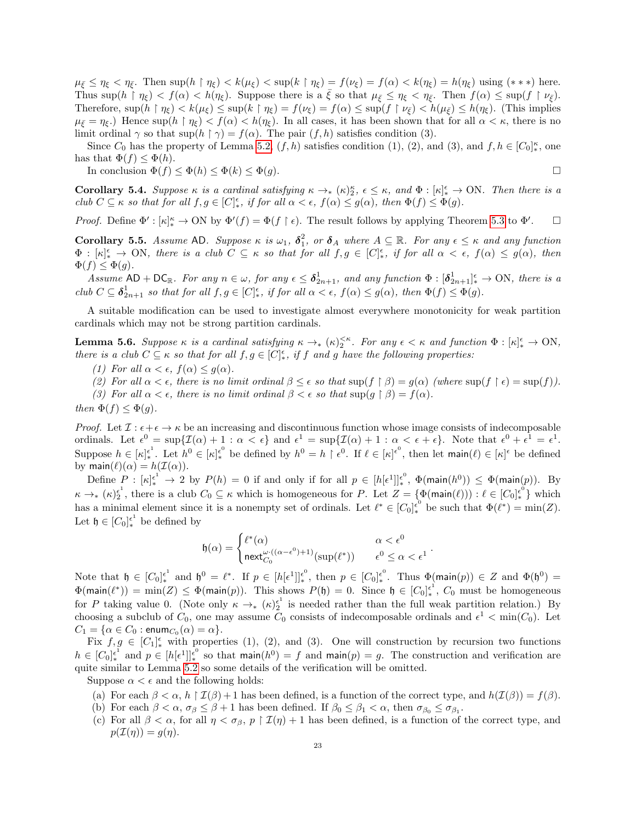$\mu_{\bar{\xi}} \leq \eta_{\xi} < \eta_{\bar{\xi}}$ . Then sup $(h \restriction \eta_{\xi}) < k(\mu_{\xi}) < \sup(k \restriction \eta_{\xi}) = f(\nu_{\xi}) = f(\alpha) < k(\eta_{\xi}) = h(\eta_{\xi})$  using  $(***)$  here. Thus  $\sup(h \restriction \eta_{\xi}) < f(\alpha) < h(\eta_{\xi})$ . Suppose there is a  $\xi$  so that  $\mu_{\xi} \leq \eta_{\xi} < \eta_{\xi}$ . Then  $f(\alpha) \leq \sup(f \restriction \nu_{\xi})$ . Therefore,  $\sup(h \restriction \eta_{\xi}) < k(\mu_{\xi}) \leq \sup(k \restriction \eta_{\xi}) = f(\nu_{\xi}) = f(\alpha) \leq \sup(f \restriction \nu_{\xi}) < h(\mu_{\xi}) \leq h(\eta_{\xi})$ . (This implies  $\mu_{\bar{\epsilon}} = \eta_{\epsilon}$ .) Hence sup( $h \restriction \eta_{\epsilon} < f(\alpha) < h(\eta_{\epsilon})$ . In all cases, it has been shown that for all  $\alpha < \kappa$ , there is no limit ordinal  $\gamma$  so that sup( $h \restriction \gamma$ ) =  $f(\alpha)$ . The pair  $(f, h)$  satisfies condition (3).

Since  $C_0$  has the property of Lemma [5.2,](#page-17-2)  $(f, h)$  satisfies condition (1), (2), and (3), and  $f, h \in [C_0]_*^{\kappa}$ , one has that  $\Phi(f) \leq \Phi(h)$ .

In conclusion  $\Phi(f) \leq \Phi(h) \leq \Phi(g)$ .

**Corollary 5.4.** Suppose  $\kappa$  is a cardinal satisfying  $\kappa \to_{\ast} (\kappa)^{\kappa}$ ,  $\epsilon \leq \kappa$ , and  $\Phi : [\kappa]^{\epsilon}_{\ast} \to \text{ON}$ . Then there is a club  $C \subseteq \kappa$  so that for all  $f, g \in [C]_{*}^{\epsilon}$ , if for all  $\alpha < \epsilon$ ,  $f(\alpha) \leq g(\alpha)$ , then  $\Phi(f) \leq \Phi(g)$ .

*Proof.* Define  $\Phi' : [\kappa]_*^{\kappa} \to ON$  by  $\Phi'(f) = \Phi(f \restriction \epsilon)$ . The result follows by applying Theorem [5.3](#page-19-0) to  $\Phi'$  $\Box$ 

<span id="page-22-0"></span>**Corollary 5.5.** Assume AD. Suppose  $\kappa$  is  $\omega_1$ ,  $\delta_1^2$ , or  $\delta_A$  where  $A \subseteq \mathbb{R}$ . For any  $\epsilon \leq \kappa$  and any function  $\Phi : [\kappa]_*^{\epsilon} \to \text{ON}, \text{ there is a club } C \subseteq \kappa \text{ so that for all } f, g \in [C]_*^{\epsilon}, \text{ if for all } \alpha < \epsilon, f(\alpha) \leq g(\alpha), \text{ then }$  $\Phi(f) \leq \Phi(g).$ 

Assume  $AD + DC_{\mathbb{R}}$ . For any  $n \in \omega$ , for any  $\epsilon \leq \delta_{2n+1}^1$ , and any function  $\Phi : [\delta_{2n+1}^1]_*^{\epsilon} \to ON$ , there is a club  $C \subseteq \delta^1_{2n+1}$  so that for all  $f, g \in [C]^{\epsilon}_{*}$ , if for all  $\alpha < \epsilon$ ,  $f(\alpha) \leq g(\alpha)$ , then  $\Phi(f) \leq \Phi(g)$ .

A suitable modification can be used to investigate almost everywhere monotonicity for weak partition cardinals which may not be strong partition cardinals.

<span id="page-22-1"></span>**Lemma 5.6.** Suppose  $\kappa$  is a cardinal satisfying  $\kappa \to_{\ast} (\kappa)_{2}^{<\kappa}$ . For any  $\epsilon < \kappa$  and function  $\Phi : [\kappa]_{\ast}^{\epsilon} \to \text{ON}$ , there is a club  $C \subseteq \kappa$  so that for all  $f, g \in [C]_{*}^{\epsilon}$ , if f and g have the following properties:

- (1) For all  $\alpha < \epsilon$ ,  $f(\alpha) \leq g(\alpha)$ .
- (2) For all  $\alpha < \epsilon$ , there is no limit ordinal  $\beta \leq \epsilon$  so that  $\sup(f \restriction \beta) = g(\alpha)$  (where  $\sup(f \restriction \epsilon) = \sup(f)$ ).
- (3) For all  $\alpha < \epsilon$ , there is no limit ordinal  $\beta < \epsilon$  so that  $\sup(g \restriction \beta) = f(\alpha)$ .

then  $\Phi(f) \leq \Phi(g)$ .

*Proof.* Let  $\mathcal{I}: \epsilon + \epsilon \to \kappa$  be an increasing and discontinuous function whose image consists of indecomposable ordinals. Let  $\epsilon^0 = \sup \{ \mathcal{I}(\alpha) + 1 : \alpha < \epsilon \}$  and  $\epsilon^1 = \sup \{ \mathcal{I}(\alpha) + 1 : \alpha < \epsilon + \epsilon \}$ . Note that  $\epsilon^0 + \epsilon^1 = \epsilon^1$ . Suppose  $h \in [\kappa]_{*}^{\epsilon^{1}}$ . Let  $h^{0} \in [\kappa]_{*}^{\epsilon^{0}}$  be defined by  $h^{0} = h \restriction \epsilon^{0}$ . If  $\ell \in [\kappa]_{*}^{\epsilon^{0}}$ , then let main $(\ell) \in [\kappa]_{*}^{\epsilon}$  be defined by main $(\ell)(\alpha) = h(\mathcal{I}(\alpha)).$ 

Define  $P: [\kappa]_*^{\epsilon^1} \to 2$  by  $P(h) = 0$  if and only if for all  $p \in [h[\epsilon^1]]_*^{\epsilon^0}$ ,  $\Phi(\textsf{main}(h^0)) \leq \Phi(\textsf{main}(p))$ . By  $\kappa \to_{*} (\kappa)_{2}^{\epsilon^{1}}$ , there is a club  $C_{0} \subseteq \kappa$  which is homogeneous for P. Let  $Z = {\Phi(\text{main}(\ell))}) : \ell \in [C_{0}]_{*}^{\epsilon^{0}}$  which has a minimal element since it is a nonempty set of ordinals. Let  $\ell^* \in [C_0]_{*}^{\epsilon^0}$  be such that  $\Phi(\ell^*) = \min(Z)$ . Let  $\mathfrak{h} \in [C_0]_{*}^{\epsilon^1}$  be defined by

$$
\mathfrak{h}(\alpha) = \begin{cases} \ell^*(\alpha) & \alpha < \epsilon^0 \\ \operatorname{next}_{C_0}^{\omega \cdot ((\alpha - \epsilon^0) + 1)}(\sup(\ell^*)) & \epsilon^0 \le \alpha < \epsilon^1 \end{cases}
$$

.

Note that  $\mathfrak{h} \in [C_0]_*^{\epsilon^1}$  and  $\mathfrak{h}^0 = \ell^*$ . If  $p \in [h[\epsilon^1]]_*^{\epsilon^0}$ , then  $p \in [C_0]_*^{\epsilon^0}$ . Thus  $\Phi(\mathsf{main}(p)) \in Z$  and  $\Phi(\mathfrak{h}^0) =$  $\Phi(\text{main}(\ell^*)) = \min(Z) \leq \Phi(\text{main}(p)).$  This shows  $P(\mathfrak{h}) = 0$ . Since  $\mathfrak{h} \in [C_0]_{*}^{\epsilon^1}$ ,  $C_0$  must be homogeneous for P taking value 0. (Note only  $\kappa \to_{*} (\kappa)_{2}^{\epsilon^{1}}$  is needed rather than the full weak partition relation.) By choosing a subclub of  $C_0$ , one may assume  $C_0$  consists of indecomposable ordinals and  $\epsilon^1 < \min(C_0)$ . Let  $C_1 = \{\alpha \in C_0 : \mathsf{enum}_{C_0}(\alpha) = \alpha\}.$ 

Fix  $f, g \in [C_1]^{\epsilon}$  with properties (1), (2), and (3). One will construction by recursion two functions  $h \in [C_0]_{*}^{\epsilon^1}$  and  $p \in [h[\epsilon^1]]_{*}^{\epsilon^0}$  so that main $(h^0) = f$  and main $(p) = g$ . The construction and verification are quite similar to Lemma [5.2](#page-17-2) so some details of the verification will be omitted.

Suppose  $\alpha < \epsilon$  and the following holds:

- (a) For each  $\beta < \alpha$ ,  $h \upharpoonright \mathcal{I}(\beta) + 1$  has been defined, is a function of the correct type, and  $h(\mathcal{I}(\beta)) = f(\beta)$ .
- (b) For each  $\beta < \alpha$ ,  $\sigma_{\beta} \leq \beta + 1$  has been defined. If  $\beta_0 \leq \beta_1 < \alpha$ , then  $\sigma_{\beta_0} \leq \sigma_{\beta_1}$ .
- (c) For all  $\beta < \alpha$ , for all  $\eta < \sigma_{\beta}$ ,  $p \restriction \mathcal{I}(\eta) + 1$  has been defined, is a function of the correct type, and  $p(\mathcal{I}(\eta)) = q(\eta).$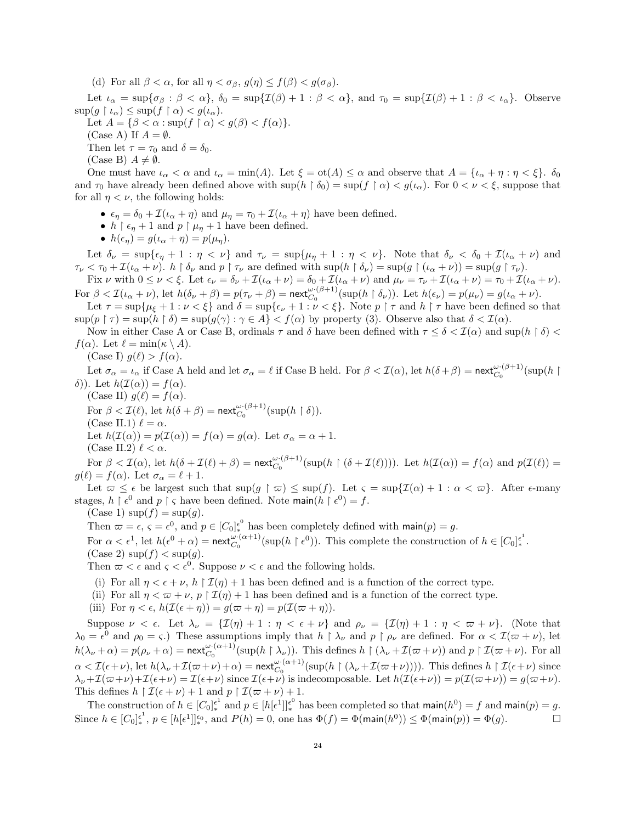(d) For all  $\beta < \alpha$ , for all  $\eta < \sigma_{\beta}$ ,  $g(\eta) \leq f(\beta) < g(\sigma_{\beta})$ .

Let  $\iota_{\alpha} = \sup \{ \sigma_{\beta} : \beta < \alpha \}, \ \delta_0 = \sup \{ \mathcal{I}(\beta) + 1 : \beta < \alpha \}, \text{ and } \tau_0 = \sup \{ \mathcal{I}(\beta) + 1 : \beta < \iota_{\alpha} \}.$  Observe  $\sup(g \restriction \iota_\alpha) \leq \sup(f \restriction \alpha) < g(\iota_\alpha).$ 

Let  $A = \{\beta < \alpha : \sup(f \restriction \alpha) < g(\beta) < f(\alpha)\}.$ 

(Case A) If  $A = \emptyset$ .

Then let  $\tau = \tau_0$  and  $\delta = \delta_0$ .

(Case B)  $A \neq \emptyset$ .

One must have  $\iota_{\alpha} < \alpha$  and  $\iota_{\alpha} = \min(A)$ . Let  $\xi = \text{ot}(A) \leq \alpha$  and observe that  $A = {\iota_{\alpha} + \eta : \eta < \xi}$ .  $\delta_0$ and  $\tau_0$  have already been defined above with  $\sup(h \restriction \delta_0) = \sup(f \restriction \alpha) < g(\iota_\alpha)$ . For  $0 < \nu < \xi$ , suppose that for all  $\eta < \nu$ , the following holds:

- $\epsilon_{\eta} = \delta_0 + \mathcal{I}(\iota_{\alpha} + \eta)$  and  $\mu_{\eta} = \tau_0 + \mathcal{I}(\iota_{\alpha} + \eta)$  have been defined.
- $h \restriction \epsilon_{\eta} + 1$  and  $p \restriction \mu_{\eta} + 1$  have been defined.
- $h(\epsilon_n) = g(\iota_\alpha + \eta) = p(\mu_n).$

Let  $\delta_{\nu} = \sup{\epsilon_{\eta} + 1 : \eta < \nu}$  and  $\tau_{\nu} = \sup{\mu_{\eta} + 1 : \eta < \nu}$ . Note that  $\delta_{\nu} < \delta_{0} + \mathcal{I}(\iota_{\alpha} + \nu)$  and  $\tau_{\nu} < \tau_0 + \mathcal{I}(\iota_{\alpha} + \nu)$ .  $h \restriction \delta_{\nu}$  and  $p \restriction \tau_{\nu}$  are defined with  $\sup(h \restriction \delta_{\nu}) = \sup(g \restriction (\iota_{\alpha} + \nu)) = \sup(g \restriction \tau_{\nu})$ .

Fix  $\nu$  with  $0 \le \nu < \xi$ . Let  $\epsilon_{\nu} = \delta_{\nu} + \mathcal{I}(\iota_{\alpha} + \nu) = \delta_0 + \mathcal{I}(\iota_{\alpha} + \nu)$  and  $\mu_{\nu} = \tau_{\nu} + \mathcal{I}(\iota_{\alpha} + \nu) = \tau_0 + \mathcal{I}(\iota_{\alpha} + \nu)$ . For  $\beta < \mathcal{I}(\iota_{\alpha}+\nu)$ , let  $h(\delta_{\nu}+\beta) = p(\tau_{\nu}+\beta) = \text{next}_{C_0}^{\omega\cdot(\beta+1)}(\sup(h\upharpoonright \delta_{\nu}))$ . Let  $h(\epsilon_{\nu}) = p(\mu_{\nu}) = g(\iota_{\alpha}+\nu)$ .

Let  $\tau = \sup\{\mu_{\xi} + 1 : \nu < \xi\}$  and  $\delta = \sup\{\epsilon_{\nu} + 1 : \nu < \xi\}$ . Note  $p \restriction \tau$  and  $h \restriction \tau$  have been defined so that  $\sup(p \restriction \tau) = \sup(h \restriction \delta) = \sup(g(\gamma) : \gamma \in A\} < f(\alpha)$  by property (3). Observe also that  $\delta < \mathcal{I}(\alpha)$ .

Now in either Case A or Case B, ordinals  $\tau$  and  $\delta$  have been defined with  $\tau \leq \delta < \mathcal{I}(\alpha)$  and sup( $h \restriction \delta$ )  $f(\alpha)$ . Let  $\ell = \min(\kappa \setminus A)$ .

(Case I)  $q(\ell) > f(\alpha)$ .

Let  $\sigma_{\alpha} = \iota_{\alpha}$  if Case A held and let  $\sigma_{\alpha} = \ell$  if Case B held. For  $\beta < \mathcal{I}(\alpha)$ , let  $h(\delta + \beta) = \text{next}_{C_0}^{\omega \cdot (\beta + 1)}(\sup(h \mid \beta))$ δ)). Let  $h(\mathcal{I}(\alpha)) = f(\alpha)$ .

(Case II)  $q(\ell) = f(\alpha)$ . For  $\beta < \mathcal{I}(\ell)$ , let  $h(\delta + \beta) = \text{next}_{C_0}^{\omega \cdot (\beta + 1)}(\sup(h \restriction \delta)).$ (Case II.1)  $\ell = \alpha$ . Let  $h(\mathcal{I}(\alpha)) = p(\mathcal{I}(\alpha)) = f(\alpha) = g(\alpha)$ . Let  $\sigma_{\alpha} = \alpha + 1$ . (Case II.2)  $\ell < \alpha$ .

For  $\beta < \mathcal{I}(\alpha)$ , let  $h(\delta + \mathcal{I}(\ell) + \beta) = \text{next}_{C_0}^{\omega \cdot (\beta + 1)}(\sup(h \upharpoonright (\delta + \mathcal{I}(\ell))))$ . Let  $h(\mathcal{I}(\alpha)) = f(\alpha)$  and  $p(\mathcal{I}(\ell)) =$  $g(\ell) = f(\alpha)$ . Let  $\sigma_{\alpha} = \ell + 1$ .

Let  $\varpi \leq \epsilon$  be largest such that  $\sup(q \restriction \varpi) \leq \sup(f)$ . Let  $\varsigma = \sup\{\mathcal{I}(\alpha) + 1 : \alpha < \varpi\}$ . After  $\epsilon$ -many stages,  $h \restriction \epsilon^0$  and  $p \restriction \varsigma$  have been defined. Note main $(h \restriction \epsilon^0) = f$ .

 $(Case 1) \sup(f) = \sup(g).$ 

Then  $\varpi = \epsilon$ ,  $\varsigma = \epsilon^0$ , and  $p \in [C_0]_{*}^{\epsilon^0}$  has been completely defined with main $(p) = g$ .

For  $\alpha < \epsilon^1$ , let  $h(\epsilon^0 + \alpha) = \text{next}_{C_0}^{\omega \cdot (\alpha+1)}(\sup(h \restriction \epsilon^0))$ . This complete the construction of  $h \in [C_0]_*^{\epsilon^1}$ .  $(Case 2) \sup(f) < sup(g).$ 

Then  $\varpi < \epsilon$  and  $\varsigma < \epsilon^0$ . Suppose  $\nu < \epsilon$  and the following holds.

- (i) For all  $\eta < \epsilon + \nu$ ,  $h \upharpoonright \mathcal{I}(\eta) + 1$  has been defined and is a function of the correct type.
- (ii) For all  $\eta < \varpi + \nu$ ,  $p \upharpoonright \mathcal{I}(\eta) + 1$  has been defined and is a function of the correct type.
- (iii) For  $\eta < \epsilon$ ,  $h(\mathcal{I}(\epsilon + \eta)) = g(\varpi + \eta) = p(\mathcal{I}(\varpi + \eta)).$

Suppose  $\nu < \epsilon$ . Let  $\lambda_{\nu} = {\mathcal{I}(\eta) + 1 : \eta < \epsilon + \nu}$  and  $\rho_{\nu} = {\mathcal{I}(\eta) + 1 : \eta < \omega + \nu}$ . (Note that  $\lambda_0 = \epsilon^0$  and  $\rho_0 = \varsigma$ .) These assumptions imply that  $h \restriction \lambda_\nu$  and  $p \restriction \rho_\nu$  are defined. For  $\alpha < \mathcal{I}(\varpi + \nu)$ , let  $h(\lambda_{\nu} + \alpha) = p(\rho_{\nu} + \alpha) = \text{next}_{C_0}^{\omega \cdot (\alpha + 1)}(\sup(h \upharpoonright \lambda_{\nu}))$ . This defines  $h \upharpoonright (\lambda_{\nu} + \mathcal{I}(\varpi + \nu))$  and  $p \upharpoonright \mathcal{I}(\varpi + \nu)$ . For all  $\alpha < \mathcal{I}(\epsilon+\nu)$ , let  $h(\lambda_{\nu}+\mathcal{I}(\varpi+\nu)+\alpha) = \text{next}_{C_0}^{\omega \cdot (\alpha+1)}(\sup(h \upharpoonright (\lambda_{\nu}+\mathcal{I}(\varpi+\nu))))$ . This defines  $h \upharpoonright \mathcal{I}(\epsilon+\nu)$  since  $\lambda_{\nu}+\mathcal{I}(\varpi+\nu)+\mathcal{I}(\epsilon+\nu)=\mathcal{I}(\epsilon+\nu)$  since  $\mathcal{I}(\epsilon+\nu)$  is indecomposable. Let  $h(\mathcal{I}(\epsilon+\nu))=p(\mathcal{I}(\varpi+\nu))=g(\varpi+\nu)$ . This defines  $h \upharpoonright \mathcal{I}(\epsilon + \nu) + 1$  and  $p \upharpoonright \mathcal{I}(\varpi + \nu) + 1$ .

The construction of  $h \in [C_0]_*^{\epsilon^1}$  and  $p \in [h[\epsilon^1]]_*^{\epsilon^0}$  has been completed so that  $\text{main}(h^0) = f$  and  $\text{main}(p) = g$ . Since  $h \in [C_0]_*^{\epsilon^1}$ ,  $p \in [h[\epsilon^1]]_*^{\epsilon_0}$ , and  $P(h) = 0$ , one has  $\Phi(f) = \Phi(\mathsf{main}(h^0)) \leq \Phi(\mathsf{main}(p)) = \Phi(g)$ .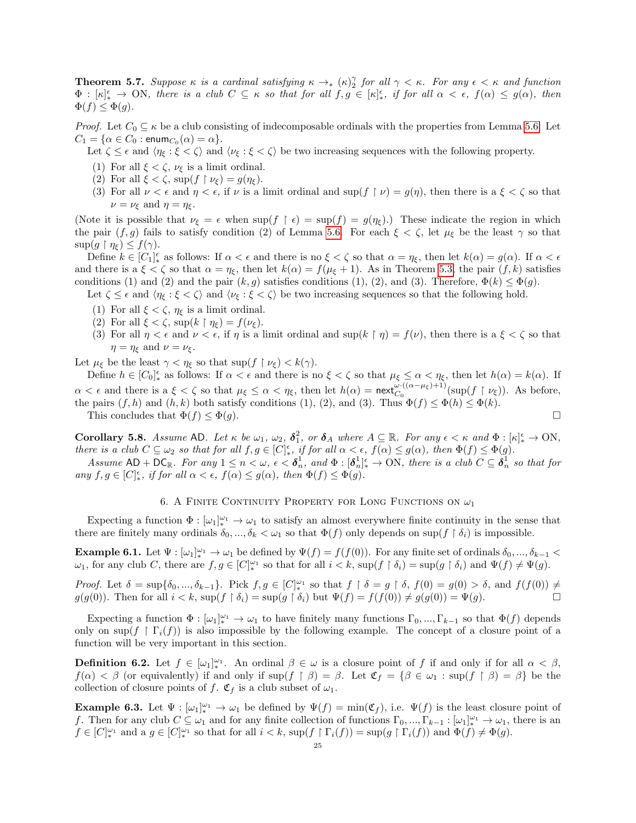<span id="page-24-0"></span>**Theorem 5.7.** Suppose  $\kappa$  is a cardinal satisfying  $\kappa \to_{\ast} (\kappa)_{2}^{\gamma}$  for all  $\gamma < \kappa$ . For any  $\epsilon < \kappa$  and function  $\Phi : [\kappa]_*^{\epsilon} \to \text{ON}, \text{ there is a club } C \subseteq \kappa \text{ so that for all } f, g \in [\kappa]_*^{\epsilon}, \text{ if for all } \alpha < \epsilon, f(\alpha) \leq g(\alpha), \text{ then }$  $\Phi(f) \leq \Phi(g)$ .

*Proof.* Let  $C_0 \subseteq \kappa$  be a club consisting of indecomposable ordinals with the properties from Lemma [5.6.](#page-22-1) Let  $C_1 = \{\alpha \in C_0 : \mathsf{enum}_{C_0}(\alpha) = \alpha\}.$ 

- Let  $\zeta \leq \epsilon$  and  $\langle \eta_{\xi} : \xi \langle \zeta \rangle$  and  $\langle \nu_{\xi} : \xi \langle \zeta \rangle$  be two increasing sequences with the following property.
- (1) For all  $\xi < \zeta$ ,  $\nu_{\xi}$  is a limit ordinal.
- (2) For all  $\xi < \zeta$ , sup( $f \upharpoonright \nu_{\xi}$ ) =  $g(\eta_{\xi})$ .
- (3) For all  $\nu < \epsilon$  and  $\eta < \epsilon$ , if  $\nu$  is a limit ordinal and sup( $f \upharpoonright \nu$ ) =  $g(\eta)$ , then there is a  $\xi < \zeta$  so that  $\nu = \nu_{\xi}$  and  $\eta = \eta_{\xi}$ .

(Note it is possible that  $\nu_{\xi} = \epsilon$  when  $\sup(f \restriction \epsilon) = \sup(f) = g(\eta_{\xi})$ .) These indicate the region in which the pair  $(f, g)$  fails to satisfy condition (2) of Lemma [5.6.](#page-22-1) For each  $\xi < \zeta$ , let  $\mu_{\xi}$  be the least  $\gamma$  so that  $\sup(g \restriction \eta_{\xi}) \leq f(\gamma).$ 

Define  $k \in [C_1]_*^{\epsilon}$  as follows: If  $\alpha < \epsilon$  and there is no  $\xi < \zeta$  so that  $\alpha = \eta_{\xi}$ , then let  $k(\alpha) = g(\alpha)$ . If  $\alpha < \epsilon$ and there is a  $\xi < \zeta$  so that  $\alpha = \eta_{\xi}$ , then let  $k(\alpha) = f(\mu_{\xi} + 1)$ . As in Theorem [5.3,](#page-19-0) the pair  $(f, k)$  satisfies conditions (1) and (2) and the pair  $(k, g)$  satisfies conditions (1), (2), and (3). Therefore,  $\Phi(k) \leq \Phi(g)$ .

Let  $\zeta \leq \epsilon$  and  $\langle \eta_{\xi} : \xi \langle \zeta \rangle$  and  $\langle \nu_{\xi} : \xi \langle \zeta \rangle$  be two increasing sequences so that the following hold.

- (1) For all  $\xi < \zeta$ ,  $\eta_{\xi}$  is a limit ordinal.
- (2) For all  $\xi < \zeta$ , sup $(k \restriction \eta_{\xi}) = f(\nu_{\xi})$ .
- (3) For all  $\eta < \epsilon$  and  $\nu < \epsilon$ , if  $\eta$  is a limit ordinal and sup( $k \restriction \eta$ ) =  $f(\nu)$ , then there is a  $\xi < \zeta$  so that  $\eta = \eta_{\xi}$  and  $\nu = \nu_{\xi}$ .

Let  $\mu_{\xi}$  be the least  $\gamma < \eta_{\xi}$  so that sup( $f \upharpoonright \nu_{\xi}$ ) <  $k(\gamma)$ .

Define  $h \in [C_0]_*^{\epsilon}$  as follows: If  $\alpha < \epsilon$  and there is no  $\xi < \zeta$  so that  $\mu_{\xi} \leq \alpha < \eta_{\xi}$ , then let  $h(\alpha) = k(\alpha)$ . If  $\alpha < \epsilon$  and there is a  $\xi < \zeta$  so that  $\mu_{\xi} \leq \alpha < \eta_{\xi}$ , then let  $h(\alpha) = \text{next}_{C_0}^{\omega \cdot ((\alpha - \mu_{\xi}) + 1)}(\sup(f \upharpoonright \nu_{\xi}))$ . As before, the pairs  $(f, h)$  and  $(h, k)$  both satisfy conditions (1), (2), and (3). Thus  $\Phi(f) \leq \Phi(h) \leq \Phi(k)$ . This concludes that  $\Phi(f) \leq \Phi(g)$ .

<span id="page-24-3"></span>**Corollary 5.8.** Assume AD. Let  $\kappa$  be  $\omega_1$ ,  $\omega_2$ ,  $\delta_1^2$ , or  $\delta_A$  where  $A \subseteq \mathbb{R}$ . For any  $\epsilon < \kappa$  and  $\Phi : [\kappa]_*^{\epsilon} \to ON$ , there is a club  $C \subseteq \omega_2$  so that for all  $f, g \in [C_{\ast}^{\epsilon},$  if for all  $\alpha < \epsilon, f(\alpha) \leq g(\alpha)$ , then  $\Phi(f) \leq \Phi(g)$ .

Assume  $AD + DC_{\mathbb{R}}$ . For any  $1 \leq n < \omega$ ,  $\epsilon < \delta_n^1$ , and  $\Phi : [\delta_n^1]_*^{\epsilon} \to ON$ , there is a club  $C \subseteq \delta_n^1$  so that for any  $f, g \in [C]_{*}^{\epsilon}$ , if for all  $\alpha < \epsilon$ ,  $f(\alpha) \leq g(\alpha)$ , then  $\Phi(f) \leq \Phi(g)$ .

### 6. A FINITE CONTINUITY PROPERTY FOR LONG FUNCTIONS ON  $\omega_1$

Expecting a function  $\Phi : [\omega_1]_*^{\omega_1} \to \omega_1$  to satisfy an almost everywhere finite continuity in the sense that there are finitely many ordinals  $\delta_0, ..., \delta_k < \omega_1$  so that  $\Phi(f)$  only depends on sup( $f \restriction \delta_i$ ) is impossible.

<span id="page-24-1"></span>**Example 6.1.** Let  $\Psi : [\omega_1]_{*}^{\omega_1} \to \omega_1$  be defined by  $\Psi(f) = f(f(0))$ . For any finite set of ordinals  $\delta_0, ..., \delta_{k-1}$  $\omega_1$ , for any club C, there are  $f, g \in [C]_{*}^{\omega_1}$  so that for all  $i < k$ ,  $\sup(f \restriction \delta_i) = \sup(g \restriction \delta_i)$  and  $\Psi(f) \neq \Psi(g)$ .

Proof. Let  $\delta = \sup\{\delta_0, ..., \delta_{k-1}\}\$ . Pick  $f, g \in [C]_{*}^{\omega_1}$  so that  $f \restriction \delta = g \restriction \delta$ ,  $f(0) = g(0) > \delta$ , and  $f(f(0)) \neq$  $g(g(0))$ . Then for all  $i < k$ ,  $\sup(f \restriction \delta_i) = \sup(g \restriction \delta_i)$  but  $\Psi(f) = f(f(0)) \neq g(g(0)) = \Psi(g)$ .

Expecting a function  $\Phi : [\omega_1]_*^{\omega_1} \to \omega_1$  to have finitely many functions  $\Gamma_0, ..., \Gamma_{k-1}$  so that  $\Phi(f)$  depends only on sup( $f \restriction \Gamma_i(f)$ ) is also impossible by the following example. The concept of a closure point of a function will be very important in this section.

**Definition 6.2.** Let  $f \in [\omega_1]_{*}^{\omega_1}$ . An ordinal  $\beta \in \omega$  is a closure point of f if and only if for all  $\alpha < \beta$ ,  $f(\alpha) < \beta$  (or equivalently) if and only if  $\sup(f \upharpoonright \beta) = \beta$ . Let  $\mathfrak{C}_f = \{\beta \in \omega_1 : \sup(f \upharpoonright \beta) = \beta\}$  be the collection of closure points of f.  $\mathfrak{C}_f$  is a club subset of  $\omega_1$ .

<span id="page-24-2"></span>**Example 6.3.** Let  $\Psi : [\omega_1]_{*}^{\omega_1} \to \omega_1$  be defined by  $\Psi(f) = \min(\mathfrak{C}_f)$ , i.e.  $\Psi(f)$  is the least closure point of f. Then for any club  $C \subseteq \omega_1$  and for any finite collection of functions  $\Gamma_0, ..., \Gamma_{k-1} : [\omega_1]_{*}^{\omega_1} \to \omega_1$ , there is an  $f \in [C]^{\omega_1}_*$  and a  $g \in [C]^{\omega_1}_*$  so that for all  $i < k$ ,  $\sup(f \restriction \Gamma_i(f)) = \sup(g \restriction \Gamma_i(f))$  and  $\Phi(f) \neq \Phi(g)$ .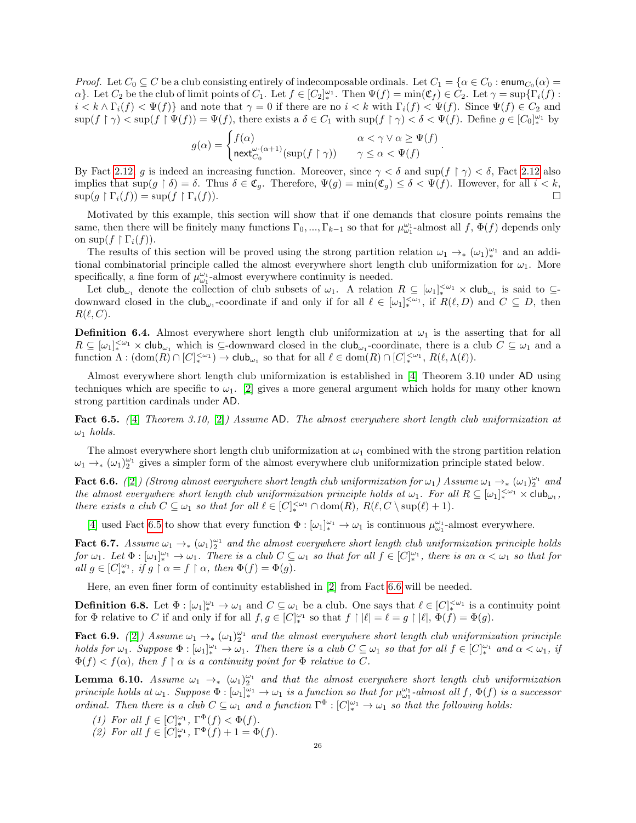*Proof.* Let  $C_0 \subseteq C$  be a club consisting entirely of indecomposable ordinals. Let  $C_1 = \{ \alpha \in C_0 : \text{enum}_{C_0}(\alpha) =$  $\alpha$ . Let  $C_2$  be the club of limit points of  $C_1$ . Let  $f \in [C_2]_*^{\omega_1}$ . Then  $\Psi(f) = \min(\mathfrak{C}_f) \in C_2$ . Let  $\gamma = \sup\{\Gamma_i(f) :$  $i < k \wedge \Gamma_i(f) < \Psi(f)$  and note that  $\gamma = 0$  if there are no  $i < k$  with  $\Gamma_i(f) < \Psi(f)$ . Since  $\Psi(f) \in C_2$  and  $\sup(f \restriction \gamma) < \sup(f \restriction \Psi(f)) = \Psi(f)$ , there exists a  $\delta \in C_1$  with  $\sup(f \restriction \gamma) < \delta < \Psi(f)$ . Define  $g \in [C_0]_{*}^{\omega_1}$  by

$$
g(\alpha) = \begin{cases} f(\alpha) & \alpha < \gamma \vee \alpha \ge \Psi(f) \\ \operatorname{next}_{C_0}^{\omega \cdot (\alpha + 1)}(\sup(f \restriction \gamma)) & \gamma \le \alpha < \Psi(f) \end{cases}
$$

.

By Fact [2.12,](#page-7-2) g is indeed an increasing function. Moreover, since  $\gamma < \delta$  and sup(f  $\gamma$ )  $< \delta$ , Fact [2.12](#page-7-2) also implies that  $\sup(g \restriction \delta) = \delta$ . Thus  $\delta \in \mathfrak{C}_q$ . Therefore,  $\Psi(g) = \min(\mathfrak{C}_q) \leq \delta < \Psi(f)$ . However, for all  $i < k$ ,  $\sup(g \upharpoonright \Gamma_i(f)) = \sup(f \upharpoonright \Gamma_i(f)).$ 

Motivated by this example, this section will show that if one demands that closure points remains the same, then there will be finitely many functions  $\Gamma_0, ..., \Gamma_{k-1}$  so that for  $\mu_{\omega_1}^{\omega_1}$ -almost all f,  $\Phi(f)$  depends only on sup $(f \restriction \Gamma_i(f)).$ 

The results of this section will be proved using the strong partition relation  $\omega_1 \to_{\ast} (\omega_1)^{\omega_1}_{\ast}$  and an additional combinatorial principle called the almost everywhere short length club uniformization for  $\omega_1$ . More specifically, a fine form of  $\mu_{\omega_1}^{\omega_1}\text{-almost everywhere continuity is needed.}$ 

Let  $\mathsf{club}_{\omega_1}$  denote the collection of club subsets of  $\omega_1$ . A relation  $R \subseteq [\omega_1]_{*}^{<\omega_1} \times \mathsf{club}_{\omega_1}$  is said to  $\subseteq$ downward closed in the  $\text{club}_{\omega_1}$ -coordinate if and only if for all  $\ell \in [\omega_1]_{*}^{<\omega_1}$ , if  $R(\ell, D)$  and  $C \subseteq D$ , then  $R(\ell, C)$ .

**Definition 6.4.** Almost everywhere short length club uniformization at  $\omega_1$  is the asserting that for all  $R \subseteq [\omega_1]_{*}^{\omega_1} \times \mathsf{club}_{\omega_1}$  which is  $\subseteq$ -downward closed in the  $\mathsf{club}_{\omega_1}$ -coordinate, there is a club  $C \subseteq \omega_1$  and a function  $\Lambda: (\text{dom}(R) \cap [C]_{*}^{<\omega_1}) \to \text{club}_{\omega_1}$  so that for all  $\ell \in \text{dom}(R) \cap [C]_{*}^{<\omega_1}, R(\ell, \Lambda(\ell)).$ 

Almost everywhere short length club uniformization is established in [\[4\]](#page-31-8) Theorem 3.10 under AD using techniques which are specific to  $\omega_1$ . [\[2\]](#page-31-9) gives a more general argument which holds for many other known strong partition cardinals under AD.

<span id="page-25-0"></span>Fact 6.5. (4) Theorem 3.10, (2) Assume AD. The almost everywhere short length club uniformization at  $\omega_1$  holds.

The almost everywhere short length club uniformization at  $\omega_1$  combined with the strong partition relation  $\omega_1 \to_{*} (\omega_1)_2^{\omega_1}$  gives a simpler form of the almost everywhere club uniformization principle stated below.

<span id="page-25-1"></span>Fact 6.6. ([\[2\]](#page-31-9)) (Strong almost everywhere short length club uniformization for  $\omega_1$ ) Assume  $\omega_1 \to_{*} (\omega_1)_2^{\omega_1}$  and the almost everywhere short length club uniformization principle holds at  $\omega_1$ . For all  $R \subseteq [\omega_1]_*^{<\omega_1} \times$  club $_{\omega_1}$ , there exists a club  $C \subseteq \omega_1$  so that for all  $\ell \in [C]_{*}^{<\omega_1} \cap \text{dom}(R)$ ,  $R(\ell, C \setminus \text{sup}(\ell) + 1)$ .

[\[4\]](#page-31-8) used Fact [6.5](#page-25-0) to show that every function  $\Phi : [\omega_1]_*^{\omega_1} \to \omega_1$  is continuous  $\mu_{\omega_1}^{\omega_1}$ -almost everywhere.

Fact 6.7. Assume  $\omega_1 \to_{*} (\omega_1)_2^{\omega_1}$  and the almost everywhere short length club uniformization principle holds  $for \omega_1.$  Let  $\Phi : [\omega_1]_*^{\omega_1} \to \omega_1$ . There is a club  $C \subseteq \omega_1$  so that for all  $f \in [C]_*^{\omega_1}$ , there is an  $\alpha < \omega_1$  so that for all  $g \in [C]^{\omega_1}_*$ , if  $g \restriction \alpha = f \restriction \alpha$ , then  $\Phi(f) = \Phi(g)$ .

Here, an even finer form of continuity established in [\[2\]](#page-31-9) from Fact [6.6](#page-25-1) will be needed.

**Definition 6.8.** Let  $\Phi : [\omega_1]_*^{\omega_1} \to \omega_1$  and  $C \subseteq \omega_1$  be a club. One says that  $\ell \in [C]_*^{<\omega_1}$  is a continuity point for  $\Phi$  relative to C if and only if for all  $f, g \in [C]_*^{\omega_1}$  so that  $f \upharpoonright |\ell| = \ell = g \upharpoonright |\ell|, \Phi(f) = \Phi(g)$ .

<span id="page-25-2"></span>Fact 6.9. ([\[2\]](#page-31-9)) Assume  $\omega_1 \to_{\ast} (\omega_1)_2^{\omega_1}$  and the almost everywhere short length club uniformization principle holds for  $\omega_1$ . Suppose  $\Phi : [\omega_1]_{*}^{\omega_1} \to \omega_1$ . Then there is a club  $C \subseteq \omega_1$  so that for all  $f \in [C]_{*}^{\omega_1}$  and  $\alpha < \omega_1$ , if  $\Phi(f) < f(\alpha)$ , then  $f \restriction \alpha$  is a continuity point for  $\Phi$  relative to C.

<span id="page-25-3"></span>**Lemma 6.10.** Assume  $\omega_1 \rightarrow_* (\omega_1)_2^{\omega_1}$  and that the almost everywhere short length club uniformization principle holds at  $\omega_1$ . Suppose  $\Phi : [\omega_1]_*^{\omega_1} \to \omega_1$  is a function so that for  $\mu_{\omega_1}^{\omega_1}$ -almost all f,  $\Phi(f)$  is a successor ordinal. Then there is a club  $C \subseteq \omega_1$  and a function  $\Gamma^{\Phi}: [C]_{*}^{\omega_1} \to \omega_1$  so that the following holds:

- (1) For all  $f \in [C]_{*}^{\omega_1}$ ,  $\Gamma_{{}_{-}}^{\Phi}(f) < \Phi(f)$ .
- (2) For all  $f \in [C]_*^{\omega_1}$ ,  $\Gamma^{\Phi}(f) + 1 = \Phi(f)$ .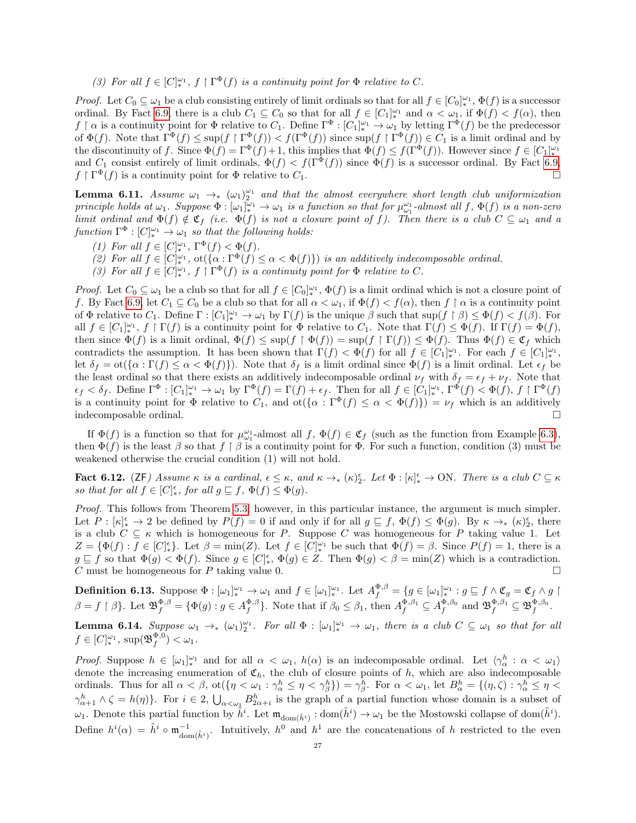(3) For all  $f \in [C]_*^{\omega_1}$ ,  $f \restriction \Gamma^{\Phi}(f)$  is a continuity point for  $\Phi$  relative to C.

*Proof.* Let  $C_0 \subseteq \omega_1$  be a club consisting entirely of limit ordinals so that for all  $f \in [C_0]^{\omega_1}_*$ ,  $\Phi(f)$  is a successor ordinal. By Fact [6.9,](#page-25-2) there is a club  $C_1 \subseteq C_0$  so that for all  $f \in [C_1]_{*}^{\omega_1}$  and  $\alpha < \omega_1$ , if  $\Phi(f) < f(\alpha)$ , then  $f \restriction \alpha$  is a continuity point for  $\Phi$  relative to  $C_1$ . Define  $\Gamma^{\Phi} : [C_1]_{*}^{\omega_1} \to \omega_1$  by letting  $\Gamma^{\Phi}(f)$  be the predecessor of  $\Phi(f)$ . Note that  $\Gamma^{\Phi}(f) \leq \sup(f \mid \Gamma^{\Phi}(f)) < f(\Gamma^{\Phi}(f))$  since  $\sup(f \mid \Gamma^{\Phi}(f)) \in C_1$  is a limit ordinal and by the discontinuity of f. Since  $\Phi(f) = \Gamma^{\Phi}(f) + 1$ , this implies that  $\Phi(f) \leq f(\Gamma^{\Phi}(f))$ . However since  $f \in [C_1]_{*}^{\omega_1}$ and  $C_1$  consist entirely of limit ordinals,  $\Phi(f) < f(\Gamma^{\Phi}(f))$  since  $\Phi(f)$  is a successor ordinal. By Fact [6.9,](#page-25-2)  $f \restriction \Gamma^{\Phi}(f)$  is a continuity point for  $\Phi$  relative to  $C_1$ .

<span id="page-26-3"></span>**Lemma 6.11.** Assume  $\omega_1 \rightarrow_* (\omega_1)_2^{\omega_1}$  and that the almost everywhere short length club uniformization principle holds at  $\omega_1$ . Suppose  $\Phi : [\omega_1]_*^{\omega_1} \to \omega_1$  is a function so that for  $\mu_{\omega_1}^{\omega_1}$ -almost all f,  $\Phi(f)$  is a non-zero limit ordinal and  $\Phi(f) \notin \mathfrak{C}_f$  (i.e.  $\Phi(f)$  is not a closure point of f). Then there is a club  $C \subseteq \omega_1$  and a function  $\Gamma^{\Phi}: [C]_{*}^{\omega_{1}} \to \omega_{1}$  so that the following holds:

- (1) For all  $f \in [C]_*^{\omega_1}$ ,  $\Gamma^{\Phi}(f) < \Phi(f)$ .
- (2) For all  $f \in [C]_{*}^{\omega_1}$ ,  $ot(\{\alpha : \Gamma^{\Phi}(f) \leq \alpha < \Phi(f)\})$  is an additively indecomposable ordinal.
- (3) For all  $f \in [C]^{\omega_1}_{*}$ ,  $f \restriction \Gamma^{\Phi}(f)$  is a continuity point for  $\Phi$  relative to C.

*Proof.* Let  $C_0 \subseteq \omega_1$  be a club so that for all  $f \in [C_0]_{*}^{\omega_1}$ ,  $\Phi(f)$  is a limit ordinal which is not a closure point of f. By Fact [6.9,](#page-25-2) let  $C_1 \subseteq C_0$  be a club so that for all  $\alpha < \omega_1$ , if  $\Phi(f) < f(\alpha)$ , then  $f \upharpoonright \alpha$  is a continuity point of  $\Phi$  relative to  $C_1$ . Define  $\Gamma: [C_1]_{*1}^{\omega_1} \to \omega_1$  by  $\Gamma(f)$  is the unique  $\beta$  such that  $\sup(f \restriction \beta) \leq \Phi(f) < f(\beta)$ . For all  $f \in [C_1]_{*}^{\omega_1}$ ,  $f \restriction \Gamma(f)$  is a continuity point for  $\Phi$  relative to  $C_1$ . Note that  $\Gamma(f) \leq \Phi(f)$ . If  $\Gamma(f) = \Phi(f)$ , then since  $\Phi(f)$  is a limit ordinal,  $\Phi(f) \leq \sup(f \upharpoonright \Phi(f)) = \sup(f \upharpoonright \Gamma(f)) \leq \Phi(f)$ . Thus  $\Phi(f) \in \mathfrak{C}_f$  which contradicts the assumption. It has been shown that  $\Gamma(f) < \Phi(f)$  for all  $f \in [C_1]_{*}^{\omega_1}$ . For each  $f \in [C_1]_{*}^{\omega_1}$ , let  $\delta_f = \text{ot}(\{\alpha : \Gamma(f) \leq \alpha < \Phi(f)\})$ . Note that  $\delta_f$  is a limit ordinal since  $\Phi(f)$  is a limit ordinal. Let  $\epsilon_f$  be the least ordinal so that there exists an additively indecomposable ordinal  $\nu_f$  with  $\delta_f = \epsilon_f + \nu_f$ . Note that  $\epsilon_f < \delta_f$ . Define  $\Gamma^{\Phi}: [C_1]_{*}^{\omega_1} \to \omega_1$  by  $\Gamma^{\Phi}(f) = \Gamma(f) + \epsilon_f$ . Then for all  $f \in [C_1]_{*}^{\omega_1}$ ,  $\Gamma^{\Phi}(f) < \Phi(f)$ ,  $f \restriction \Gamma^{\Phi}(f)$ is a continuity point for  $\Phi$  relative to  $C_1$ , and  $\text{ot}(\{\alpha : \Gamma^{\Phi}(f) \leq \alpha < \Phi(f)\}) = \nu_f$  which is an additively indecomposable ordinal.

If  $\Phi(f)$  is a function so that for  $\mu_{\omega_1}^{\omega_1}$ -almost all  $f, \Phi(f) \in \mathfrak{C}_f$  (such as the function from Example [6.3\)](#page-24-2), then  $\Phi(f)$  is the least  $\beta$  so that  $f \restriction \beta$  is a continuity point for  $\Phi$ . For such a function, condition (3) must be weakened otherwise the crucial condition (1) will not hold.

<span id="page-26-2"></span>**Fact 6.12.** (ZF) Assume  $\kappa$  is a cardinal,  $\epsilon \leq \kappa$ , and  $\kappa \to_{*} (\kappa)_{2}^{\epsilon}$ . Let  $\Phi : [\kappa]_{*}^{\epsilon} \to \text{ON}$ . There is a club  $C \subseteq \kappa$ so that for all  $f \in [C]_*^{\epsilon}$ , for all  $g \sqsubseteq f$ ,  $\Phi(f) \leq \Phi(g)$ .

Proof. This follows from Theorem [5.3;](#page-19-0) however, in this particular instance, the argument is much simpler. Let  $P: [\kappa]_*^{\epsilon} \to 2$  be defined by  $P(f) = 0$  if and only if for all  $g \subseteq f$ ,  $\Phi(f) \leq \Phi(g)$ . By  $\kappa \to_* (\kappa)_{2}^{\epsilon}$ , there is a club  $C \subseteq \kappa$  which is homogeneous for P. Suppose C was homogeneous for P taking value 1. Let  $Z = {\Phi(f) : f \in [C]_{*}^{\epsilon}}$ . Let  $\beta = \min(Z)$ . Let  $f \in [C]_{*}^{\omega_{1}}$  be such that  $\Phi(f) = \beta$ . Since  $P(f) = 1$ , there is a  $g \subseteq f$  so that  $\Phi(g) < \Phi(f)$ . Since  $g \in [C]_{*}^{\epsilon}$ ,  $\Phi(g) \in Z$ . Then  $\Phi(g) < \beta = \min(Z)$  which is a contradiction. C must be homogeneous for P taking value 0.

<span id="page-26-1"></span>**Definition 6.13.** Suppose  $\Phi : [\omega_1]_{*}^{\omega_1} \to \omega_1$  and  $f \in [\omega_1]_{*}^{\omega_1}$ . Let  $A_f^{\Phi, \beta} = \{g \in [\omega_1]_{*}^{\omega_1} : g \sqsubseteq f \wedge \mathfrak{C}_g = \mathfrak{C}_f \wedge g \upharpoonright g \wedge g$  $\beta = f \upharpoonright \beta$ . Let  $\mathfrak{B}^{\Phi, \beta}_f = \{ \Phi(g) : g \in A_f^{\Phi, \beta} \}$ . Note that if  $\beta_0 \leq \beta_1$ , then  $A_f^{\Phi, \beta_1} \subseteq A_f^{\Phi, \beta_0}$  and  $\mathfrak{B}^{\Phi, \beta_1}_f \subseteq \mathfrak{B}_f^{\Phi, \beta_0}$ .

<span id="page-26-0"></span>**Lemma 6.14.** Suppose  $\omega_1 \to_{*} (\omega_1)_2^{\omega_1}$ . For all  $\Phi : [\omega_1]_{*}^{\omega_1} \to \omega_1$ , there is a club  $C \subseteq \omega_1$  so that for all  $f \in [C]_*^{\omega_1}$ , sup $(\mathfrak{B}_f^{\Phi,0}) < \omega_1$ .

*Proof.* Suppose  $h \in [\omega_1]_{*}^{\omega_1}$  and for all  $\alpha < \omega_1$ ,  $h(\alpha)$  is an indecomposable ordinal. Let  $\langle \gamma_\alpha^h : \alpha < \omega_1 \rangle$ denote the increasing enumeration of  $\mathfrak{C}_h$ , the club of closure points of h, which are also indecomposable ordinals. Thus for all  $\alpha < \beta$ ,  $\text{ot}(\{\eta < \omega_1 : \gamma_\alpha^h \leq \eta < \gamma_\beta^h\}) = \gamma_\beta^h$ . For  $\alpha < \omega_1$ , let  $B_\alpha^h = \{(\eta, \zeta) : \gamma_\alpha^h \leq \eta < \zeta\}$  $\gamma_{\alpha+1}^h \wedge \zeta = h(\eta)$ . For  $i \in 2$ ,  $\bigcup_{\alpha < \omega_1} B_{2\alpha+i}^h$  is the graph of a partial function whose domain is a subset of  $\omega_1$ . Denote this partial function by  $\tilde{h}^i$ . Let  $\mathfrak{m}_{\text{dom}(\tilde{h}^i)} : \text{dom}(\tilde{h}^i) \to \omega_1$  be the Mostowski collapse of  $\text{dom}(\tilde{h}^i)$ . Define  $h^i(\alpha) = \tilde{h}^i \circ \mathfrak{m}_{\text{dom}(\tilde{h}^i)}^{-1}$ . Intuitively,  $h^0$  and  $h^1$  are the concatenations of h restricted to the even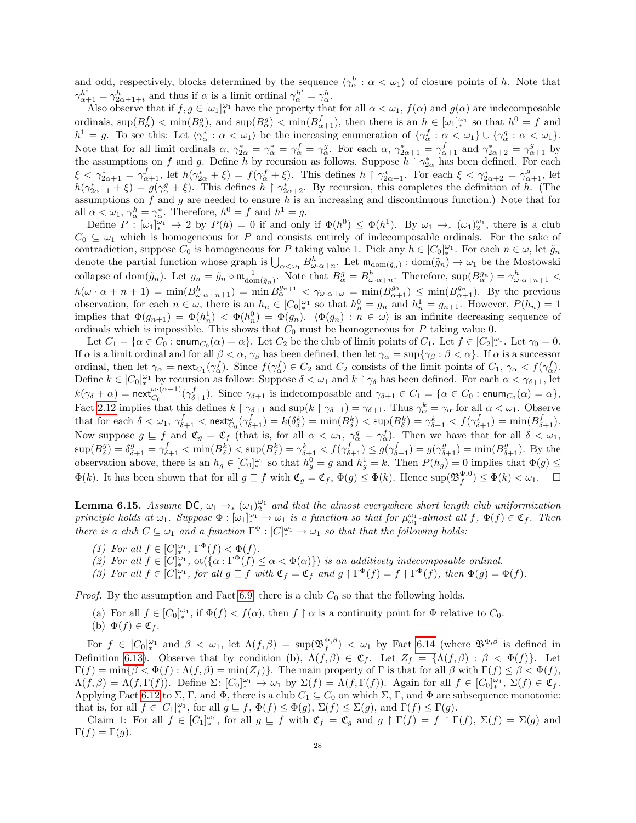and odd, respectively, blocks determined by the sequence  $\langle \gamma_\alpha^h : \alpha < \omega_1 \rangle$  of closure points of h. Note that  $\gamma_{\alpha+1}^h = \gamma_{2\alpha+1+i}^h$  and thus if  $\alpha$  is a limit ordinal  $\gamma_{\alpha}^{h^i} = \gamma_{\alpha}^h$ .

Also observe that if  $f, g \in [\omega_1]_{*}^{\omega_1}$  have the property that for all  $\alpha < \omega_1$ ,  $f(\alpha)$  and  $g(\alpha)$  are indecomposable ordinals,  $\sup(B_{\alpha}^f) < \min(B_{\alpha}^g)$ , and  $\sup(B_{\alpha}^g) < \min(B_{\alpha+1}^f)$ , then there is an  $h \in [\omega_1]_{*}^{\omega_1}$  so that  $h^0 = f$  and  $h^1 = g$ . To see this: Let  $\langle \gamma^*_{\alpha} : \alpha < \omega_1 \rangle$  be the increasing enumeration of  $\{ \gamma^f_{\alpha} : \alpha < \omega_1 \} \cup \{ \gamma^g_{\alpha} : \alpha < \omega_1 \}.$ Note that for all limit ordinals  $\alpha$ ,  $\gamma_{2\alpha}^* = \gamma_{\alpha}^* = \gamma_{\alpha}^f = \gamma_{\alpha}^g$ . For each  $\alpha$ ,  $\gamma_{2\alpha+1}^* = \gamma_{\alpha+1}^f$  and  $\gamma_{2\alpha+2}^* = \gamma_{\alpha+1}^g$  by the assumptions on f and g. Define h by recursion as follows. Suppose  $h \restriction \gamma_{2\alpha}^*$  has been defined. For each  $\xi < \gamma_{2\alpha+1}^* = \gamma_{\alpha+1}^f$ , let  $h(\gamma_{2\alpha}^* + \xi) = f(\gamma_\alpha^f + \xi)$ . This defines  $h \restriction \gamma_{2\alpha+1}^*$ . For each  $\xi < \gamma_{2\alpha+2}^* = \gamma_{\alpha+1}^g$ , let  $h(\gamma_{2\alpha+1}^*+\xi)=g(\gamma_\alpha^g+\xi)$ . This defines  $h \restriction \gamma_{2\alpha+2}^*$ . By recursion, this completes the definition of h. (The assumptions on  $f$  and  $g$  are needed to ensure  $h$  is an increasing and discontinuous function.) Note that for all  $\alpha < \omega_1$ ,  $\gamma_\alpha^h = \gamma_\alpha^*$ . Therefore,  $h^0 = f$  and  $h^1 = g$ .

Define  $P: [\omega_1]_{*}^{\omega_1} \to 2$  by  $P(h) = 0$  if and only if  $\Phi(h^0) \leq \Phi(h^1)$ . By  $\omega_1 \to_* (\omega_1)_{2}^{\omega_1}$ , there is a club  $C_0 \subseteq \omega_1$  which is homogeneous for P and consists entirely of indecomposable ordinals. For the sake of contradiction, suppose  $C_0$  is homogeneous for P taking value 1. Pick any  $h \in [C_0]_*^{\omega_1}$ . For each  $n \in \omega$ , let  $\tilde{g}_n$ denote the partial function whose graph is  $\bigcup_{\alpha<\omega_1}B^h_{\omega\cdot\alpha+n}$ . Let  $\mathfrak{m}_{\text{dom}(\tilde{g}_n)}:\text{dom}(\tilde{g}_n)\to\omega_1$  be the Mostowski collapse of dom $(\tilde{g}_n)$ . Let  $g_n = \tilde{g}_n \circ \mathfrak{m}_{\text{dom}(\tilde{g}_n)}^{-1}$ . Note that  $B^g_\alpha = B^h_{\omega \cdot \alpha + n}$ . Therefore,  $\sup(B^{g_n}_\alpha) = \gamma^h_{\omega \cdot \alpha + n+1}$  $h(\omega \cdot \alpha + n + 1) = \min(B_{\omega \cdot \alpha + n + 1}^h) = \min(B_{\alpha}^{g_{n+1}} < \gamma_{\omega \cdot \alpha + \omega} = \min(B_{\alpha+1}^{g_0}) \le \min(B_{\alpha+1}^{g_n}).$  By the previous observation, for each  $n \in \omega$ , there is an  $h_n \in [C_0]^{\omega_1}$  so that  $h_n^0 = g_n$  and  $h_n^1 = g_{n+1}$ . However,  $P(h_n) = 1$ implies that  $\Phi(g_{n+1}) = \Phi(h_n^1) < \Phi(h_n^0) = \Phi(g_n)$ .  $\langle \Phi(g_n) : n \in \omega \rangle$  is an infinite decreasing sequence of ordinals which is impossible. This shows that  $C_0$  must be homogeneous for P taking value 0.

Let  $C_1 = \{ \alpha \in C_0 : \text{enum}_{C_0}(\alpha) = \alpha \}.$  Let  $C_2$  be the club of limit points of  $C_1$ . Let  $f \in [C_2]_*^{\omega_1}$ . Let  $\gamma_0 = 0$ . If  $\alpha$  is a limit ordinal and for all  $\beta < \alpha$ ,  $\gamma_{\beta}$  has been defined, then let  $\gamma_{\alpha} = \sup\{\gamma_{\beta} : \beta < \alpha\}$ . If  $\alpha$  is a successor ordinal, then let  $\gamma_{\alpha} = \text{next}_{C_1}(\gamma_{\alpha}^f)$ . Since  $f(\gamma_{\alpha}^f) \in C_2$  and  $C_2$  consists of the limit points of  $C_1$ ,  $\gamma_{\alpha} < f(\gamma_{\alpha}^f)$ . Define  $k \in [C_0]^{\omega_1}$  by recursion as follow: Suppose  $\delta < \omega_1$  and  $k \restriction \gamma_\delta$  has been defined. For each  $\alpha < \gamma_{\delta+1}$ , let  $k(\gamma_{\delta} + \alpha) = \textsf{next}_{C_0}^{\omega \cdot (\alpha+1)}(\gamma_{\delta+1}^f)$ . Since  $\gamma_{\delta+1}$  is indecomposable and  $\gamma_{\delta+1} \in C_1 = \{ \alpha \in C_0 : \textsf{enum}_{C_0}(\alpha) = \alpha \},$ Fact [2.12](#page-7-2) implies that this defines  $k \restriction \gamma_{\delta+1}$  and  $\sup(k \restriction \gamma_{\delta+1}) = \gamma_{\delta+1}$ . Thus  $\gamma_\alpha^k = \gamma_\alpha$  for all  $\alpha < \omega_1$ . Observe that for each  $\delta < \omega_1$ ,  $\gamma_{\delta+1}^f < \text{next}_{C_0}^{\omega}(\gamma_{\delta+1}^f) = k(\delta_\delta^k) = \min(B_\delta^k) < \sup(B_\delta^k) = \gamma_{\delta+1}^k < f(\gamma_{\delta+1}^f) = \min(B_{\delta+1}^f)$ . Now suppose  $g \subseteq f$  and  $\mathfrak{C}_g = \mathfrak{C}_f$  (that is, for all  $\alpha < \omega_1$ ,  $\gamma_\alpha^g = \gamma_\alpha^f$ ). Then we have that for all  $\delta < \omega_1$ ,  $\sup(B_{\delta}^g) = \delta_{\delta+1}^g = \gamma_{\delta+1}^f < \min(B_{\delta}^k) < \sup(B_{\delta}^k) = \gamma_{\delta+1}^k < f(\gamma_{\delta+1}^f) \leq g(\gamma_{\delta+1}^f) = g(\gamma_{\delta+1}^g) = \min(B_{\delta+1}^g)$ . By the observation above, there is an  $h_g \in [C_0]_{*}^{\omega_1}$  so that  $h_g^0 = g$  and  $h_g^1 = k$ . Then  $P(h_g) = 0$  implies that  $\Phi(g) \le$  $\Phi(k)$ . It has been shown that for all  $g \sqsubseteq f$  with  $\mathfrak{C}_g = \mathfrak{C}_f$ ,  $\Phi(g) \leq \Phi(k)$ . Hence  $\sup(\mathfrak{B}_f^{\Phi,0}) \leq \Phi(k) < \omega_1$ .  $\Box$ 

<span id="page-27-0"></span>**Lemma 6.15.** Assume DC,  $\omega_1 \to_{\ast} (\omega_1)_2^{\omega_1}$  and that the almost everywhere short length club uniformization principle holds at  $\omega_1$ . Suppose  $\Phi : [\omega_1]_*^{\omega_1} \to \omega_1$  is a function so that for  $\mu_{\omega_1}^{\omega_1}$ -almost all  $f, \Phi(f) \in \mathfrak{C}_f$ . Then there is a club  $C \subseteq \omega_1$  and a function  $\Gamma^{\Phi}: [C]_{*}^{\omega_1} \to \omega_1$  so that that the following holds:

- (1) For all  $f \in [C]_*^{\omega_1}$ ,  $\Gamma^{\Phi}(f) < \Phi(f)$ .
- (2) For all  $f \in [C]_*^{\omega_1}$ ,  $ot(\{\alpha : \Gamma^{\Phi}(f) \leq \alpha < \Phi(\alpha)\})$  is an additively indecomposable ordinal.
- (3) For all  $f \in [C]_*^{\omega_1}$ , for all  $g \sqsubseteq f$  with  $\mathfrak{C}_f = \mathfrak{C}_f$  and  $g \restriction \Gamma^{\Phi}(f) = f \restriction \Gamma^{\Phi}(f)$ , then  $\Phi(g) = \Phi(f)$ .

*Proof.* By the assumption and Fact [6.9,](#page-25-2) there is a club  $C_0$  so that the following holds.

(a) For all  $f \in [C_0]^{\omega_1}_{*}$ , if  $\Phi(f) < f(\alpha)$ , then  $f \restriction \alpha$  is a continuity point for  $\Phi$  relative to  $C_0$ . (b)  $\Phi(f) \in \mathfrak{C}_f$ .

For  $f \in [C_0]_{*}^{\omega_1}$  and  $\beta < \omega_1$ , let  $\Lambda(f,\beta) = \sup(\mathfrak{B}_f^{\Phi,\beta}) < \omega_1$  by Fact [6.14](#page-26-0) (where  $\mathfrak{B}^{\Phi,\beta}$  is defined in Definition [6.13\)](#page-26-1). Observe that by condition (b),  $\Lambda(f,\beta) \in \mathfrak{C}_f$ . Let  $Z_f = {\Lambda(f,\beta) : \beta < \Phi(f)}$ . Let  $\Gamma(f) = \min\{\beta < \Phi(f) : \Lambda(f, \beta) = \min(Z_f)\}\.$  The main property of  $\Gamma$  is that for all  $\beta$  with  $\Gamma(f) \leq \beta < \Phi(f)$ ,  $\Lambda(f,\beta) = \Lambda(f,\Gamma(f))$ . Define  $\Sigma: [C_0]_{*}^{\omega_1} \to \omega_1$  by  $\Sigma(f) = \Lambda(f,\Gamma(f))$ . Again for all  $f \in [C_0]_{*}^{\omega_1}$ ,  $\Sigma(f) \in \mathfrak{C}_f$ . Applying Fact [6.12](#page-26-2) to  $\Sigma$ , Γ, and Φ, there is a club  $C_1 \subseteq C_0$  on which  $\Sigma$ , Γ, and Φ are subsequence monotonic: that is, for all  $f \in [C_1]_*^{\omega_1}$ , for all  $g \sqsubseteq f$ ,  $\Phi(f) \leq \Phi(g)$ ,  $\Sigma(f) \leq \Sigma(g)$ , and  $\Gamma(f) \leq \Gamma(g)$ .

Claim 1: For all  $f \in [C_1]_{*}^{\omega_1}$ , for all  $g \subseteq f$  with  $\mathfrak{C}_f = \mathfrak{C}_g$  and  $g \upharpoonright \Gamma(f) = f \upharpoonright \Gamma(f)$ ,  $\Sigma(f) = \Sigma(g)$  and  $\Gamma(f) = \Gamma(g).$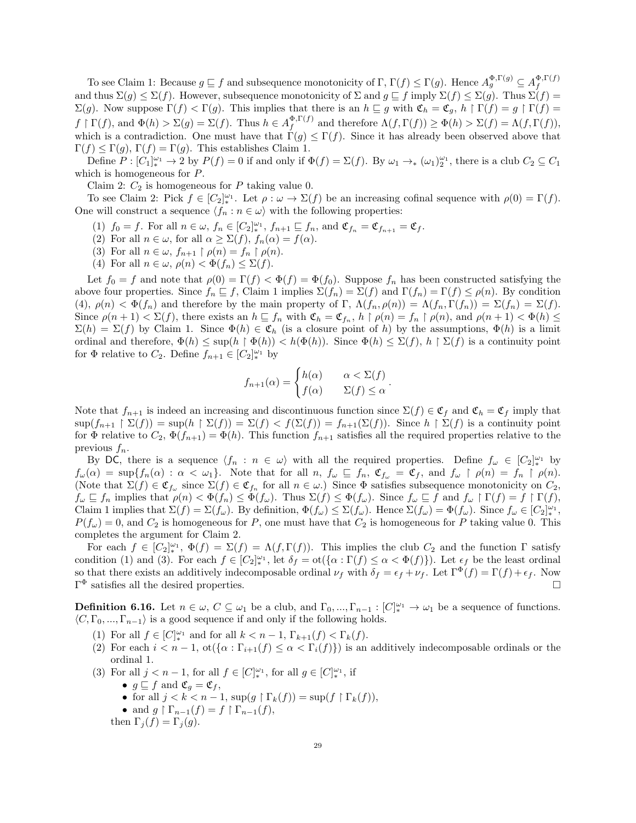To see Claim 1: Because  $g \subseteq f$  and subsequence monotonicity of  $\Gamma$ ,  $\Gamma(f) \leq \Gamma(g)$ . Hence  $A_g^{\Phi,\Gamma(g)} \subseteq A_f^{\Phi,\Gamma(f)}$ f and thus  $\Sigma(g) \leq \Sigma(f)$ . However, subsequence monotonicity of  $\Sigma$  and  $g \sqsubseteq f$  imply  $\Sigma(f) \leq \Sigma(g)$ . Thus  $\Sigma(f) =$  $\Sigma(g)$ . Now suppose  $\Gamma(f) < \Gamma(g)$ . This implies that there is an  $h \sqsubseteq g$  with  $\mathfrak{C}_h = \mathfrak{C}_g$ ,  $h \upharpoonright \Gamma(f) = g \upharpoonright \Gamma(f) = g$  $f \restriction \Gamma(f)$ , and  $\Phi(h) > \Sigma(g) = \Sigma(f)$ . Thus  $h \in A_f^{\Phi, \Gamma(f)}$  $f_f^{\Phi,1}(f)$  and therefore  $\Lambda(f,\Gamma(f)) \geq \Phi(h) > \Sigma(f) = \Lambda(f,\Gamma(f)),$ which is a contradiction. One must have that  $\Gamma(g) \leq \Gamma(f)$ . Since it has already been observed above that  $\Gamma(f) \leq \Gamma(g)$ ,  $\Gamma(f) = \Gamma(g)$ . This establishes Claim 1.

Define  $P: [C_1]_{*}^{\omega_1} \to 2$  by  $P(f) = 0$  if and only if  $\Phi(f) = \Sigma(f)$ . By  $\omega_1 \to_{*} (\omega_1)_2^{\omega_1}$ , there is a club  $C_2 \subseteq C_1$ which is homogeneous for P.

Claim 2:  $C_2$  is homogeneous for P taking value 0.

To see Claim 2: Pick  $f \in [C_2]_*^{\omega_1}$ . Let  $\rho : \omega \to \Sigma(f)$  be an increasing cofinal sequence with  $\rho(0) = \Gamma(f)$ . One will construct a sequence  $\langle f_n : n \in \omega \rangle$  with the following properties:

- (1)  $f_0 = f$ . For all  $n \in \omega$ ,  $f_n \in [C_2]_{*}^{\omega_1}$ ,  $f_{n+1} \sqsubseteq f_n$ , and  $\mathfrak{C}_{f_n} = \mathfrak{C}_{f_{n+1}} = \mathfrak{C}_f$ .
- (2) For all  $n \in \omega$ , for all  $\alpha \geq \Sigma(f)$ ,  $f_n(\alpha) = f(\alpha)$ .
- (3) For all  $n \in \omega$ ,  $f_{n+1} \restriction \rho(n) = f_n \restriction \rho(n)$ .
- (4) For all  $n \in \omega$ ,  $\rho(n) < \Phi(f_n) \leq \Sigma(f)$ .

Let  $f_0 = f$  and note that  $\rho(0) = \Gamma(f) < \Phi(f) = \Phi(f_0)$ . Suppose  $f_n$  has been constructed satisfying the above four properties. Since  $f_n \sqsubseteq f$ , Claim 1 implies  $\Sigma(f_n) = \Sigma(f)$  and  $\Gamma(f_n) = \Gamma(f) \leq \rho(n)$ . By condition (4),  $\rho(n) < \Phi(f_n)$  and therefore by the main property of Γ,  $\Lambda(f_n, \rho(n)) = \Lambda(f_n, \Gamma(f_n)) = \Sigma(f_n) = \Sigma(f)$ . Since  $\rho(n+1) < \Sigma(f)$ , there exists an  $h \sqsubseteq f_n$  with  $\mathfrak{C}_h = \mathfrak{C}_{f_n}$ ,  $h \restriction \rho(n) = f_n \restriction \rho(n)$ , and  $\rho(n+1) < \Phi(h) \le$  $\Sigma(h) = \Sigma(f)$  by Claim 1. Since  $\Phi(h) \in \mathfrak{C}_h$  (is a closure point of h) by the assumptions,  $\Phi(h)$  is a limit ordinal and therefore,  $\Phi(h) \leq \sup(h \upharpoonright \Phi(h)) < h(\Phi(h))$ . Since  $\Phi(h) \leq \Sigma(f)$ ,  $h \upharpoonright \Sigma(f)$  is a continuity point for  $\Phi$  relative to  $C_2$ . Define  $f_{n+1} \in [C_2]_{*}^{\omega_1}$  by

$$
f_{n+1}(\alpha) = \begin{cases} h(\alpha) & \alpha < \Sigma(f) \\ f(\alpha) & \Sigma(f) \le \alpha \end{cases}.
$$

Note that  $f_{n+1}$  is indeed an increasing and discontinuous function since  $\Sigma(f) \in \mathfrak{C}_f$  and  $\mathfrak{C}_h = \mathfrak{C}_f$  imply that  $\sup(f_{n+1} \upharpoonright \Sigma(f)) = \sup(h \upharpoonright \Sigma(f)) = \Sigma(f) < f(\Sigma(f)) = f_{n+1}(\Sigma(f)).$  Since  $h \upharpoonright \Sigma(f)$  is a continuity point for  $\Phi$  relative to  $C_2$ ,  $\Phi(f_{n+1}) = \Phi(h)$ . This function  $f_{n+1}$  satisfies all the required properties relative to the previous  $f_n$ .

By DC, there is a sequence  $\langle f_n : n \in \omega \rangle$  with all the required properties. Define  $f_\omega \in [C_2]_{*}^{\omega_1}$  by  $f_{\omega}(\alpha) = \sup\{f_n(\alpha) : \alpha < \omega_1\}.$  Note that for all  $n, f_{\omega} \subseteq f_n, \mathfrak{C}_{f_{\omega}} = \mathfrak{C}_f$ , and  $f_{\omega} \restriction \rho(n) = f_n \restriction \rho(n).$ (Note that  $\Sigma(f) \in \mathfrak{C}_{f_{\omega}}$  since  $\Sigma(f) \in \mathfrak{C}_{f_n}$  for all  $n \in \omega$ .) Since  $\Phi$  satisfies subsequence monotonicity on  $C_2$ ,  $f_{\omega} \subseteq f_n$  implies that  $\rho(n) < \Phi(f_n) \leq \Phi(f_{\omega})$ . Thus  $\Sigma(f) \leq \Phi(f_{\omega})$ . Since  $f_{\omega} \subseteq f$  and  $f_{\omega} \restriction \Gamma(f) = f \restriction \Gamma(f)$ , Claim 1 implies that  $\Sigma(f) = \Sigma(f_\omega)$ . By definition,  $\Phi(f_\omega) \leq \Sigma(f_\omega)$ . Hence  $\Sigma(f_\omega) = \Phi(f_\omega)$ . Since  $f_\omega \in [C_2]_*^{\omega_1}$ ,  $P(f_{\omega}) = 0$ , and  $C_2$  is homogeneous for P, one must have that  $C_2$  is homogeneous for P taking value 0. This completes the argument for Claim 2.

For each  $f \in [C_2]_{*}^{\omega_1}$ ,  $\Phi(f) = \Sigma(f) = \Lambda(f, \Gamma(f))$ . This implies the club  $C_2$  and the function  $\Gamma$  satisfy condition (1) and (3). For each  $f \in [C_2]_*^{\omega_1}$ , let  $\delta_f = \text{ot}(\{\alpha : \Gamma(f) \leq \alpha < \Phi(f)\})$ . Let  $\epsilon_f$  be the least ordinal so that there exists an additively indecomposable ordinal  $\nu_f$  with  $\delta_f = \epsilon_f + \nu_f$ . Let  $\Gamma^{\Phi}(f) = \Gamma(f) + \epsilon_f$ . Now  $\Gamma^{\Phi}$  satisfies all the desired properties.

<span id="page-28-0"></span>**Definition 6.16.** Let  $n \in \omega$ ,  $C \subseteq \omega_1$  be a club, and  $\Gamma_0, ..., \Gamma_{n-1} : [C]_{*}^{\omega_1} \to \omega_1$  be a sequence of functions.  $\langle C, \Gamma_0, ..., \Gamma_{n-1} \rangle$  is a good sequence if and only if the following holds.

- (1) For all  $f \in [C]_*^{\omega_1}$  and for all  $k < n 1$ ,  $\Gamma_{k+1}(f) < \Gamma_k(f)$ .
- (2) For each  $i < n-1$ ,  $ot({\alpha : \Gamma_{i+1}(f) \leq \alpha < \Gamma_i(f)})$  is an additively indecomposable ordinals or the ordinal 1.
- (3) For all  $j < n 1$ , for all  $f \in [C]_{*}^{\omega_1}$ , for all  $g \in [C]_{*}^{\omega_1}$ , if
	- $g \sqsubseteq f$  and  $\mathfrak{C}_g = \mathfrak{C}_f$ ,
	- for all  $j < k < n-1$ ,  $\sup(g \restriction \Gamma_k(f)) = \sup(f \restriction \Gamma_k(f)),$
	- and  $g \restriction \Gamma_{n-1}(f) = f \restriction \Gamma_{n-1}(f)$ ,

then  $\Gamma_j(f) = \Gamma_j(g)$ .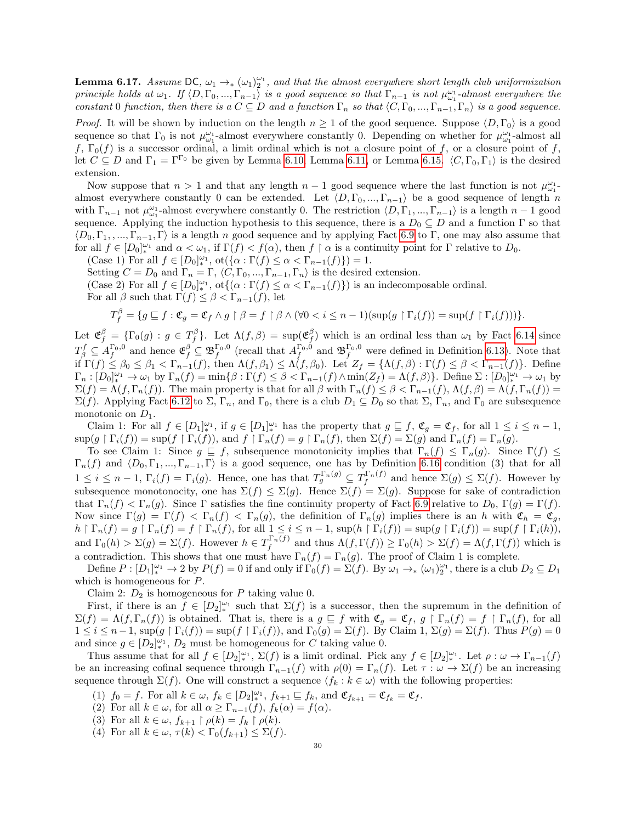<span id="page-29-0"></span>**Lemma 6.17.** Assume DC,  $\omega_1 \to_{\ast} (\omega_1)_2^{\omega_1}$ , and that the almost everywhere short length club uniformization principle holds at  $\omega_1$ . If  $\langle D, \Gamma_0, ..., \Gamma_{n-1} \rangle$  is a good sequence so that  $\Gamma_{n-1}$  is not  $\mu_{\omega_1}^{\omega_1}$ -almost everywhere the constant 0 function, then there is a  $C \subseteq D$  and a function  $\Gamma_n$  so that  $\langle C, \Gamma_0, ..., \Gamma_{n-1}, \Gamma_n \rangle$  is a good sequence.

*Proof.* It will be shown by induction on the length  $n \geq 1$  of the good sequence. Suppose  $\langle D, \Gamma_0 \rangle$  is a good sequence so that  $\Gamma_0$  is not  $\mu_{\omega_1}^{\omega_1}$ -almost everywhere constantly 0. Depending on whether for  $\mu_{\omega_1}^{\omega_1}$ -almost all f,  $\Gamma_0(f)$  is a successor ordinal, a limit ordinal which is not a closure point of f, or a closure point of f, let  $C \subseteq D$  and  $\Gamma_1 = \Gamma^{\Gamma_0}$  be given by Lemma [6.10,](#page-25-3) Lemma [6.11,](#page-26-3) or Lemma [6.15.](#page-27-0)  $\langle C, \Gamma_0, \Gamma_1 \rangle$  is the desired extension.

Now suppose that  $n > 1$  and that any length  $n - 1$  good sequence where the last function is not  $\mu_{\omega_1}^{\omega_1}$ . almost everywhere constantly 0 can be extended. Let  $\langle D, \Gamma_0, ..., \Gamma_{n-1} \rangle$  be a good sequence of length n with  $\Gamma_{n-1}$  not  $\mu_{\omega_1}^{\omega_1}$ -almost everywhere constantly 0. The restriction  $\langle D, \Gamma_1, ..., \Gamma_{n-1}\rangle$  is a length  $n-1$  good sequence. Applying the induction hypothesis to this sequence, there is a  $D_0 \subseteq D$  and a function  $\Gamma$  so that  $\langle D_0, \Gamma_1, ..., \Gamma_{n-1}, \Gamma \rangle$  is a length n good sequence and by applying Fact [6.9](#page-25-2) to Γ, one may also assume that for all  $f \in [D_0]^{\omega_1}$  and  $\alpha < \omega_1$ , if  $\Gamma(f) < f(\alpha)$ , then  $f \restriction \alpha$  is a continuity point for  $\Gamma$  relative to  $D_0$ .

(Case 1) For all  $f \in [D_0]^{\omega_1}_{*}$ ,  $\mathrm{ot}(\{\alpha : \Gamma(f) \leq \alpha < \Gamma_{n-1}(f)\}) = 1$ .

Setting  $C = D_0$  and  $\Gamma_n = \Gamma$ ,  $\langle C, \Gamma_0, ..., \Gamma_{n-1}, \Gamma_n \rangle$  is the desired extension.

(Case 2) For all  $f \in [D_0]_*^{\omega_1}$ ,  $\text{ot}\{(\alpha : \Gamma(f) \leq \alpha < \Gamma_{n-1}(f)\})$  is an indecomposable ordinal.

For all  $\beta$  such that  $\Gamma(f) \leq \beta < \Gamma_{n-1}(f)$ , let

$$
T_f^{\beta} = \{ g \sqsubseteq f : \mathfrak{C}_g = \mathfrak{C}_f \land g \upharpoonright \beta = f \upharpoonright \beta \land (\forall 0 < i \leq n-1)(\sup(g \upharpoonright \Gamma_i(f)) = \sup(f \upharpoonright \Gamma_i(f))) \}.
$$

Let  $\mathfrak{E}_f^{\beta} = {\{\Gamma_0(g) : g \in T_f^{\beta}\}.$  Let  $\Lambda(f, \beta) = \sup(\mathfrak{E}_f^{\beta})$  which is an ordinal less than  $\omega_1$  by Fact [6.14](#page-26-0) since  $T_{\beta}^f \subseteq A_f^{\Gamma_0,0}$  and hence  $\mathfrak{E}_f^{\beta} \subseteq \mathfrak{B}_f^{\Gamma_0,0}$  (recall that  $A_f^{\Gamma_0,0}$  and  $\mathfrak{B}_f^{\Gamma_0,0}$  were defined in Definition [6.13\)](#page-26-1). Note that if  $\Gamma(f) \leq \beta_0 \leq \beta_1 < \Gamma_{n-1}(f)$ , then  $\Lambda(f, \beta_1) \leq \Lambda(f, \beta_0)$ . Let  $Z_f = \{\Lambda(f, \beta) : \Gamma(f) \leq \beta < \Gamma_{n-1}(f)\}$ . Define  $\Gamma_n: [D_0]_{*}^{\omega_1} \to \omega_1$  by  $\Gamma_n(f) = \min\{\beta: \Gamma(f) \leq \beta < \Gamma_{n-1}(f) \wedge \min(Z_f) = \Lambda(f,\beta)\}\.$  Define  $\Sigma: [D_0]_{*}^{\omega_1} \to \omega_1$  by  $\Sigma(f) = \Lambda(f, \Gamma_n(f))$ . The main property is that for all  $\beta$  with  $\Gamma_n(f) \leq \beta < \Gamma_{n-1}(f)$ ,  $\Lambda(f, \beta) = \Lambda(f, \Gamma_n(f)) =$  $\Sigma(f)$ . Applying Fact [6.12](#page-26-2) to  $\Sigma$ ,  $\Gamma_n$ , and  $\Gamma_0$ , there is a club  $D_1 \subseteq D_0$  so that  $\Sigma$ ,  $\Gamma_n$ , and  $\Gamma_0$  are subsequence monotonic on  $D_1$ .

Claim 1: For all  $f \in [D_1]_{*}^{\omega_1}$ , if  $g \in [D_1]_{*}^{\omega_1}$  has the property that  $g \subseteq f$ ,  $\mathfrak{C}_g = \mathfrak{C}_f$ , for all  $1 \leq i \leq n-1$ ,  $\sup(g \restriction \Gamma_i(f)) = \sup(f \restriction \Gamma_i(f)),$  and  $f \restriction \Gamma_n(f) = g \restriction \Gamma_n(f)$ , then  $\Sigma(f) = \Sigma(g)$  and  $\Gamma_n(f) = \Gamma_n(g)$ .

To see Claim 1: Since  $g \subseteq f$ , subsequence monotonicity implies that  $\Gamma_n(f) \leq \Gamma_n(g)$ . Since  $\Gamma(f) \leq$  $\Gamma_n(f)$  and  $\langle D_0, \Gamma_1, ..., \Gamma_{n-1}, \Gamma \rangle$  is a good sequence, one has by Definition [6.16](#page-28-0) condition (3) that for all  $1 \leq i \leq n-1$ ,  $\Gamma_i(f) = \Gamma_i(g)$ . Hence, one has that  $T_g^{\Gamma_n(g)} \subseteq T_f^{\Gamma_n(f)}$  and hence  $\Sigma(g) \leq \Sigma(f)$ . However by subsequence monotonocity, one has  $\Sigma(f) \leq \Sigma(g)$ . Hence  $\Sigma(f) = \Sigma(g)$ . Suppose for sake of contradiction that  $\Gamma_n(f) < \Gamma_n(g)$ . Since Γ satisfies the fine continuity property of Fact [6.9](#page-25-2) relative to  $D_0$ ,  $\Gamma(g) = \Gamma(f)$ . Now since  $\Gamma(g) = \Gamma(f) < \Gamma_n(f) < \Gamma_n(g)$ , the definition of  $\Gamma_n(g)$  implies there is an h with  $\mathfrak{C}_h = \mathfrak{C}_g$ ,  $h \restriction \Gamma_n(f) = g \restriction \Gamma_n(f) = f \restriction \Gamma_n(f)$ , for all  $1 \leq i \leq n-1$ ,  $\sup(h \restriction \Gamma_i(f)) = \sup(g \restriction \Gamma_i(f)) = \sup(f \restriction \Gamma_i(h)),$ and  $\Gamma_0(h) > \Sigma(g) = \Sigma(f)$ . However  $h \in T_f^{\Gamma_n(f)}$  and thus  $\Lambda(f, \Gamma(f)) \ge \Gamma_0(h) > \Sigma(f) = \Lambda(f, \Gamma(f))$  which is a contradiction. This shows that one must have  $\Gamma_n(f) = \Gamma_n(g)$ . The proof of Claim 1 is complete.

Define  $P: [D_1]_{*}^{\omega_1} \to 2$  by  $P(f) = 0$  if and only if  $\Gamma_0(f) = \Sigma(f)$ . By  $\omega_1 \to_{*} (\omega_1)_2^{\omega_1}$ , there is a club  $D_2 \subseteq D_1$ which is homogeneous for P.

Claim 2:  $D_2$  is homogeneous for  $P$  taking value 0.

First, if there is an  $f \in [D_2]_*^{\omega_1}$  such that  $\Sigma(f)$  is a successor, then the supremum in the definition of  $\Sigma(f) = \Lambda(f, \Gamma_n(f))$  is obtained. That is, there is a  $g \subseteq f$  with  $\mathfrak{C}_g = \mathfrak{C}_f$ ,  $g \upharpoonright \Gamma_n(f) = f \upharpoonright \Gamma_n(f)$ , for all  $1 \leq i \leq n-1$ ,  $\sup(g \restriction \Gamma_i(f)) = \sup(f \restriction \Gamma_i(f))$ , and  $\Gamma_0(g) = \Sigma(f)$ . By Claim 1,  $\Sigma(g) = \Sigma(f)$ . Thus  $P(g) = 0$ and since  $g \in [D_2]^{\omega_1}_*$ ,  $D_2$  must be homogeneous for C taking value 0.

Thus assume that for all  $f \in [D_2]_*^{\omega_1}$ ,  $\Sigma(f)$  is a limit ordinal. Pick any  $f \in [D_2]_*^{\omega_1}$ . Let  $\rho : \omega \to \Gamma_{n-1}(f)$ be an increasing cofinal sequence through  $\Gamma_{n-1}(f)$  with  $\rho(0) = \Gamma_n(f)$ . Let  $\tau : \omega \to \Sigma(f)$  be an increasing sequence through  $\Sigma(f)$ . One will construct a sequence  $\langle f_k : k \in \omega \rangle$  with the following properties:

- (1)  $f_0 = f$ . For all  $k \in \omega$ ,  $f_k \in [D_2]_{*}^{\omega_1}$ ,  $f_{k+1} \sqsubseteq f_k$ , and  $\mathfrak{C}_{f_{k+1}} = \mathfrak{C}_{f_k} = \mathfrak{C}_f$ .
- (2) For all  $k \in \omega$ , for all  $\alpha \geq \Gamma_{n-1}(f)$ ,  $f_k(\alpha) = f(\alpha)$ .
- (3) For all  $k \in \omega$ ,  $f_{k+1} \restriction \rho(k) = f_k \restriction \rho(k)$ .
- (4) For all  $k \in \omega$ ,  $\tau(k) < \Gamma_0(f_{k+1}) \leq \Sigma(f)$ .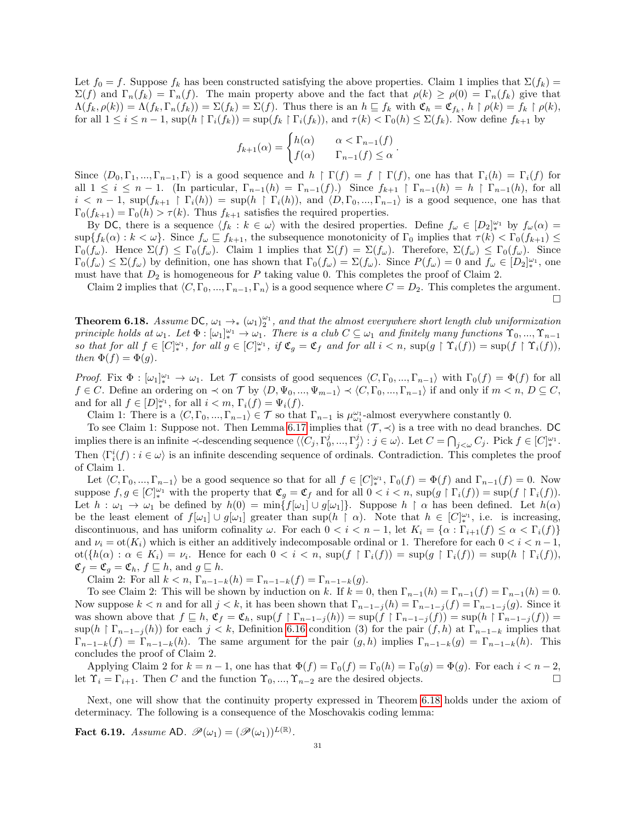Let  $f_0 = f$ . Suppose  $f_k$  has been constructed satisfying the above properties. Claim 1 implies that  $\Sigma(f_k)$  =  $\Sigma(f)$  and  $\Gamma_n(f_k) = \Gamma_n(f)$ . The main property above and the fact that  $\rho(k) \ge \rho(0) = \Gamma_n(f_k)$  give that  $\Lambda(f_k, \rho(k)) = \Lambda(f_k, \Gamma_n(f_k)) = \Sigma(f_k) = \Sigma(f)$ . Thus there is an  $h \sqsubseteq f_k$  with  $\mathfrak{C}_h = \mathfrak{C}_{f_k}$ ,  $h \upharpoonright \rho(k) = f_k \upharpoonright \rho(k)$ , for all  $1 \leq i \leq n-1$ ,  $\sup(h \restriction \Gamma_i(f_k)) = \sup(f_k \restriction \Gamma_i(f_k))$ , and  $\tau(k) < \Gamma_0(h) \leq \Sigma(f_k)$ . Now define  $f_{k+1}$  by

$$
f_{k+1}(\alpha) = \begin{cases} h(\alpha) & \alpha < \Gamma_{n-1}(f) \\ f(\alpha) & \Gamma_{n-1}(f) \le \alpha \end{cases}.
$$

Since  $\langle D_0, \Gamma_1, ..., \Gamma_{n-1}, \Gamma \rangle$  is a good sequence and  $h \restriction \Gamma(f) = f \restriction \Gamma(f)$ , one has that  $\Gamma_i(h) = \Gamma_i(f)$  for all  $1 \leq i \leq n-1$ . (In particular,  $\Gamma_{n-1}(h) = \Gamma_{n-1}(f)$ .) Since  $f_{k+1} \upharpoonright \Gamma_{n-1}(h) = h \upharpoonright \Gamma_{n-1}(h)$ , for all  $i < n-1$ ,  $\sup(f_{k+1} \restriction \Gamma_i(h)) = \sup(h \restriction \Gamma_i(h))$ , and  $\langle D, \Gamma_0, ..., \Gamma_{n-1} \rangle$  is a good sequence, one has that  $\Gamma_0(f_{k+1}) = \Gamma_0(h) > \tau(k)$ . Thus  $f_{k+1}$  satisfies the required properties.

By DC, there is a sequence  $\langle f_k : k \in \omega \rangle$  with the desired properties. Define  $f_\omega \in [D_2]_{*}^{\omega_1}$  by  $f_\omega(\alpha) =$  $\sup\{f_k(\alpha): k < \omega\}$ . Since  $f_\omega \sqsubseteq f_{k+1}$ , the subsequence monotonicity of  $\Gamma_0$  implies that  $\tau(k) < \Gamma_0(f_{k+1}) \leq$  $\Gamma_0(f_\omega)$ . Hence  $\Sigma(f) \leq \Gamma_0(f_\omega)$ . Claim 1 implies that  $\Sigma(f) = \Sigma(f_\omega)$ . Therefore,  $\Sigma(f_\omega) \leq \Gamma_0(f_\omega)$ . Since  $\Gamma_0(f_\omega) \leq \Sigma(f_\omega)$  by definition, one has shown that  $\Gamma_0(f_\omega) = \Sigma(f_\omega)$ . Since  $P(f_\omega) = 0$  and  $f_\omega \in [D_2]_{\ast}^{\omega_1}$ , one must have that  $D_2$  is homogeneous for P taking value 0. This completes the proof of Claim 2.

Claim 2 implies that  $\langle C, \Gamma_0, ..., \Gamma_{n-1}, \Gamma_n \rangle$  is a good sequence where  $C = D_2$ . This completes the argument.  $\Box$ 

<span id="page-30-0"></span>**Theorem 6.18.** Assume DC,  $\omega_1 \to_{\ast} (\omega_1)_2^{\omega_1}$ , and that the almost everywhere short length club uniformization principle holds at  $\omega_1$ . Let  $\Phi : [\omega_1]_*^{\omega_1} \to \omega_1$ . There is a club  $C \subseteq \omega_1$  and finitely many functions  $\Upsilon_0, ..., \Upsilon_{n-1}$ so that for all  $f \in [C]_{*}^{\omega_1}$ , for all  $g \in [C]_{*}^{\omega_1}$ , if  $\mathfrak{C}_g = \mathfrak{C}_f$  and for all  $i < n$ ,  $\sup(g \upharpoonright \Upsilon_i(f)) = \sup(f \upharpoonright \Upsilon_i(f)),$ then  $\Phi(f) = \Phi(g)$ .

Proof. Fix  $\Phi : [\omega_1]_*^{\omega_1} \to \omega_1$ . Let T consists of good sequences  $\langle C, \Gamma_0, ..., \Gamma_{n-1} \rangle$  with  $\Gamma_0(f) = \Phi(f)$  for all  $f \in C$ . Define an ordering on  $\prec$  on  $\mathcal T$  by  $\langle D, \Psi_0, ..., \Psi_{m-1} \rangle \prec \langle C, \Gamma_0, ..., \Gamma_{n-1} \rangle$  if and only if  $m < n, D \subseteq C$ , and for all  $f \in [D]_{*}^{\omega_1}$ , for all  $i < m$ ,  $\Gamma_i(f) = \Psi_i(f)$ .

Claim 1: There is a  $\langle C, \Gamma_0, ..., \Gamma_{n-1} \rangle \in \mathcal{T}$  so that  $\Gamma_{n-1}$  is  $\mu_{\omega_1}^{\omega_1}$ -almost everywhere constantly 0.

To see Claim 1: Suppose not. Then Lemma [6.17](#page-29-0) implies that  $(\mathcal{T}, \prec)$  is a tree with no dead branches. DC implies there is an infinite  $\prec$ -descending sequence  $\langle \langle C_j, \Gamma_0^j, ..., \Gamma_j^j \rangle : j \in \omega \rangle$ . Let  $C = \bigcap_{j < \omega} C_j$ . Pick  $f \in [C]_*^{\omega_1}$ . Then  $\langle \Gamma_i^i(f) : i \in \omega \rangle$  is an infinite descending sequence of ordinals. Contradiction. This completes the proof of Claim 1.

Let  $\langle C, \Gamma_0, ..., \Gamma_{n-1}\rangle$  be a good sequence so that for all  $f \in [C]_{*}^{\omega_1}$ ,  $\Gamma_0(f) = \Phi(f)$  and  $\Gamma_{n-1}(f) = 0$ . Now suppose  $f, g \in [C]_*^{\omega_1}$  with the property that  $\mathfrak{C}_g = \mathfrak{C}_f$  and for all  $0 < i < n$ ,  $\sup(g \upharpoonright \Gamma_i(f)) = \sup(f \upharpoonright \Gamma_i(f))$ . Let  $h: \omega_1 \to \omega_1$  be defined by  $h(0) = \min\{f[\omega_1] \cup g[\omega_1]\}\$ . Suppose  $h \restriction \alpha$  has been defined. Let  $h(\alpha)$ be the least element of  $f[\omega_1] \cup g[\omega_1]$  greater than  $\sup(h \restriction \alpha)$ . Note that  $h \in [C]_*^{\omega_1}$ , i.e. is increasing, discontinuous, and has uniform cofinality  $\omega$ . For each  $0 < i < n-1$ , let  $K_i = {\alpha : \Gamma_{i+1}(f) \leq \alpha < \Gamma_i(f)}$ and  $\nu_i = \text{ot}(K_i)$  which is either an additively indecomposable ordinal or 1. Therefore for each  $0 < i < n-1$ ,  $\operatorname{ot}(\{h(\alpha): \alpha \in K_i\}) = \nu_i$ . Hence for each  $0 < i < n$ ,  $\operatorname{sup}(f \upharpoonright \Gamma_i(f)) = \operatorname{sup}(g \upharpoonright \Gamma_i(f)) = \operatorname{sup}(h \upharpoonright \Gamma_i(f)),$  $\mathfrak{C}_f = \mathfrak{C}_g = \mathfrak{C}_h, f \sqsubseteq h$ , and  $g \sqsubseteq h$ .

Claim 2: For all  $k < n$ ,  $\Gamma_{n-1-k}(h) = \Gamma_{n-1-k}(f) = \Gamma_{n-1-k}(g)$ .

To see Claim 2: This will be shown by induction on k. If  $k = 0$ , then  $\Gamma_{n-1}(h) = \Gamma_{n-1}(f) = \Gamma_{n-1}(h) = 0$ . Now suppose  $k < n$  and for all  $j < k$ , it has been shown that  $\Gamma_{n-1-j}(h) = \Gamma_{n-1-j}(f) = \Gamma_{n-1-j}(g)$ . Since it was shown above that  $f \subseteq h$ ,  $\mathfrak{C}_f = \mathfrak{C}_h$ ,  $\sup(f \restriction \Gamma_{n-1-j}(h)) = \sup(f \restriction \Gamma_{n-1-j}(f)) = \sup(h \restriction \Gamma_{n-1-j}(f)) =$  $\sup(h \restriction \Gamma_{n-1-j}(h))$  for each  $j < k$ , Definition [6.16](#page-28-0) condition (3) for the pair  $(f, h)$  at  $\Gamma_{n-1-k}$  implies that  $\Gamma_{n-1-k}(f) = \Gamma_{n-1-k}(h)$ . The same argument for the pair  $(g,h)$  implies  $\Gamma_{n-1-k}(g) = \Gamma_{n-1-k}(h)$ . This concludes the proof of Claim 2.

Applying Claim 2 for  $k = n - 1$ , one has that  $\Phi(f) = \Gamma_0(f) = \Gamma_0(h) = \Gamma_0(g) = \Phi(g)$ . For each  $i < n - 2$ , let  $\Upsilon_i = \Gamma_{i+1}$ . Then C and the function  $\Upsilon_0, ..., \Upsilon_{n-2}$  are the desired objects.

Next, one will show that the continuity property expressed in Theorem [6.18](#page-30-0) holds under the axiom of determinacy. The following is a consequence of the Moschovakis coding lemma:

<span id="page-30-1"></span>**Fact 6.19.** Assume AD.  $\mathscr{P}(\omega_1) = (\mathscr{P}(\omega_1))^{L(\mathbb{R})}$ .